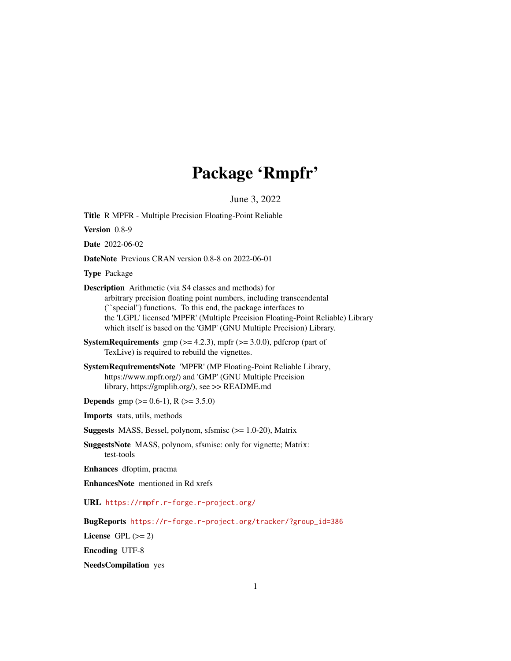# Package 'Rmpfr'

June 3, 2022

<span id="page-0-0"></span>Title R MPFR - Multiple Precision Floating-Point Reliable

Version 0.8-9

Date 2022-06-02

DateNote Previous CRAN version 0.8-8 on 2022-06-01

Type Package

Description Arithmetic (via S4 classes and methods) for arbitrary precision floating point numbers, including transcendental (``special'') functions. To this end, the package interfaces to the 'LGPL' licensed 'MPFR' (Multiple Precision Floating-Point Reliable) Library which itself is based on the 'GMP' (GNU Multiple Precision) Library.

**SystemRequirements** gmp  $(>= 4.2.3)$ , mpfr  $(>= 3.0.0)$ , pdfcrop (part of TexLive) is required to rebuild the vignettes.

SystemRequirementsNote 'MPFR' (MP Floating-Point Reliable Library, https://www.mpfr.org/) and 'GMP' (GNU Multiple Precision library, https://gmplib.org/), see >> README.md

**Depends** gmp ( $>= 0.6-1$ ), R ( $>= 3.5.0$ )

Imports stats, utils, methods

Suggests MASS, Bessel, polynom, sfsmisc (>= 1.0-20), Matrix

SuggestsNote MASS, polynom, sfsmisc: only for vignette; Matrix: test-tools

Enhances dfoptim, pracma

EnhancesNote mentioned in Rd xrefs

URL <https://rmpfr.r-forge.r-project.org/>

BugReports [https://r-forge.r-project.org/tracker/?group\\_id=386](https://r-forge.r-project.org/tracker/?group_id=386)

License GPL  $(>= 2)$ 

Encoding UTF-8

NeedsCompilation yes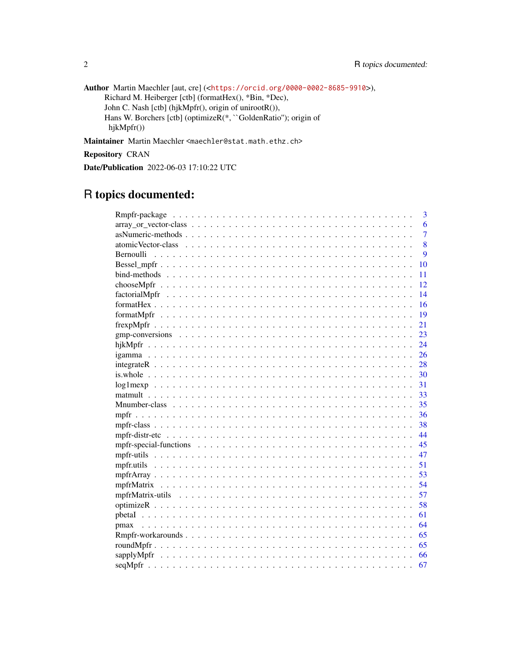Author Martin Maechler [aut, cre] (<<https://orcid.org/0000-0002-8685-9910>>), Richard M. Heiberger [ctb] (formatHex(), \*Bin, \*Dec), John C. Nash [ctb] (hjkMpfr(), origin of unirootR()), Hans W. Borchers [ctb] (optimizeR(\*, ``GoldenRatio''); origin of hjkMpfr())

Maintainer Martin Maechler <maechler@stat.math.ethz.ch>

Repository CRAN

Date/Publication 2022-06-03 17:10:22 UTC

# R topics documented:

|           | 3              |
|-----------|----------------|
|           | 6              |
|           | $\overline{7}$ |
|           | 8              |
| Bernoulli | $\overline{Q}$ |
|           | 10             |
|           | 11             |
|           | 12             |
|           | 14             |
|           | 16             |
|           | 19             |
|           | 21             |
|           | 23             |
|           | 24             |
|           | 26             |
|           | 28             |
|           | 30             |
|           | 31             |
|           | 33             |
|           | 35             |
|           | 36             |
|           | 38             |
|           | 44             |
|           | 45             |
|           | 47             |
|           | 51             |
|           | 53             |
|           | 54             |
|           | 57             |
|           | 58             |
|           | 61             |
|           | 64             |
|           | 65             |
|           | 65             |
|           | 66             |
|           | 67             |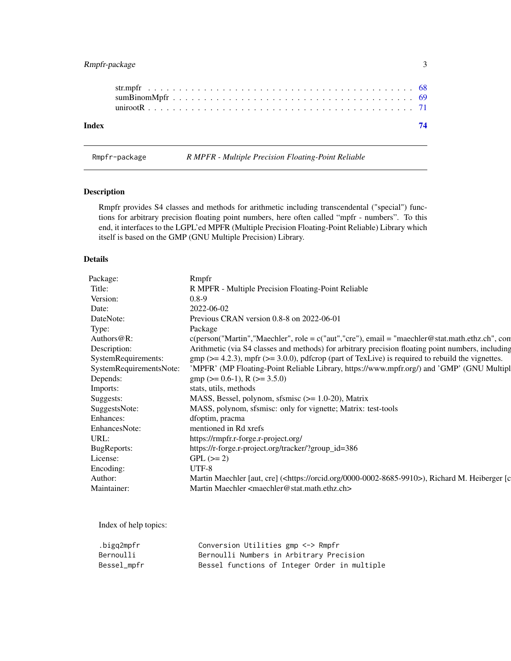# <span id="page-2-0"></span>Rmpfr-package 3

| Index |  |  |  |  |  |  |  |  |  |  |  |  |  |  |  |  |  |  |
|-------|--|--|--|--|--|--|--|--|--|--|--|--|--|--|--|--|--|--|

Rmpfr-package *R MPFR - Multiple Precision Floating-Point Reliable*

# Description

Rmpfr provides S4 classes and methods for arithmetic including transcendental ("special") functions for arbitrary precision floating point numbers, here often called "mpfr - numbers". To this end, it interfaces to the LGPL'ed MPFR (Multiple Precision Floating-Point Reliable) Library which itself is based on the GMP (GNU Multiple Precision) Library.

# Details

| Package:            | Rmpfr                                                                                                             |
|---------------------|-------------------------------------------------------------------------------------------------------------------|
| Title:              | R MPFR - Multiple Precision Floating-Point Reliable                                                               |
| Version:            | $0.8-9$                                                                                                           |
| Date:               | 2022-06-02                                                                                                        |
| DateNote:           | Previous CRAN version 0.8-8 on 2022-06-01                                                                         |
| Type:               | Package                                                                                                           |
| Authors $@R$ :      | $c(\text{person("Martin", "Maechler", role = c("aut", "cre"), email = "maechler@stat.math.ethz.ch", con})$        |
| Description:        | Arithmetic (via S4 classes and methods) for arbitrary precision floating point numbers, including                 |
| SystemRequirements: | $gmp$ ( $>= 4.2.3$ ), mpfr ( $>= 3.0.0$ ), pdfcrop (part of TexLive) is required to rebuild the vignettes.        |
|                     | SystemRequirementsNote: 'MPFR' (MP Floating-Point Reliable Library, https://www.mpfr.org/) and 'GMP' (GNU Multipl |
| Depends:            | $gmp$ (>= 0.6-1), R (>= 3.5.0)                                                                                    |
| Imports:            | stats, utils, methods                                                                                             |
| Suggests:           | MASS, Bessel, polynom, sfsmisc (>= 1.0-20), Matrix                                                                |
| SuggestsNote:       | MASS, polynom, sfsmisc: only for vignette; Matrix: test-tools                                                     |
| Enhances:           | dfoptim, pracma                                                                                                   |
| EnhancesNote:       | mentioned in Rd xrefs                                                                                             |
| URL:                | https://rmpfr.r-forge.r-project.org/                                                                              |
| BugReports:         | https://r-forge.r-project.org/tracker/?group_id=386                                                               |
| License:            | $GPL (= 2)$                                                                                                       |
| Encoding:           | UTF-8                                                                                                             |
| Author:             | Martin Maechler [aut, cre] ( <https: 0000-0002-8685-9910="" orcid.org="">), Richard M. Heiberger [c</https:>      |
| Maintainer:         | Martin Maechler <maechler@stat.math.ethz.ch></maechler@stat.math.ethz.ch>                                         |
|                     |                                                                                                                   |

Index of help topics:

| .bigq2mpfr  | Conversion Utilities gmp <-> Rmpfr            |
|-------------|-----------------------------------------------|
| Bernoulli   | Bernoulli Numbers in Arbitrary Precision      |
| Bessel_mpfr | Bessel functions of Integer Order in multiple |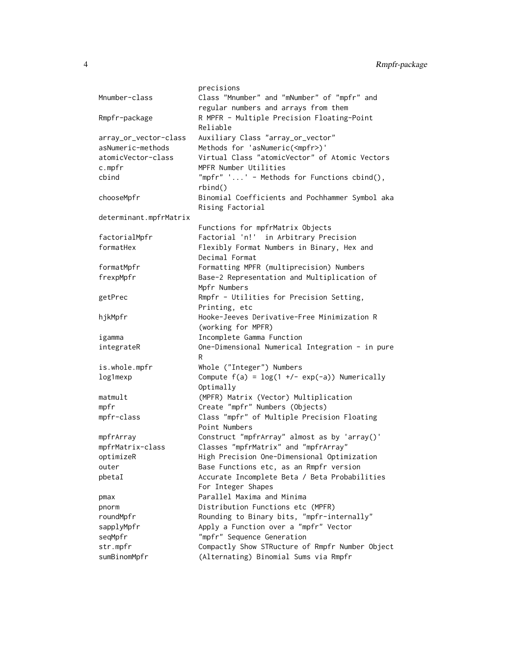```
precisions
Mnumber-class Class "Mnumber" and "mNumber" of "mpfr" and
                   regular numbers and arrays from them
Rmpfr-package R MPFR - Multiple Precision Floating-Point
                   Reliable
array_or_vector-class Auxiliary Class "array_or_vector"
asNumeric-methods Methods for 'asNumeric(<mpfr>)'
atomicVector-class Virtual Class "atomicVector" of Atomic Vectors
c.mpfr MPFR Number Utilities
cbind "mpfr" '...' - Methods for Functions cbind(),
                   rbind()
chooseMpfr Binomial Coefficients and Pochhammer Symbol aka
                   Rising Factorial
determinant.mpfrMatrix
                   Functions for mpfrMatrix Objects
factorialMpfr Factorial 'n!' in Arbitrary Precision
formatHex Flexibly Format Numbers in Binary, Hex and
                   Decimal Format
formatMpfr Formatting MPFR (multiprecision) Numbers
frexpMpfr Base-2 Representation and Multiplication of
                   Mpfr Numbers
getPrec Rmpfr - Utilities for Precision Setting,
                   Printing, etc
hjkMpfr Hooke-Jeeves Derivative-Free Minimization R
                   (working for MPFR)
igamma Incomplete Gamma Function
integrateR One-Dimensional Numerical Integration - in pure
                   R
is.whole.mpfr Whole ("Integer") Numbers
log1mexp Compute f(a) = log(1 +/- exp(-a)) Numerically
                   Optimally
matmult (MPFR) Matrix (Vector) Multiplication
mpfr Create "mpfr" Numbers (Objects)
mpfr-class Class "mpfr" of Multiple Precision Floating
                   Point Numbers
mpfrArray Construct "mpfrArray" almost as by 'array()'
mpfrMatrix-class Classes "mpfrMatrix" and "mpfrArray"
optimizeR High Precision One-Dimensional Optimization
outer Base Functions etc, as an Rmpfr version
pbetaI Accurate Incomplete Beta / Beta Probabilities
                   For Integer Shapes
pmax Parallel Maxima and Minima
pnorm Distribution Functions etc (MPFR)
roundMpfr Rounding to Binary bits, "mpfr-internally"
sapplyMpfr Apply a Function over a "mpfr" Vector
seqMpfr "mpfr" Sequence Generation
str.mpfr Compactly Show STRucture of Rmpfr Number Object
sumBinomMpfr (Alternating) Binomial Sums via Rmpfr
```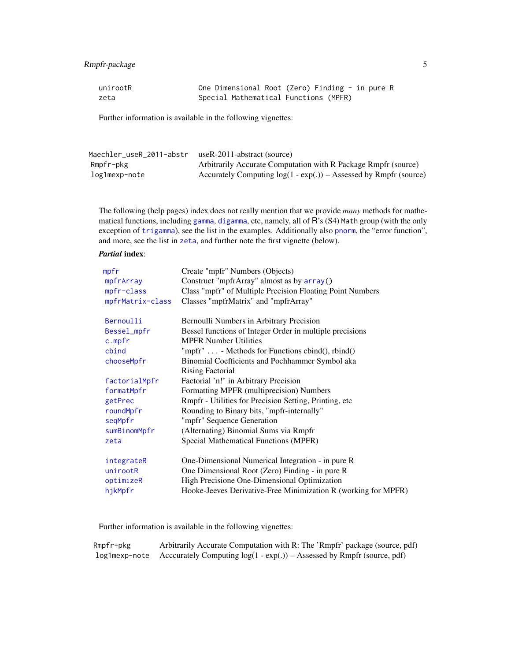# Rmpfr-package 5

| unirootR | One Dimensional Root (Zero) Finding - in pure R |  |
|----------|-------------------------------------------------|--|
| zeta     | Special Mathematical Functions (MPFR)           |  |

Further information is available in the following vignettes:

| Maechler_useR_2011-abstr | useR-2011-abstract (source)                                         |
|--------------------------|---------------------------------------------------------------------|
| Rmpfr-pkg                | Arbitrarily Accurate Computation with R Package Rmpfr (source)      |
| log1mexp-note            | Accurately Computing $log(1 - exp(.))$ – Assessed by Rmpfr (source) |

The following (help pages) index does not really mention that we provide *many* methods for mathematical functions, including [gamma](#page-0-0), [digamma](#page-0-0), etc, namely, all of R's (S4) Math group (with the only exception of [trigamma](#page-0-0)), see the list in the examples. Additionally also [pnorm](#page-43-1), the "error function", and more, see the list in [zeta](#page-44-1), and further note the first vignette (below).

# *Partial* index:

| mpfr             | Create "mpfr" Numbers (Objects)                                |
|------------------|----------------------------------------------------------------|
| mpfrArray        | Construct "mpfrArray" almost as by array()                     |
| mpfr-class       | Class "mpfr" of Multiple Precision Floating Point Numbers      |
| mpfrMatrix-class | Classes "mpfrMatrix" and "mpfrArray"                           |
| Bernoulli        | Bernoulli Numbers in Arbitrary Precision                       |
| Bessel_mpfr      | Bessel functions of Integer Order in multiple precisions       |
| c.mpfr           | <b>MPFR Number Utilities</b>                                   |
| cbind            | "mpfr"  - Methods for Functions cbind $($ ), rbind $($ )       |
| chooseMpfr       | Binomial Coefficients and Pochhammer Symbol aka                |
|                  | <b>Rising Factorial</b>                                        |
| factorialMpfr    | Factorial 'n!' in Arbitrary Precision                          |
| formatMpfr       | Formatting MPFR (multiprecision) Numbers                       |
| getPrec          | Rmpfr - Utilities for Precision Setting, Printing, etc.        |
| roundMpfr        | Rounding to Binary bits, "mpfr-internally"                     |
| seqMpfr          | "mpfr" Sequence Generation                                     |
| sumBinomMpfr     | (Alternating) Binomial Sums via Rmpfr                          |
| zeta             | Special Mathematical Functions (MPFR)                          |
| integrateR       | One-Dimensional Numerical Integration - in pure R              |
| unirootR         | One Dimensional Root (Zero) Finding - in pure R                |
| optimizeR        | High Precisione One-Dimensional Optimization                   |
| hjkMpfr          | Hooke-Jeeves Derivative-Free Minimization R (working for MPFR) |
|                  |                                                                |

Further information is available in the following vignettes:

| Rmpfr-pkg | Arbitrarily Accurate Computation with R: The 'Rmpfr' package (source, pdf)              |
|-----------|-----------------------------------------------------------------------------------------|
|           | log1mexp-note Acccurately Computing $log(1 - exp(.))$ – Assessed by Rmpfr (source, pdf) |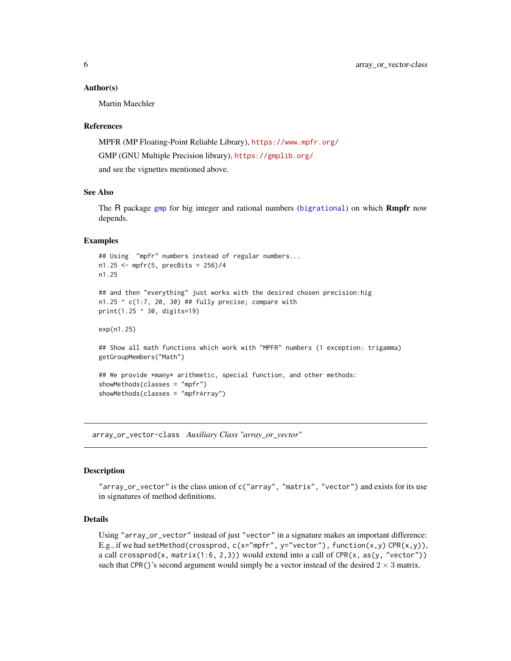#### <span id="page-5-0"></span>Author(s)

Martin Maechler

#### References

MPFR (MP Floating-Point Reliable Library), <https://www.mpfr.org/> GMP (GNU Multiple Precision library), <https://gmplib.org/> and see the vignettes mentioned above.

# See Also

The R package [gmp](#page-0-0) for big integer and rational numbers ([bigrational](#page-0-0)) on which **Rmpfr** now depends.

#### Examples

```
## Using "mpfr" numbers instead of regular numbers...
n1.25 <- mpfr(5, precBits = 256)/4
n1.25
## and then "everything" just works with the desired chosen precision:hig
n1.25 \textdegree c(1:7, 20, 30) ## fully precise; compare with
print(1.25 ^ 30, digits=19)
exp(n1.25)
## Show all math functions which work with "MPFR" numbers (1 exception: trigamma)
getGroupMembers("Math")
```

```
## We provide *many* arithmetic, special function, and other methods:
showMethods(classes = "mpfr")
showMethods(classes = "mpfrArray")
```
<span id="page-5-1"></span>array\_or\_vector-class *Auxiliary Class "array\_or\_vector"*

#### Description

"array\_or\_vector" is the class union of c("array", "matrix", "vector") and exists for its use in signatures of method definitions.

# Details

Using "array\_or\_vector" instead of just "vector" in a signature makes an important difference: E.g., if we had setMethod(crossprod,  $c(x="mpfr"$ ,  $y="vector")$ , function(x,y) CPR(x,y)), a call crossprod(x, matrix(1:6, 2,3)) would extend into a call of CPR(x, as(y, "vector")) such that CPR()'s second argument would simply be a vector instead of the desired  $2 \times 3$  matrix.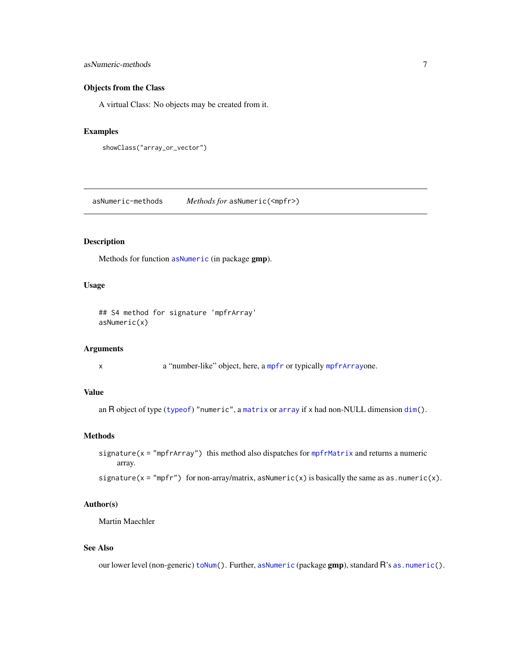# <span id="page-6-0"></span>asNumeric-methods 7

# Objects from the Class

A virtual Class: No objects may be created from it.

#### Examples

```
showClass("array_or_vector")
```
asNumeric-methods *Methods for* asNumeric(<mpfr>)

# Description

Methods for function [asNumeric](#page-0-0) (in package gmp).

# Usage

## S4 method for signature 'mpfrArray' asNumeric(x)

# Arguments

x a "number-like" object, here, a [mpfr](#page-37-1) or typically [mpfrArray](#page-53-1)one.

# Value

```
an R object of type (typeof) "numeric", a matrix or array if x had non-NULL dimension dim().
```
# Methods

```
signature(x = "mpfrArray") this method also dispatches for mpfrMatrix and returns a numeric
     array.
```
signature( $x = "mpfr"$ ) for non-array/matrix, asNumeric( $x$ ) is basically the same as as.numeric( $x$ ).

# Author(s)

Martin Maechler

# See Also

our lower level (non-generic) [toNum\(](#page-46-1)). Further, [asNumeric](#page-0-0) (package gmp), standard R's [as.numeric\(](#page-0-0)).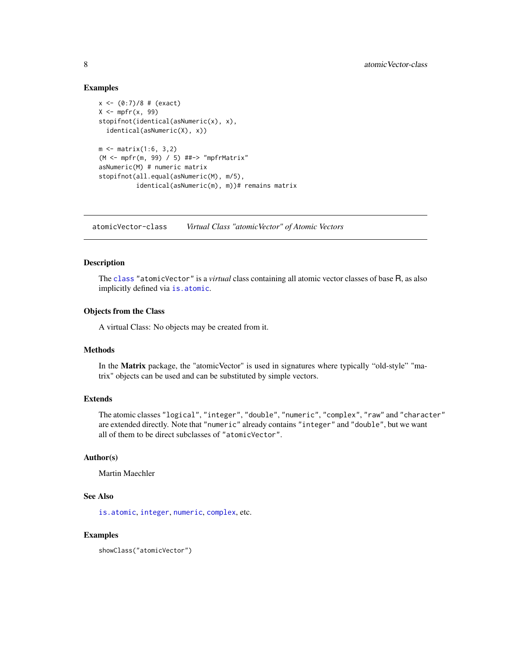# Examples

```
x \le -(0.7)/8 # (exact)
X \leftarrow mpfr(x, 99)stopifnot(identical(asNumeric(x), x),
  identical(asNumeric(X), x))
m < - matrix(1:6, 3,2)
(M <- mpfr(m, 99) / 5) ##-> "mpfrMatrix"
asNumeric(M) # numeric matrix
stopifnot(all.equal(asNumeric(M), m/5),
          identical(asNumeric(m), m))# remains matrix
```
atomicVector-class *Virtual Class "atomicVector" of Atomic Vectors*

#### Description

The [class](#page-0-0) "atomicVector" is a *virtual* class containing all atomic vector classes of base R, as also implicitly defined via [is.atomic](#page-0-0).

# Objects from the Class

A virtual Class: No objects may be created from it.

#### Methods

In the Matrix package, the "atomicVector" is used in signatures where typically "old-style" "matrix" objects can be used and can be substituted by simple vectors.

### Extends

The atomic classes "logical", "integer", "double", "numeric", "complex", "raw" and "character" are extended directly. Note that "numeric" already contains "integer" and "double", but we want all of them to be direct subclasses of "atomicVector".

#### Author(s)

Martin Maechler

# See Also

[is.atomic](#page-0-0), [integer](#page-0-0), [numeric](#page-0-0), [complex](#page-0-0), etc.

# Examples

showClass("atomicVector")

<span id="page-7-0"></span>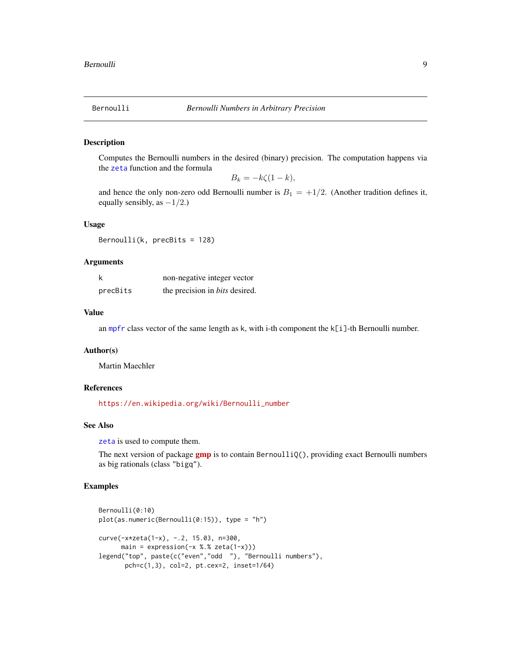<span id="page-8-1"></span><span id="page-8-0"></span>

#### Description

Computes the Bernoulli numbers in the desired (binary) precision. The computation happens via the [zeta](#page-44-1) function and the formula

$$
B_k = -k\zeta(1-k),
$$

and hence the only non-zero odd Bernoulli number is  $B_1 = +1/2$ . (Another tradition defines it, equally sensibly, as  $-1/2$ .)

# Usage

Bernoulli(k, precBits = 128)

#### Arguments

|          | non-negative integer vector           |
|----------|---------------------------------------|
| precBits | the precision in <i>bits</i> desired. |

#### Value

an [mpfr](#page-37-1) class vector of the same length as  $k$ , with i-th component the  $k[i]$ -th Bernoulli number.

#### Author(s)

Martin Maechler

#### References

[https://en.wikipedia.org/wiki/Bernoulli\\_number](https://en.wikipedia.org/wiki/Bernoulli_number)

# See Also

[zeta](#page-44-1) is used to compute them.

The next version of package **[gmp](https://CRAN.R-project.org/package=gmp)** is to contain BernoulliQ(), providing exact Bernoulli numbers as big rationals (class "bigq").

```
Bernoulli(0:10)
plot(as.numeric(Bernoulli(0:15)), type = "h")
curve(-x*zeta(1-x), -.2, 15.03, n=300,
     main = expression(-x %. % zeta(1-x)))legend("top", paste(c("even","odd "), "Bernoulli numbers"),
      pch=c(1,3), col=2, pt.cex=2, inset=1/64)
```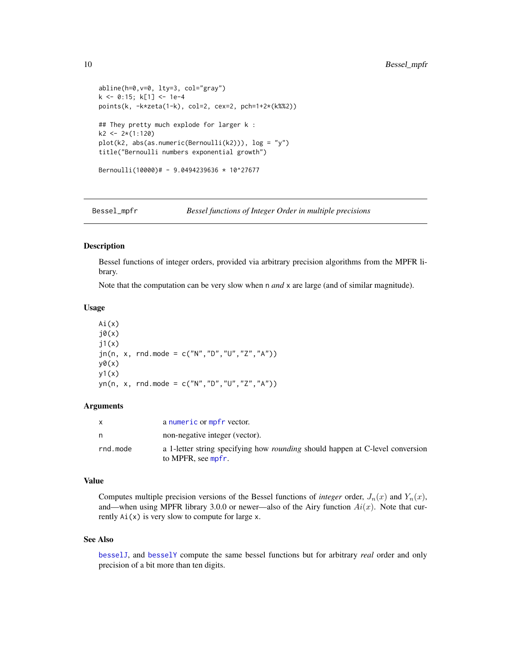```
abline(h=0,v=0, lty=3, col="gray")
k <- 0:15; k[1] <- 1e-4
points(k, -k*zeta(1-k), col=2, cex=2, pch=1+2*(k%%2))
## They pretty much explode for larger k :
k2 <- 2*(1:120)
plot(k2, abs(as.numeric(Bernoulli(k2))), log = "y")
title("Bernoulli numbers exponential growth")
Bernoulli(10000)# - 9.0494239636 * 10^27677
```
<span id="page-9-1"></span>Bessel\_mpfr *Bessel functions of Integer Order in multiple precisions*

#### Description

Bessel functions of integer orders, provided via arbitrary precision algorithms from the MPFR library.

Note that the computation can be very slow when n *and* x are large (and of similar magnitude).

#### Usage

 $Ai(x)$  $j\theta(x)$  $j1(x)$  $jn(n, x, rnd.$ mode = c("N","D","U","Z","A"))  $y\theta(x)$  $y1(x)$ yn(n, x, rnd.mode = c("N","D","U","Z","A"))

#### Arguments

| X        | a numeric or mpfr vector.                                                                                  |
|----------|------------------------------------------------------------------------------------------------------------|
| n        | non-negative integer (vector).                                                                             |
| rnd.mode | a 1-letter string specifying how <i>rounding</i> should happen at C-level conversion<br>to MPFR, see mpfr. |

# Value

Computes multiple precision versions of the Bessel functions of *integer* order,  $J_n(x)$  and  $Y_n(x)$ , and—when using MPFR library 3.0.0 or newer—also of the Airy function  $Ai(x)$ . Note that currently  $Ai(x)$  is very slow to compute for large x.

#### See Also

[besselJ](#page-0-0), and [besselY](#page-0-0) compute the same bessel functions but for arbitrary *real* order and only precision of a bit more than ten digits.

<span id="page-9-0"></span>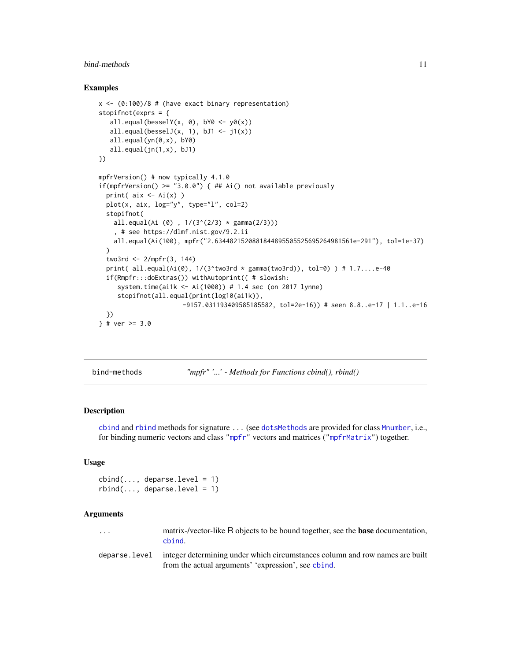# <span id="page-10-0"></span>bind-methods 11

#### Examples

```
x \leq (0:100)/8 # (have exact binary representation)
stopifnot(exprs = {
  all.equal(besselY(x, 0), bY0 \leq -y0(x))
  all.equal(besselJ(x, 1), bJ1 \leftarrow j1(x))
  all.equal(yn(0,x), bY0)
   all.equal(jn(1,x), bJ1)
})
mpfrVersion() # now typically 4.1.0
if(mpfrVersion() >= "3.0.0") { ## Ai() not available previously
 print( aix \leftarrow Ai(x) )
 plot(x, aix, log='y", type='l", col=2)stopifnot(
    all.equal(Ai (0), 1/(3^(2/3) * gamma(2/3))), # see https://dlmf.nist.gov/9.2.ii
   all.equal(Ai(100), mpfr("2.6344821520881844895505525695264981561e-291"), tol=1e-37)
 \lambdatwo3rd <- 2/mpfr(3, 144)
 print( all.equal(Ai(0), 1/(3^two3rd * gamma(two3rd)), tol=0) ) # 1.7....e-40
 if(Rmpfr:::doExtras()) withAutoprint({ # slowish:
     system.time(ai1k <- Ai(1000)) # 1.4 sec (on 2017 lynne)
     stopifnot(all.equal(print(log10(ai1k)),
                       -9157.031193409585185582, tol=2e-16)) # seen 8.8..e-17 | 1.1..e-16
 })
\} # ver >= 3.0
```
bind-methods *"mpfr" '...' - Methods for Functions cbind(), rbind()*

#### <span id="page-10-1"></span>Description

[cbind](#page-10-1) and [rbind](#page-10-1) methods for signature ... (see [dotsMethods](#page-0-0) are provided for class [Mnumber](#page-34-1), i.e., for binding numeric vectors and class ["mpfr"](#page-37-1) vectors and matrices (["mpfrMatrix"](#page-53-1)) together.

#### Usage

```
cbind(..., deparse.level = 1)rbind(..., deparse.level = 1)
```
# Arguments

| . |  | cbind. |  |  |                                                                                                                                                                                                                                   |  | matrix-/vector-like R objects to be bound together, see the <b>base</b> documentation, |  |
|---|--|--------|--|--|-----------------------------------------------------------------------------------------------------------------------------------------------------------------------------------------------------------------------------------|--|----------------------------------------------------------------------------------------|--|
|   |  |        |  |  | $\mathbf{r}$ , and the contract of the contract of the contract of the contract of the contract of the contract of the contract of the contract of the contract of the contract of the contract of the contract of the contract o |  |                                                                                        |  |

deparse.level integer determining under which circumstances column and row names are built from the actual arguments' 'expression', see [cbind](#page-10-1).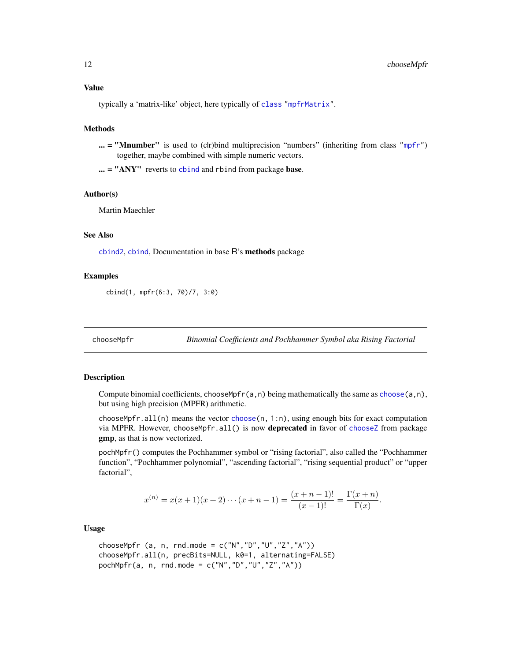<span id="page-11-0"></span>typically a 'matrix-like' object, here typically of [class](#page-0-0) ["mpfrMatrix"](#page-53-1).

# Methods

 $\ldots$  = "Mnumber" is used to (clr)bind multiprecision "numbers" (inheriting from class ["mpfr"](#page-37-1)) together, maybe combined with simple numeric vectors.

... = "ANY" reverts to [cbind](#page-10-1) and rbind from package base.

#### Author(s)

Martin Maechler

# See Also

[cbind2](#page-0-0), [cbind](#page-10-1), Documentation in base R's methods package

# Examples

cbind(1, mpfr(6:3, 70)/7, 3:0)

<span id="page-11-1"></span>chooseMpfr *Binomial Coefficients and Pochhammer Symbol aka Rising Factorial*

#### <span id="page-11-2"></span>Description

Compute binomial coefficients, chooseMpfr(a, n) being mathematically the same as [choose\(](#page-0-0)a, n), but using high precision (MPFR) arithmetic.

chooseMpfr.all(n) means the vector [choose\(](#page-0-0)n, 1:n), using enough bits for exact computation via MPFR. However, chooseMpfr.all() is now deprecated in favor of [chooseZ](#page-0-0) from package gmp, as that is now vectorized.

pochMpfr() computes the Pochhammer symbol or "rising factorial", also called the "Pochhammer function", "Pochhammer polynomial", "ascending factorial", "rising sequential product" or "upper factorial",

$$
x^{(n)} = x(x+1)(x+2)\cdots(x+n-1) = \frac{(x+n-1)!}{(x-1)!} = \frac{\Gamma(x+n)}{\Gamma(x)}.
$$

Usage

chooseMpfr (a, n, rnd.mode =  $c("N", "D", "U", "Z", "A"))$ chooseMpfr.all(n, precBits=NULL, k0=1, alternating=FALSE) pochMpfr(a, n, rnd.mode =  $c("N", "D", "U", "Z", "A")$ )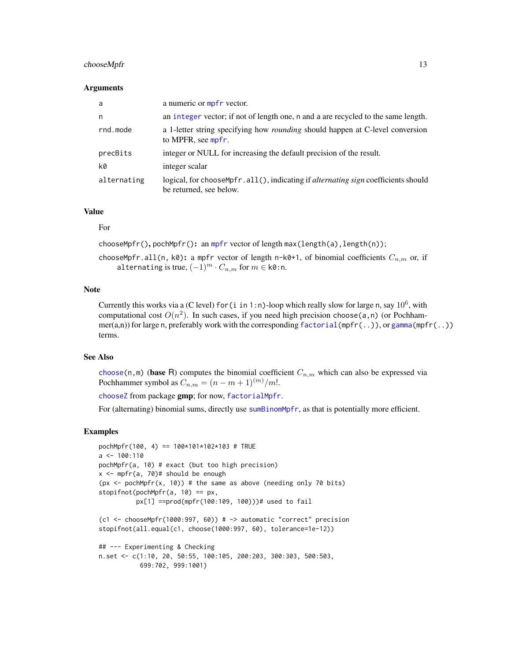# chooseMpfr 13

#### Arguments

| a           | a numeric or mpfr vector.                                                                                             |
|-------------|-----------------------------------------------------------------------------------------------------------------------|
| n           | an integer vector; if not of length one, n and a are recycled to the same length.                                     |
| rnd.mode    | a 1-letter string specifying how <i>rounding</i> should happen at C-level conversion<br>to MPFR, see mpfr.            |
| precBits    | integer or NULL for increasing the default precision of the result.                                                   |
| k0          | integer scalar                                                                                                        |
| alternating | logical, for choose Mpfr. all(), indicating if <i>alternating sign</i> coefficients should<br>be returned, see below. |

# Value

# For

chooseMpfr(), pochMpfr(): an [mpfr](#page-37-1) vector of length max(length(a), length(n));

chooseMpfr.all(n, k0): a mpfr vector of length n-k0+1, of binomial coefficients  $C_{n,m}$  or, if alternating is true,  $(-1)^m \cdot C_{n,m}$  for  $m \in k\mathbb{0}$ :n.

# Note

Currently this works via a (C level) for (i in 1:n)-loop which really slow for large n, say  $10^6$ , with computational cost  $O(n^2)$ . In such cases, if you need high precision choose(a,n) (or Pochhammer(a,n)) for large n, preferably work with the corresponding [factorial\(](#page-0-0)mpfr(..)), or [gamma\(](#page-0-0)mpfr(..)) terms.

# See Also

[choose\(](#page-0-0)n,m) (base R) computes the binomial coefficient  $C_{n,m}$  which can also be expressed via Pochhammer symbol as  $C_{n,m} = (n - m + 1)^{(m)}/m!$ .

[chooseZ](#page-0-0) from package gmp; for now, [factorialMpfr](#page-13-1).

For (alternating) binomial sums, directly use [sumBinomMpfr](#page-68-1), as that is potentially more efficient.

```
pochMpfr(100, 4) == 100*101*102*103 # TRUE
a \leq -100:110pochMpfr(a, 10) # exact (but too high precision)
x \le - mpfr(a, 70)# should be enough
(px \le -pochMpfr(x, 10)) # the same as above (needing only 70 bits)
stopifnot(pochMpfr(a, 10) == px,px[1] ==prod(mpfr(100:109, 100)))# used to fail
(c1 < - chooseMpfr(1000:997, 60)) # \rightarrow automatic "correct" precision
stopifnot(all.equal(c1, choose(1000:997, 60), tolerance=1e-12))
## --- Experimenting & Checking
n.set <- c(1:10, 20, 50:55, 100:105, 200:203, 300:303, 500:503,
           699:702, 999:1001)
```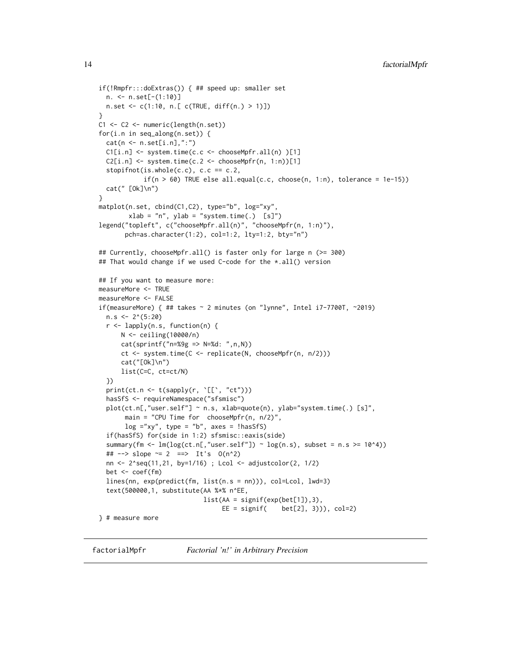```
if(!Rmpfr:::doExtras()) { ## speed up: smaller set
  n. <- n.set[-(1:10)]
 n.set <- c(1:10, n.[ c(TRUE, diff(n.) > 1)])
}
C1 <- C2 <- numeric(length(n.set))
for(i.n in seq_along(n.set)) {
  cat(n \leq n.set[i.n], ":")C1[i..n] \leftarrow system.time(c.c \leftarrow chooseMpfr.all(n) [1]C2[i..n] \leftarrow system.time(c.2 \leftarrow chosenPfr(n, 1:n)[1]stopifnot(is.whole(c.c), c.c == c.2,
            if(n > 60) TRUE else all.equal(c.c, choose(n, 1:n), tolerance = 1e-15))
  cat(" [Ok]\n")
}
matplot(n.set, cbind(C1,C2), type="b", log="xy",
        xlab = "n", ylab = "system.time(.) [s]")legend("topleft", c("chooseMpfr.all(n)", "chooseMpfr(n, 1:n)"),
       pch=as.character(1:2), col=1:2, lty=1:2, bty="n")
## Currently, chooseMpfr.all() is faster only for large n (>= 300)
## That would change if we used C-code for the *.all() version
## If you want to measure more:
measureMore <- TRUE
measureMore <- FALSE
if(measureMore) { ## takes ~ 2 minutes (on "lynne", Intel i7-7700T, ~2019)
  n.s < -2^(5:20)r <- lapply(n.s, function(n) {
      N <- ceiling(10000/n)
      cat(sprintf("n=%9g => N=%d: ",n,N))
      ct <- system.time(C <- replicate(N, chooseMpfr(n, n/2)))
      cat("[Ok]\n")
      list(C=C, ct=ct/N)
  })
  print(ct.n <- t(sapply(r, `[[`, "ct")))
  hasSfS <- requireNamespace("sfsmisc")
  plot(ct.n[,"user.self"] ~ n.s, xlab=quote(n), ylab="system.time(.) [s]",
       main = "CPU Time for chooseMpfr(n, n/2)",
       log = "xy", type = "b", axes = !hasSfS)if(hasSfS) for(side in 1:2) sfsmisc::eaxis(side)
  summary(fm <- lm(log(ct.n[, "user.self") \sim log(n.s), subset = n.s \ge 10^4))
  ## --> slope \approx 2 ==> It's 0(n^2)
  nn <- 2^seq(11,21, by=1/16) ; Lcol <- adjustcolor(2, 1/2)
  bet <- coef(fm)
  lines(nn, exp(predict(fm, list(n.s = nn))), col=Lcol, lwd=3)
  text(500000,1, substitute(AA %*% n^EE,
                            list(AA = signif(exp(bet[1]), 3),EE = signif( bet[2], 3))), col=2)
```
} # measure more

<span id="page-13-1"></span>factorialMpfr *Factorial 'n!' in Arbitrary Precision*

<span id="page-13-0"></span>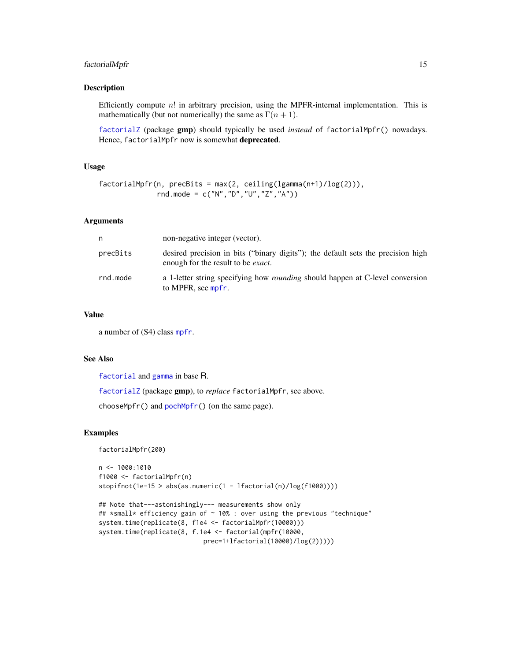# factorialMpfr 15

# Description

Efficiently compute  $n!$  in arbitrary precision, using the MPFR-internal implementation. This is mathematically (but not numerically) the same as  $\Gamma(n + 1)$ .

[factorialZ](#page-0-0) (package gmp) should typically be used *instead* of factorialMpfr() nowadays. Hence, factorialMpfr now is somewhat deprecated.

# Usage

```
factorialMpr(n, precBits = max(2, ceiling(lgamma(n+1)/log(2))),rnd.mode = c("N","D","U","Z","A"))
```
# Arguments

| n        | non-negative integer (vector).                                                                                                 |
|----------|--------------------------------------------------------------------------------------------------------------------------------|
| precBits | desired precision in bits ("binary digits"); the default sets the precision high<br>enough for the result to be <i>exact</i> . |
| rnd.mode | a 1-letter string specifying how <i>rounding</i> should happen at C-level conversion<br>to MPFR, see mpfr.                     |

#### Value

a number of (S4) class [mpfr](#page-37-1).

# See Also

[factorial](#page-0-0) and [gamma](#page-0-0) in base R.

[factorialZ](#page-0-0) (package gmp), to *replace* factorialMpfr, see above.

chooseMpfr() and [pochMpfr\(](#page-11-2)) (on the same page).

```
factorialMpfr(200)
```

```
n \leq 1000:1010f1000 <- factorialMpfr(n)
stopifnot(1e-15 > abs(as.numeric(1 - 1factorial(n)/log(f1000)))
```

```
## Note that---astonishingly--- measurements show only
## *small* efficiency gain of ~ 10% : over using the previous "technique"
system.time(replicate(8, f1e4 <- factorialMpfr(10000)))
system.time(replicate(8, f.1e4 <- factorial(mpfr(10000,
                           prec=1+lfactorial(10000)/log(2)))))
```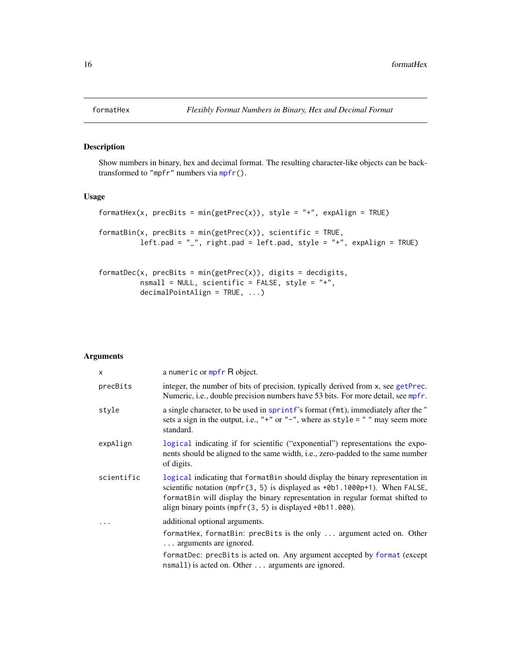<span id="page-15-0"></span>

# <span id="page-15-1"></span>Description

Show numbers in binary, hex and decimal format. The resulting character-like objects can be backtransformed to "mpfr" numbers via [mpfr\(](#page-35-1)).

#### Usage

```
formatHex(x, precBits = min(getPrec(x)), style = "+", expAlign = TRUE)
formatBin(x, precBits = min(getPrec(x)), scientific = TRUE,
         left.pad = "_", right.pad = left.pad, style = "+", expAlign = TRUE)
```

```
formatDec(x, precBits = min(getPrec(x)), digits = decdigits,nsmall = NULL, scientific = FALSE, style = "+",
         decimalPointAlign = TRUE, ...)
```
#### Arguments

| $\mathsf{x}$ | a numeric or mpfr R object.                                                                                                                                                                                                                                                                               |
|--------------|-----------------------------------------------------------------------------------------------------------------------------------------------------------------------------------------------------------------------------------------------------------------------------------------------------------|
| precBits     | integer, the number of bits of precision, typically derived from x, see getPrec.<br>Numeric, i.e., double precision numbers have 53 bits. For more detail, see mpfr.                                                                                                                                      |
| style        | a single character, to be used in sprintf's format (fmt), immediately after the "<br>sets a sign in the output, i.e., "+" or "-", where as style = " " may seem more<br>standard.                                                                                                                         |
| expAlign     | logical indicating if for scientific ("exponential") representations the expo-<br>nents should be aligned to the same width, i.e., zero-padded to the same number<br>of digits.                                                                                                                           |
| scientific   | logical indicating that format Bin should display the binary representation in<br>scientific notation (mpfr(3, 5) is displayed as +0b1.1000p+1). When FALSE,<br>formatBin will display the binary representation in regular format shifted to<br>align binary points (mpfr(3, 5) is displayed +0b11.000). |
| .            | additional optional arguments.                                                                                                                                                                                                                                                                            |
|              | formatHex, formatBin: precBits is the only  argument acted on. Other<br>arguments are ignored.                                                                                                                                                                                                            |
|              | formatDec: precBits is acted on. Any argument accepted by format (except<br>nsmall) is acted on. Other  arguments are ignored.                                                                                                                                                                            |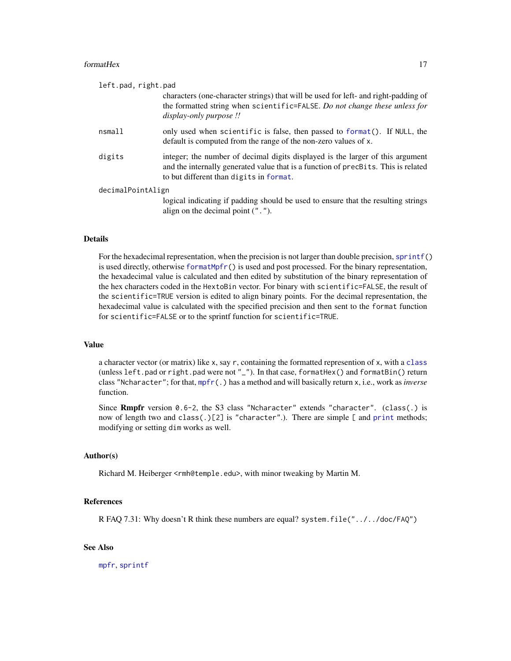#### formatHex 17

| left.pad, right.pad                                                                                                                                                                                             |
|-----------------------------------------------------------------------------------------------------------------------------------------------------------------------------------------------------------------|
| characters (one-character strings) that will be used for left- and right-padding of<br>the formatted string when scientific=FALSE. Do not change these unless for<br>display-only purpose !!                    |
| only used when scientific is false, then passed to format(). If NULL, the<br>default is computed from the range of the non-zero values of x.                                                                    |
| integer; the number of decimal digits displayed is the larger of this argument<br>and the internally generated value that is a function of precBits. This is related<br>to but different than digits in format. |
| decimalPointAlign                                                                                                                                                                                               |
| logical indicating if padding should be used to ensure that the resulting strings<br>align on the decimal point $($ " $\cdot$ " $)$ .                                                                           |
|                                                                                                                                                                                                                 |

# Details

For the hexadecimal representation, when the precision is not larger than double precision, [sprintf\(](#page-0-0)) is used directly, otherwise [formatMpfr\(](#page-18-1)) is used and post processed. For the binary representation, the hexadecimal value is calculated and then edited by substitution of the binary representation of the hex characters coded in the HextoBin vector. For binary with scientific=FALSE, the result of the scientific=TRUE version is edited to align binary points. For the decimal representation, the hexadecimal value is calculated with the specified precision and then sent to the format function for scientific=FALSE or to the sprintf function for scientific=TRUE.

#### Value

a character vector (or matrix) like x, say r, containing the formatted represention of x, with a [class](#page-0-0) (unless left.pad or right.pad were not "\_"). In that case, formatHex() and formatBin() return class "Ncharacter"; for that, [mpfr\(](#page-35-1).) has a method and will basically return x, i.e., work as *inverse* function.

Since Rmpfr version 0.6-2, the S3 class "Ncharacter" extends "character". (class(.) is now of length two and class(.)[2] is "character".). There are simple [ and [print](#page-0-0) methods; modifying or setting dim works as well.

#### Author(s)

Richard M. Heiberger <rmh@temple.edu>, with minor tweaking by Martin M.

#### References

R FAQ 7.31: Why doesn't R think these numbers are equal? system.file("../../doc/FAQ")

# See Also

[mpfr](#page-35-1), [sprintf](#page-0-0)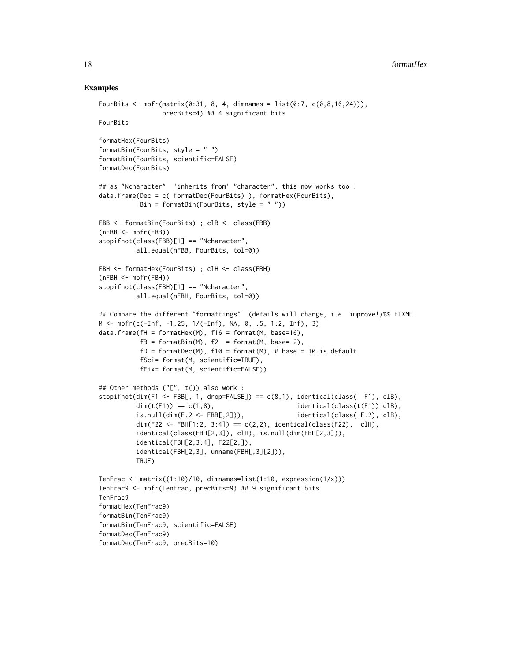```
FourBits <- mpfr(matrix(0:31, 8, 4, dimnames = list(0:7, c(0,8,16,24))),
                precBits=4) ## 4 significant bits
FourBits
formatHex(FourBits)
formatBin(FourBits, style = " ")
formatBin(FourBits, scientific=FALSE)
formatDec(FourBits)
## as "Ncharacter" 'inherits from' "character", this now works too :
data.frame(Dec = c( formatDec(FourBits) ), formatHex(FourBits),
          Bin = formatBin(FourBits, style = " "))
FBB <- formatBin(FourBits) ; clB <- class(FBB)
(nFBB <- mpfr(FBB))
stopifnot(class(FBB)[1] == "Ncharacter",
          all.equal(nFBB, FourBits, tol=0))
FBH <- formatHex(FourBits) ; clH <- class(FBH)
(nFBH <- mpfr(FBH))
stopifnot(class(FBH)[1] == "Ncharacter",
          all.equal(nFBH, FourBits, tol=0))
## Compare the different "formattings" (details will change, i.e. improve!)%% FIXME
M \le m\text{pfr}(c(-Inf, -1.25, 1/(-Inf), NA, 0, .5, 1:2, Inf), 3)data.frame(fH = formatHex(M), f16 = format(M, base=16),
          fB = formatBin(M), f2 = format(M, base= 2),fD = formatDec(M), f10 = format(M), # base = 10 is defaultfSci= format(M, scientific=TRUE),
          fFix= format(M, scientific=FALSE))
## Other methods ("[", t()) also work :
stopifnot(dim(F1 <- FBB[, 1, drop=FALSE]) == c(8,1), identical(class( F1), clB),
         dim(t(F1)) == c(1,8), identical(class(t(F1)),clB),
          is.null(dim(F.2 \leftarrow FBB[,2])), identical(class( F.2), clB),
          dim(F22 <- FBH[1:2, 3:4]) == c(2,2), identical(class(F22), clH),
          identical(class(FBH[2,3]), clH), is.null(dim(FBH[2,3])),
          identical(FBH[2,3:4], F22[2,]),
          identical(FBH[2,3], unname(FBH[,3][2])),
         TRUE)
TenFrac \leq matrix((1:10)/10, dimnames=list(1:10, expression(1/x)))
TenFrac9 <- mpfr(TenFrac, precBits=9) ## 9 significant bits
TenFrac9
formatHex(TenFrac9)
formatBin(TenFrac9)
formatBin(TenFrac9, scientific=FALSE)
formatDec(TenFrac9)
formatDec(TenFrac9, precBits=10)
```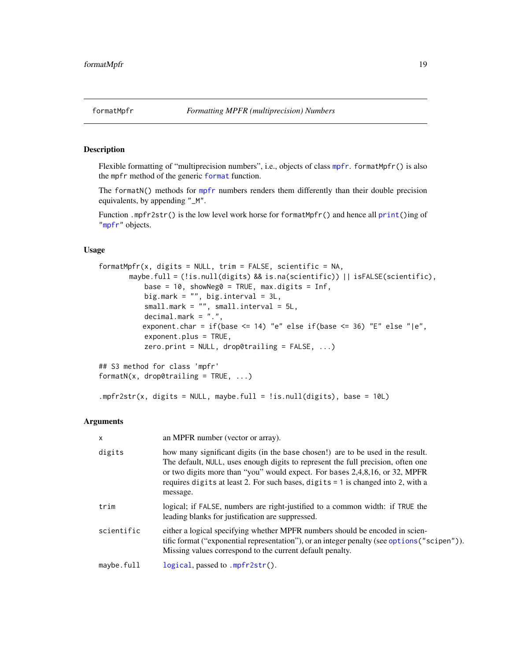# <span id="page-18-2"></span><span id="page-18-1"></span><span id="page-18-0"></span>**Description**

Flexible formatting of "multiprecision numbers", i.e., objects of class [mpfr](#page-37-1). formatMpfr() is also the mpfr method of the generic [format](#page-0-0) function.

The formatN() methods for [mpfr](#page-37-1) numbers renders them differently than their double precision equivalents, by appending "\_M".

Function .mpfr2str() is the low level work horse for formatMpfr() and hence all [print\(](#page-0-0))ing of ["mpfr"](#page-37-1) objects.

# Usage

```
formatMpfr(x, digits = NULL, trim = FALSE, scientific = NA,maybe.full = (!is.null(digits) && is.na(scientific)) || isFALSE(scientific),
           base = 10, showNeg0 = TRUE, max.digits = Inf,
          big.mark = ", big.interval = 3L,
           small.mark = "", small.interval = 5L,
          decimal.mark = ".",
          exponent.char = if(base <= 14) "e" else if(base <= 36) "E" else "|e",
          exponent.plus = TRUE,zero.print = NULL, drop@training = FALSE, ...)## S3 method for class 'mpfr'
formatN(x, drop0trailing = TRUE, ...)
```
.mpfr2str(x, digits = NULL, maybe.full = !is.null(digits), base =  $10L$ )

#### Arguments

| $\mathsf{x}$ | an MPFR number (vector or array).                                                                                                                                                                                                                                                                                                                  |
|--------------|----------------------------------------------------------------------------------------------------------------------------------------------------------------------------------------------------------------------------------------------------------------------------------------------------------------------------------------------------|
| digits       | how many significant digits (in the base chosen!) are to be used in the result.<br>The default, NULL, uses enough digits to represent the full precision, often one<br>or two digits more than "you" would expect. For bases 2,4,8,16, or 32, MPFR<br>requires digits at least 2. For such bases, digits = 1 is changed into 2, with a<br>message. |
| trim         | logical; if FALSE, numbers are right-justified to a common width: if TRUE the<br>leading blanks for justification are suppressed.                                                                                                                                                                                                                  |
| scientific   | either a logical specifying whether MPFR numbers should be encoded in scien-<br>tific format ("exponential representation"), or an integer penalty (see options ("scipen")).<br>Missing values correspond to the current default penalty.                                                                                                          |
| maybe.full   | $logical$ , passed to .mpfr2str().                                                                                                                                                                                                                                                                                                                 |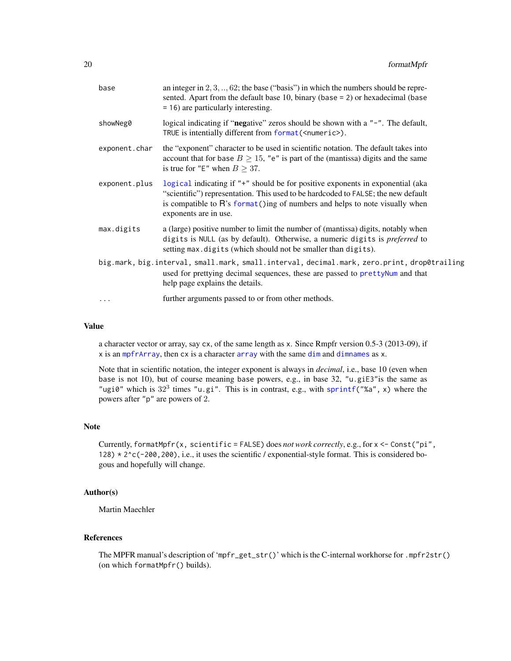| base          | an integer in $2, 3, \ldots, 62$ ; the base ("basis") in which the numbers should be repre-<br>sented. Apart from the default base $10$ , binary (base = 2) or hexadecimal (base<br>$= 16$ ) are particularly interesting.                                                   |
|---------------|------------------------------------------------------------------------------------------------------------------------------------------------------------------------------------------------------------------------------------------------------------------------------|
| showNeg0      | logical indicating if "negative" zeros should be shown with a "-". The default,<br>TRUE is intentially different from format ( <numeric>).</numeric>                                                                                                                         |
| exponent.char | the "exponent" character to be used in scientific notation. The default takes into<br>account that for base $B \ge 15$ , "e" is part of the (mantissa) digits and the same<br>is true for "E" when $B \geq 37$ .                                                             |
| exponent.plus | logical indicating if "+" should be for positive exponents in exponential (aka<br>"scientific") representation. This used to be hardcoded to FALSE; the new default<br>is compatible to R's format ()ing of numbers and helps to note visually when<br>exponents are in use. |
| max.digits    | a (large) positive number to limit the number of (mantissa) digits, notably when<br>digits is NULL (as by default). Otherwise, a numeric digits is <i>preferred</i> to<br>setting max.digits (which should not be smaller than digits).                                      |
|               | big.mark, big.interval, small.mark, small.interval, decimal.mark, zero.print, drop0trailing<br>used for prettying decimal sequences, these are passed to prettyNum and that<br>help page explains the details.                                                               |
| $\ddotsc$     | further arguments passed to or from other methods.                                                                                                                                                                                                                           |

# Value

a character vector or array, say cx, of the same length as x. Since Rmpfr version 0.5-3 (2013-09), if x is an [mpfrArray](#page-53-1), then cx is a character [array](#page-0-0) with the same [dim](#page-0-0) and [dimnames](#page-0-0) as x.

Note that in scientific notation, the integer exponent is always in *decimal*, i.e., base 10 (even when base is not 10), but of course meaning base powers, e.g., in base 32, "u.giE3"is the same as "ugi0" which is  $32<sup>3</sup>$  times "u.gi". This is in contrast, e.g., with [sprintf\(](#page-0-0)"%a", x) where the powers after "p" are powers of 2.

# Note

Currently, formatMpfr(x, scientific = FALSE) does *not work correctly*, e.g., for x <- Const("pi", 128) \* 2^c(-200,200), i.e., it uses the scientific / exponential-style format. This is considered bogous and hopefully will change.

# Author(s)

Martin Maechler

# References

The MPFR manual's description of 'mpfr\_get\_str()' which is the C-internal workhorse for .mpfr2str() (on which formatMpfr() builds).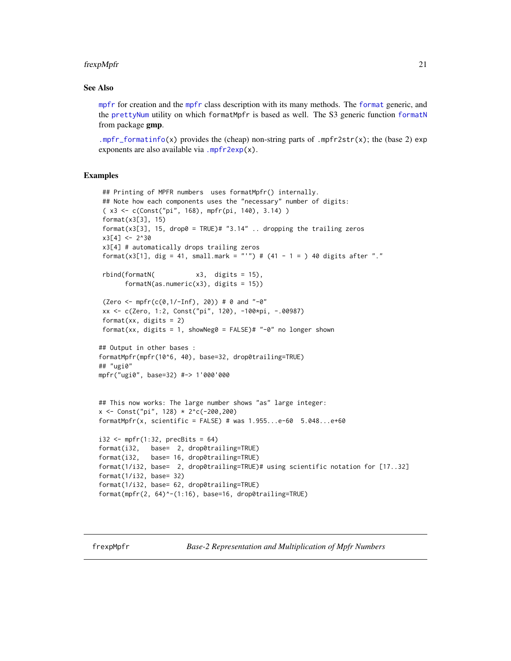#### <span id="page-20-0"></span>frexpMpfr 21

#### See Also

[mpfr](#page-35-1) for creation and the [mpfr](#page-37-1) class description with its many methods. The [format](#page-0-0) generic, and the [prettyNum](#page-0-0) utility on which formatMpfr is based as well. The S3 generic function [formatN](#page-0-0) from package gmp.

[.mpfr\\_formatinfo\(](#page-46-1)x) provides the (cheap) non-string parts of .mpfr2str(x); the (base 2) exp exponents are also available via .mpfr2exp $(x)$ .

# Examples

```
## Printing of MPFR numbers uses formatMpfr() internally.
 ## Note how each components uses the "necessary" number of digits:
 ( x3 <- c(Const("pi", 168), mpfr(pi, 140), 3.14) )
 format(x3[3], 15)
 format(x3[3], 15, drop0 = TRUE)# "3.14" .. dropping the trailing zeros
 x3[4] < -2^30x3[4] # automatically drops trailing zeros
 format(x3[1], dig = 41, small.mark = "'") # (41 - 1 = ) 40 digits after "."
 rbind(formatN( x3, digits = 15),
      formatN(as.numeric(x3), digits = 15)(Zero \leq mpr(c(0, 1/-Inf), 20)) # 0 and "–0"xx <- c(Zero, 1:2, Const("pi", 120), -100*pi, -.00987)
 format(xx, digits = 2)
 format(xx, digits = 1, showNeg0 = FALSE)# "-0" no longer shown
## Output in other bases :
formatMpfr(mpfr(10^6, 40), base=32, drop0trailing=TRUE)
## "ugi0"
mpfr("ugi0", base=32) #-> 1'000'000
## This now works: The large number shows "as" large integer:
x \le Const("pi", 128) * 2^c(-200,200)
formatMpfr(x, scientific = FALSE) # was 1.955...e-60 5.048...e+60i32 \leftarrow mpfr(1:32, precBits = 64)format(i32, base= 2, drop0trailing=TRUE)
format(i32, base= 16, drop0trailing=TRUE)
format(1/i32, base= 2, drop0trailing=TRUE)# using scientific notation for [17..32]
format(1/i32, base= 32)
format(1/i32, base= 62, drop0trailing=TRUE)
format(mpfr(2, 64)^-(1:16), base=16, drop0trailing=TRUE)
```
frexpMpfr *Base-2 Representation and Multiplication of Mpfr Numbers*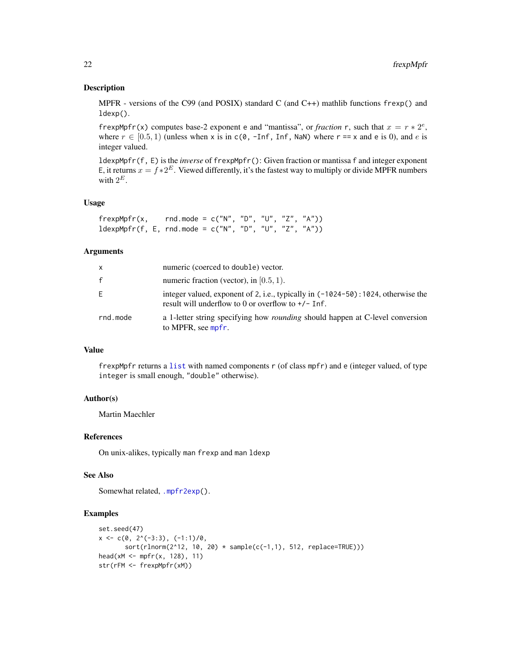# Description

MPFR - versions of the C99 (and POSIX) standard C (and C++) mathlib functions  $f$ rexp() and ldexp().

frexpMpfr(x) computes base-2 exponent e and "mantissa", or *fraction* r, such that  $x = r * 2^e$ , where  $r \in [0.5, 1)$  (unless when x is in c(0, -Inf, Inf, NaN) where  $r = x$  and e is 0), and e is integer valued.

ldexpMpfr(f, E) is the *inverse* of frexpMpfr(): Given fraction or mantissa f and integer exponent E, it returns  $x = f \cdot 2^E$ . Viewed differently, it's the fastest way to multiply or divide MPFR numbers with  $2^E$ .

# Usage

 $f$ rexpMpfr(x, rnd.mode = c("N", "D", "U", "Z", "A")) ldexpMpfr(f, E, rnd.mode = c("N", "D", "U", "Z", "A"))

# Arguments

| $\mathsf{x}$ | numeric (coerced to double) vector.                                                                                                          |
|--------------|----------------------------------------------------------------------------------------------------------------------------------------------|
| f            | numeric fraction (vector), in $[0.5, 1)$ .                                                                                                   |
| Ε            | integer valued, exponent of 2, i.e., typically in $(-1024-50)$ : 1024, otherwise the<br>result will underflow to 0 or overflow to $+/-$ Inf. |
| rnd.mode     | a 1-letter string specifying how <i>rounding</i> should happen at C-level conversion<br>to MPFR, see mpfr.                                   |

# Value

frexpMpfr returns a [list](#page-0-0) with named components r (of class mpfr) and e (integer valued, of type integer is small enough, "double" otherwise).

#### Author(s)

Martin Maechler

# References

On unix-alikes, typically man frexp and man ldexp

# See Also

Somewhat related, [.mpfr2exp\(](#page-46-1)).

```
set.seed(47)
x \leftarrow c(0, 2^{(n)}(-3:3), (-1:1)/0,sort(rlnorm(2^12, 10, 20) * sample(c(-1,1), 512, replace=TRUE)))head(xM <- mpfr(x, 128), 11)
str(rFM <- frexpMpfr(xM))
```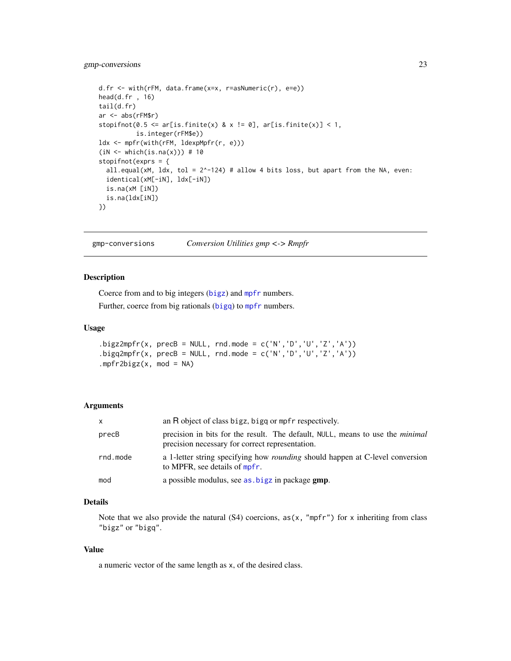# <span id="page-22-0"></span>gmp-conversions 23

```
d.fr <- with(rFM, data.frame(x=x, r=asNumeric(r), e=e))
head(d.fr , 16)
tail(d.fr)
ar <- abs(rFM$r)
stopifnot(0.5 \leq \text{ar}[is.finite(x) & x != 0], \text{ar}[is.finite(x)] < 1,
          is.integer(rFM$e))
ldx <- mpfr(with(rFM, ldexpMpfr(r, e)))
(iN < - which(is.na(x))) # 10
stopifnot(exprs = {
  all.equal(xM, ldx, tol = 2^-124) # allow 4 bits loss, but apart from the NA, even:
  identical(xM[-iN], ldx[-iN])
  is.na(xM [iN])
  is.na(ldx[iN])
})
```
gmp-conversions *Conversion Utilities gmp <-> Rmpfr*

#### Description

Coerce from and to big integers ([bigz](#page-0-0)) and [mpfr](#page-35-1) numbers.

Further, coerce from big rationals ([bigq](#page-0-0)) to [mpfr](#page-35-1) numbers.

#### Usage

```
.bigz2mpfr(x, precB = NULL, rnd.mode = c('N', 'D', 'U', 'Z', 'A')).bigq2mpfr(x, precB = NULL, rnd.mode = c('N', 'D', 'U', 'Z', 'A')).mpfr2bigz(x, mod = NA)
```
# Arguments

| $\mathsf{x}$ | an R object of class bigz, bigg or mpfr respectively.                                                                                   |
|--------------|-----------------------------------------------------------------------------------------------------------------------------------------|
| precB        | precision in bits for the result. The default, NULL, means to use the <i>minimal</i><br>precision necessary for correct representation. |
| rnd.mode     | a 1-letter string specifying how <i>rounding</i> should happen at C-level conversion<br>to MPFR, see details of mpfr.                   |
| mod          | a possible modulus, see as bigz in package gmp.                                                                                         |

# Details

Note that we also provide the natural  $(S4)$  coercions,  $as(x, "mpfr")$  for x inheriting from class "bigz" or "bigq".

#### Value

a numeric vector of the same length as x, of the desired class.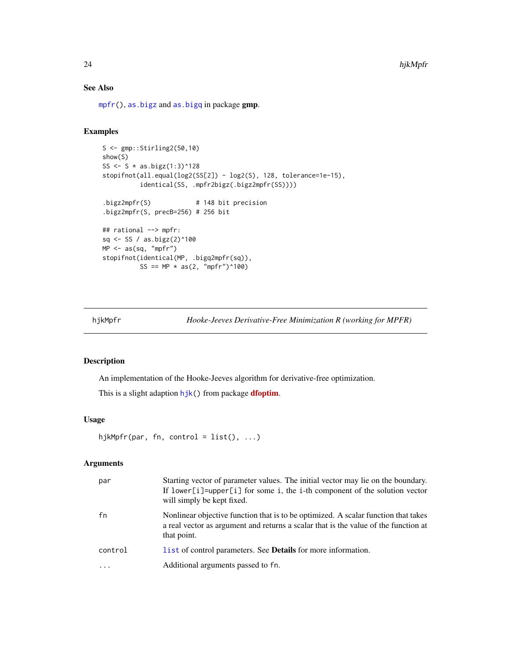# See Also

[mpfr\(](#page-35-1)), [as.bigz](#page-0-0) and [as.bigq](#page-0-0) in package gmp.

# Examples

```
S <- gmp::Stirling2(50,10)
show(S)
SS <- S * as.bigz(1:3)^128
stopifnot(all.equal(log2(SS[2]) - log2(S), 128, tolerance=1e-15),
         identical(SS, .mpfr2bigz(.bigz2mpfr(SS))))
.bigz2mpfr(S) # 148 bit precision
.bigz2mpfr(S, precB=256) # 256 bit
## rational --> mpfr:
sq <- SS / as.bigz(2)^100
MP <- as(sq, "mpfr")
stopifnot(identical(MP, .bigq2mpfr(sq)),
         SS == MP * as(2, "mpfr")^100
```
<span id="page-23-1"></span>

hjkMpfr *Hooke-Jeeves Derivative-Free Minimization R (working for MPFR)*

#### Description

An implementation of the Hooke-Jeeves algorithm for derivative-free optimization.

This is a slight adaption [hjk\(](#page-0-0)) from package **[dfoptim](https://CRAN.R-project.org/package=dfoptim)**.

#### Usage

```
hjkMpfr(par, fn, control = list(), ...)
```
# Arguments

| par     | Starting vector of parameter values. The initial vector may lie on the boundary.<br>If lower[i]=upper[i] for some i, the i-th component of the solution vector<br>will simply be kept fixed. |
|---------|----------------------------------------------------------------------------------------------------------------------------------------------------------------------------------------------|
| fn      | Nonlinear objective function that is to be optimized. A scalar function that takes<br>a real vector as argument and returns a scalar that is the value of the function at<br>that point.     |
| control | list of control parameters. See <b>Details</b> for more information.                                                                                                                         |
| $\cdot$ | Additional arguments passed to fn.                                                                                                                                                           |

<span id="page-23-0"></span>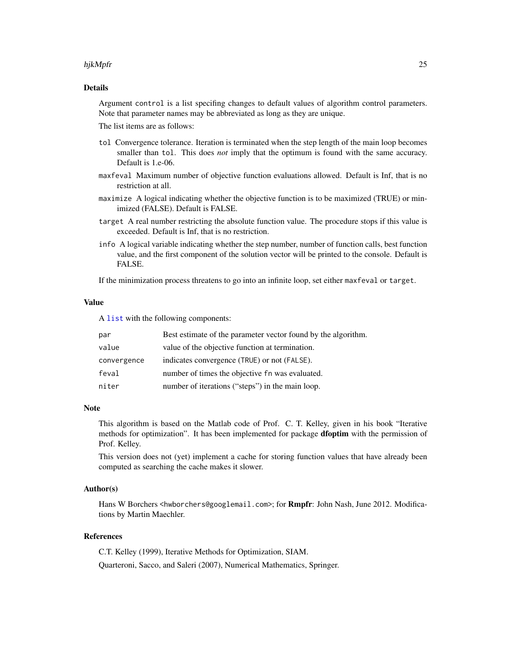#### hjkMpfr 25

# Details

Argument control is a list specifing changes to default values of algorithm control parameters. Note that parameter names may be abbreviated as long as they are unique.

The list items are as follows:

- tol Convergence tolerance. Iteration is terminated when the step length of the main loop becomes smaller than tol. This does *not* imply that the optimum is found with the same accuracy. Default is 1.e-06.
- maxfeval Maximum number of objective function evaluations allowed. Default is Inf, that is no restriction at all.
- maximize A logical indicating whether the objective function is to be maximized (TRUE) or minimized (FALSE). Default is FALSE.
- target A real number restricting the absolute function value. The procedure stops if this value is exceeded. Default is Inf, that is no restriction.
- info A logical variable indicating whether the step number, number of function calls, best function value, and the first component of the solution vector will be printed to the console. Default is FALSE.

If the minimization process threatens to go into an infinite loop, set either maxfeval or target.

# Value

A [list](#page-0-0) with the following components:

| par         | Best estimate of the parameter vector found by the algorithm. |
|-------------|---------------------------------------------------------------|
| value       | value of the objective function at termination.               |
| convergence | indicates convergence (TRUE) or not (FALSE).                  |
| feval       | number of times the objective fn was evaluated.               |
| niter       | number of iterations ("steps") in the main loop.              |

# Note

This algorithm is based on the Matlab code of Prof. C. T. Kelley, given in his book "Iterative methods for optimization". It has been implemented for package **dfoptim** with the permission of Prof. Kelley.

This version does not (yet) implement a cache for storing function values that have already been computed as searching the cache makes it slower.

#### Author(s)

Hans W Borchers <hwborchers@googlemail.com>; for **Rmpfr**: John Nash, June 2012. Modifications by Martin Maechler.

# References

C.T. Kelley (1999), Iterative Methods for Optimization, SIAM.

Quarteroni, Sacco, and Saleri (2007), Numerical Mathematics, Springer.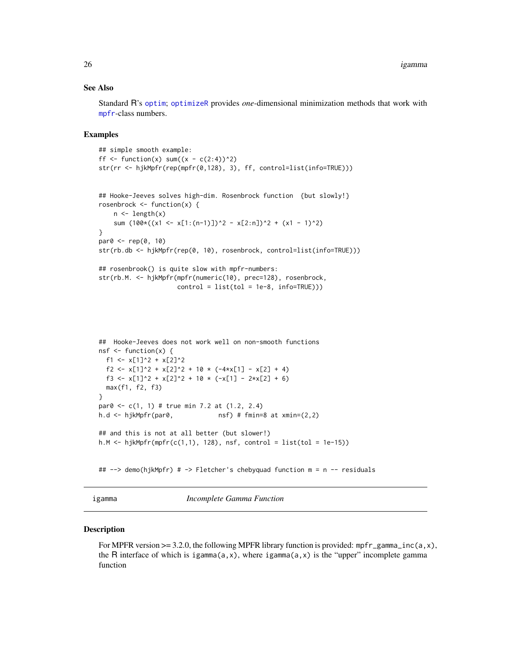#### <span id="page-25-0"></span>See Also

Standard R's [optim](#page-0-0); [optimizeR](#page-57-1) provides *one*-dimensional minimization methods that work with [mpfr](#page-37-1)-class numbers.

#### Examples

```
## simple smooth example:
ff \le function(x) sum((x - c(2:4))^2)
str(rr <- hjkMpfr(rep(mpfr(0,128), 3), ff, control=list(info=TRUE)))
## Hooke-Jeeves solves high-dim. Rosenbrock function {but slowly!}
rosenbrock \leq function(x) {
    n \leftarrow length(x)sum (100*(x1 \le x[1:(n-1)])^2 - x[2:n])^2 + (x1 - 1)^2)}
par0 <- rep(0, 10)
str(rb.db <- hjkMpfr(rep(0, 10), rosenbrock, control=list(info=TRUE)))
## rosenbrook() is quite slow with mpfr-numbers:
str(rb.M. <- hjkMpfr(mpfr(numeric(10), prec=128), rosenbrock,
                     control = list(to1 = 1e-8, info=True))## Hooke-Jeeves does not work well on non-smooth functions
nsf \leq function(x) {
  f1 <- x[1]^2 + x[2]^2f2 <- x[1]<sup>2</sup> + x[2]<sup>2</sup> + 10 * (-4*x[1] - x[2] + 4)
  f3 <- x[1]^2 + x[2]^2 + 10 * (-x[1] - 2*x[2] + 6)
  max(f1, f2, f3)
}
par0 <- c(1, 1) # true min 7.2 at (1.2, 2.4)
h.d \le hjkMpfr(par0, \qquad \qquadnsf) # fmin=8 at xmin=(2,2)
```

```
## and this is not at all better (but slower!)
h.M \leftarrow hjkMpfr(mpfr(c(1,1), 128), nsf, control = list(tol = 1e-15))
```
## --> demo(hjkMpfr) # -> Fletcher's chebyquad function m = n -- residuals

igamma *Incomplete Gamma Function*

#### Description

For MPFR version  $\geq$  3.2.0, the following MPFR library function is provided: mpfr\_gamma\_inc(a,x), the R interface of which is igamma( $a, x$ ), where igamma( $a, x$ ) is the "upper" incomplete gamma function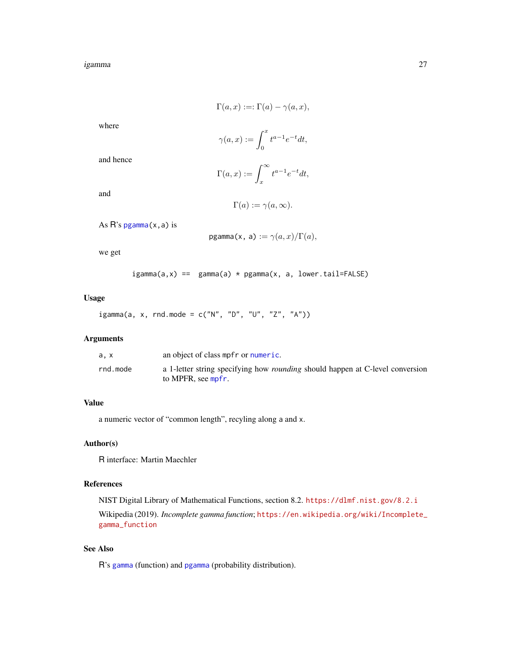#### igamma 27

$$
\Gamma(a, x) := \Gamma(a) - \gamma(a, x),
$$

where

$$
\gamma(a,x) := \int_0^x t^{a-1} e^{-t} dt,
$$

and hence

$$
\Gamma(a,x):=\int_x^\infty t^{a-1}e^{-t}dt,
$$

and

$$
\Gamma(a) := \gamma(a, \infty).
$$

As  $R$ 's pgamma $(x, a)$  is

$$
\text{pgamma}(x, a) := \gamma(a, x) / \Gamma(a),
$$

we get

$$
igamma(a, x) == gamma(a) * pgamma(x, a, lower.tail=False)
$$

Usage

igamma(a, x, rnd.mode =  $c("N", "D", "U", "Z", "A"))$ 

# Arguments

| a. x     | an object of class mpfr or numeric.                                                                        |
|----------|------------------------------------------------------------------------------------------------------------|
| rnd.mode | a 1-letter string specifying how <i>rounding</i> should happen at C-level conversion<br>to MPFR, see mpfr. |

# Value

a numeric vector of "common length", recyling along a and x.

# Author(s)

R interface: Martin Maechler

# References

NIST Digital Library of Mathematical Functions, section 8.2. <https://dlmf.nist.gov/8.2.i> Wikipedia (2019). *Incomplete gamma function*; [https://en.wikipedia.org/wiki/Incomplete\\_](https://en.wikipedia.org/wiki/Incomplete_gamma_function) [gamma\\_function](https://en.wikipedia.org/wiki/Incomplete_gamma_function)

# See Also

R's [gamma](#page-0-0) (function) and [pgamma](#page-0-0) (probability distribution).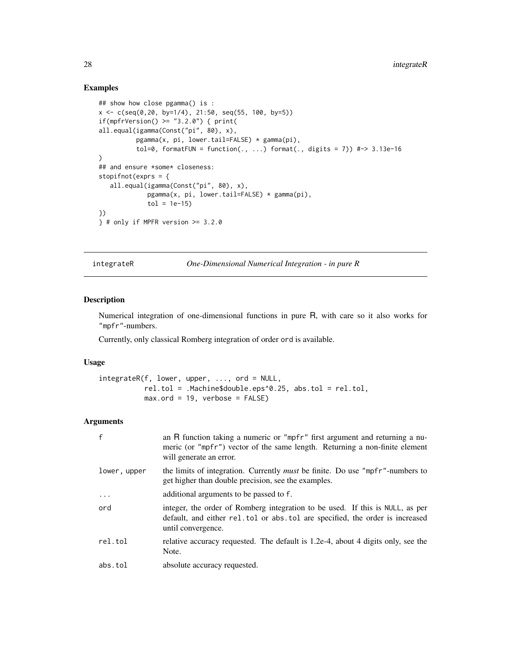# Examples

```
## show how close pgamma() is :
x \leq c(\text{seq}(0, 20, \text{ by} = 1/4), 21:50, \text{ seq}(55, 100, \text{ by} = 5))if(mpfrVersion() >= "3.2.0") { print(
all.equal(igamma(Const("pi", 80), x),
           pgamma(x, pi, lower.tail=FALSE) * gamma(pi),
           tol=0, formatFUN = function(., ...) format(., digits = 7)) #-> 3.13e-16
\lambda## and ensure *some* closeness:
stopifnot(exprs = {
   all.equal(igamma(Const("pi", 80), x),
              pgamma(x, pi, lower.tail=FALSE) * gamma(pi),
              tol = 1e-15})
} # only if MPFR version > = 3.2.0
```
<span id="page-27-1"></span>integrateR *One-Dimensional Numerical Integration - in pure R*

#### Description

Numerical integration of one-dimensional functions in pure R, with care so it also works for "mpfr"-numbers.

Currently, only classical Romberg integration of order ord is available.

# Usage

```
integrateR(f, lower, upper, ..., ord = NULL,
           rel.tol = .Machine$double.eps^0.25, abs.tol = rel.tol,
          max.ord = 19, verbose = FALSE)
```
#### Arguments

| $\mathbf{f}$ | an R function taking a numeric or "mpfr" first argument and returning a nu-<br>meric (or "mpfr") vector of the same length. Returning a non-finite element<br>will generate an error. |
|--------------|---------------------------------------------------------------------------------------------------------------------------------------------------------------------------------------|
| lower, upper | the limits of integration. Currently <i>must</i> be finite. Do use "mpfr"-numbers to<br>get higher than double precision, see the examples.                                           |
| $\ddotsc$    | additional arguments to be passed to f.                                                                                                                                               |
| ord          | integer, the order of Romberg integration to be used. If this is NULL, as per<br>default, and either rel.tol or absited are specified, the order is increased<br>until convergence.   |
| rel.tol      | relative accuracy requested. The default is 1.2e-4, about 4 digits only, see the<br>Note.                                                                                             |
| abs.tol      | absolute accuracy requested.                                                                                                                                                          |

<span id="page-27-0"></span>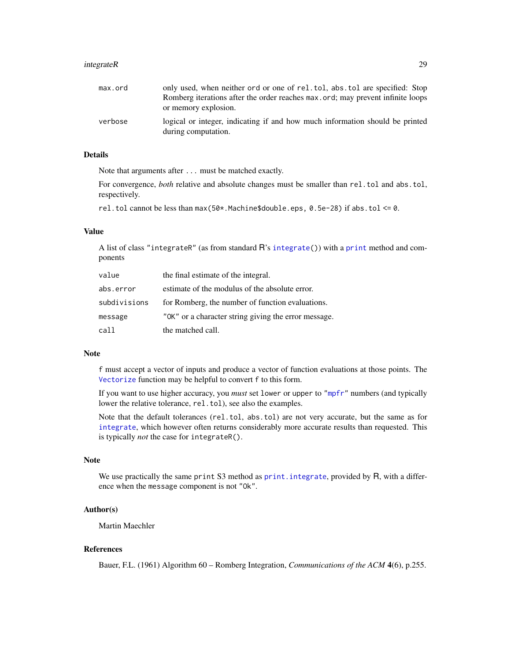# integrateR 29

| max.ord | only used, when neither ord or one of rel.tol, abs.tol are specified: Stop                          |
|---------|-----------------------------------------------------------------------------------------------------|
|         | Romberg iterations after the order reaches max, ord; may prevent infinite loops                     |
|         | or memory explosion.                                                                                |
| verbose | logical or integer, indicating if and how much information should be printed<br>during computation. |

#### Details

Note that arguments after ... must be matched exactly.

For convergence, *both* relative and absolute changes must be smaller than rel.tol and abs.tol, respectively.

rel.tol cannot be less than max(50\*.Machine\$double.eps, 0.5e-28) if abs.tol <= 0.

#### Value

A list of class "integrateR" (as from standard R's [integrate\(](#page-0-0))) with a [print](#page-0-0) method and components

| value        | the final estimate of the integral.                  |
|--------------|------------------------------------------------------|
| abs.error    | estimate of the modulus of the absolute error.       |
| subdivisions | for Romberg, the number of function evaluations.     |
| message      | "OK" or a character string giving the error message. |
| call         | the matched call.                                    |

#### Note

f must accept a vector of inputs and produce a vector of function evaluations at those points. The [Vectorize](#page-0-0) function may be helpful to convert f to this form.

If you want to use higher accuracy, you *must* set lower or upper to ["mpfr"](#page-35-1) numbers (and typically lower the relative tolerance, rel.tol), see also the examples.

Note that the default tolerances (rel.tol, abs.tol) are not very accurate, but the same as for [integrate](#page-0-0), which however often returns considerably more accurate results than requested. This is typically *not* the case for integrateR().

#### Note

We use practically the same print S3 method as [print.integrate](#page-0-0), provided by R, with a difference when the message component is not "Ok".

# Author(s)

Martin Maechler

# References

Bauer, F.L. (1961) Algorithm 60 – Romberg Integration, *Communications of the ACM* 4(6), p.255.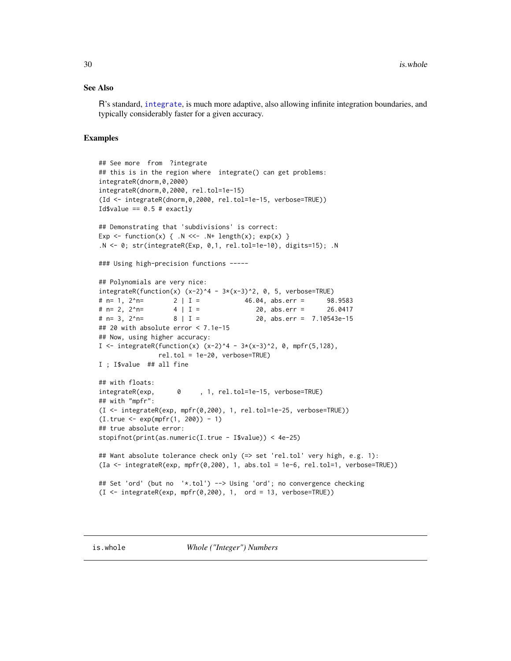#### <span id="page-29-0"></span>See Also

R's standard, [integrate](#page-0-0), is much more adaptive, also allowing infinite integration boundaries, and typically considerably faster for a given accuracy.

```
## See more from ?integrate
## this is in the region where integrate() can get problems:
integrateR(dnorm,0,2000)
integrateR(dnorm,0,2000, rel.tol=1e-15)
(Id <- integrateR(dnorm,0,2000, rel.tol=1e-15, verbose=TRUE))
Id$value == 0.5 # exactly
## Demonstrating that 'subdivisions' is correct:
Exp \le function(x) { \therefore N \le \le \cdot N+ length(x); exp(x) }
.N <- 0; str(integrateR(Exp, 0,1, rel.tol=1e-10), digits=15); .N
### Using high-precision functions -----
## Polynomials are very nice:
integerateR(function(x) (x-2)^4 - 3*(x-3)^2, 0, 5, verbose=TRUE)# n= 1, 2^n= 2 | I = 46.04, abs.err = 98.9583
\# n= 2, 2^n= 4 | I = 20, abs.err = 26.0417
# n= 3, 2^n= 8 | I = 20, abs.err = 7.10543e-15
## 20 with absolute error < 7.1e-15
## Now, using higher accuracy:
I <- integrateR(function(x) (x-2)^4 - 3*(x-3)^2, 0, mpfr(5,128),
               rel.tol = 1e-20, verbose=TRUE)
I ; I$value ## all fine
## with floats:
integrateR(exp, 0 , 1, rel.tol=1e-15, verbose=TRUE)
## with "mpfr":
(I <- integrateR(exp, mpfr(0,200), 1, rel.tol=1e-25, verbose=TRUE))
(I.true <- exp(mpfr(1, 200)) - 1)
## true absolute error:
stopifnot(print(as.numeric(I.true - I$value)) < 4e-25)
## Want absolute tolerance check only (=> set 'rel.tol' very high, e.g. 1):
(Ia <- integrateR(exp, mpfr(0,200), 1, abs.tol = 1e-6, rel.tol=1, verbose=TRUE))
## Set 'ord' (but no '*.tol') --> Using 'ord'; no convergence checking
(I \le integrateR(exp, mpfr(0,200), 1, ord = 13, verbose=TRUE))
```
<span id="page-29-1"></span>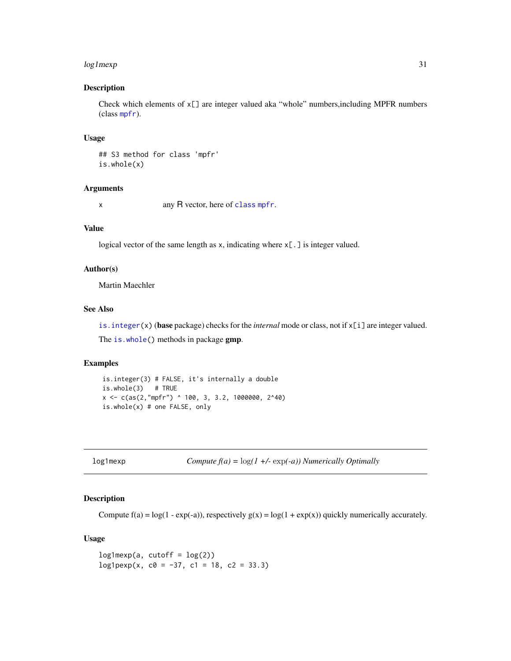#### <span id="page-30-0"></span> $log1$  mexp  $31$

# Description

Check which elements of  $x[\ ]$  are integer valued aka "whole" numbers, including MPFR numbers (class [mpfr](#page-37-1)).

#### Usage

## S3 method for class 'mpfr' is.whole(x)

# Arguments

x any R vector, here of [class](#page-0-0) [mpfr](#page-37-1).

# Value

logical vector of the same length as x, indicating where x[.] is integer valued.

#### Author(s)

Martin Maechler

# See Also

[is.integer\(](#page-0-0)x) (base package) checks for the *internal* mode or class, not if x[i] are integer valued.

The [is.whole\(](#page-29-1)) methods in package gmp.

# Examples

```
is.integer(3) # FALSE, it's internally a double
is.whole(3) # TRUE
x <- c(as(2,"mpfr") ^ 100, 3, 3.2, 1000000, 2^40)
is.whole(x) # one FALSE, only
```

```
log1mexp Compute f(a) = log(1 +/- exp(-a)) Numerically Optimally
```
# Description

Compute  $f(a) = log(1 - exp(-a))$ , respectively  $g(x) = log(1 + exp(x))$  quickly numerically accurately.

# Usage

 $log1$ mexp(a, cutoff =  $log(2)$ )  $log1pexp(x, c0 = -37, c1 = 18, c2 = 33.3)$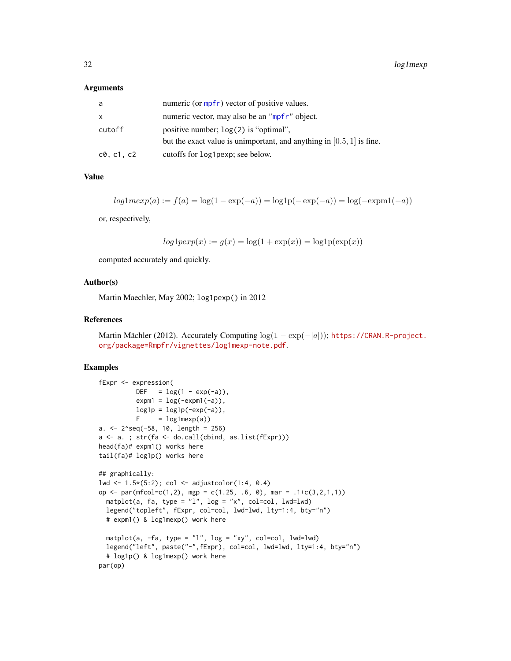#### Arguments

| a                     | numeric (or mpfr) vector of positive values.                            |
|-----------------------|-------------------------------------------------------------------------|
| x                     | numeric vector, may also be an "mpfr" object.                           |
| cutoff                | positive number; $log(2)$ is "optimal",                                 |
|                       | but the exact value is unimportant, and anything in $[0.5, 1]$ is fine. |
| $c\emptyset$ , c1, c2 | cutoffs for log1pexp; see below.                                        |

# Value

$$
log1mexp(a) := f(a) = log(1 - exp(-a)) = log1p(-exp(-a)) = log(-expm1(-a))
$$

or, respectively,

$$
log1pexp(x) := g(x) = log(1 + exp(x)) = log1p(exp(x))
$$

computed accurately and quickly.

#### Author(s)

Martin Maechler, May 2002; log1pexp() in 2012

#### References

Martin Mächler (2012). Accurately Computing  $log(1 - exp(-|a|))$ ; [https://CRAN.R-project.](https://CRAN.R-project.org/package=Rmpfr/vignettes/log1mexp-note.pdf) [org/package=Rmpfr/vignettes/log1mexp-note.pdf](https://CRAN.R-project.org/package=Rmpfr/vignettes/log1mexp-note.pdf).

```
fExpr <- expression(
         DEF = log(1 - exp(-a)),expm1 = log(-expm1(-a)),
         log1p = log1p(-exp(-a)),
         F = log1mexp(a)a. <- 2^seq(-58, 10, length = 256)
a <- a. ; str(fa <- do.call(cbind, as.list(fExpr)))
head(fa)# expm1() works here
tail(fa)# log1p() works here
## graphically:
lwd <- 1.5*(5:2); col <- adjustcolor(1:4, 0.4)
op <- par(mfcol=c(1,2), mgp = c(1.25, .6, 0), mar = .1+c(3,2,1,1))
  matplot(a, fa, type = "1", log = "x", col=col, lwd=1wd)
  legend("topleft", fExpr, col=col, lwd=lwd, lty=1:4, bty="n")
  # expm1() & log1mexp() work here
  matplot(a, -fa, type = "l", log = "xy", col=col, lwd=lwd)
  legend("left", paste("-",fExpr), col=col, lwd=lwd, lty=1:4, bty="n")
  # log1p() & log1mexp() work here
par(op)
```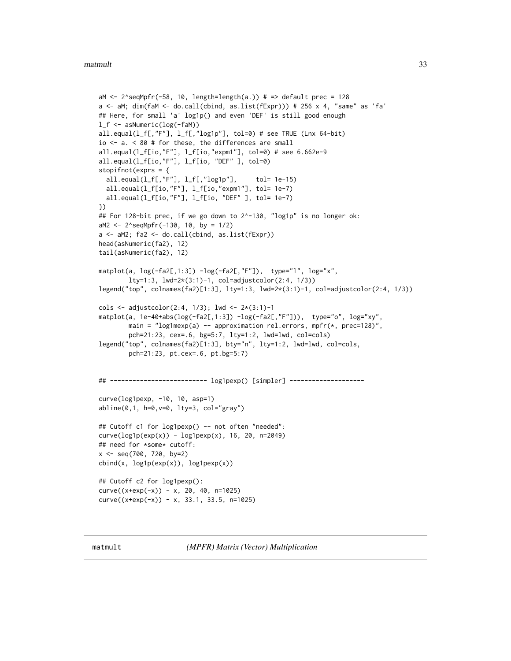```
aM \leq 2^seqMpfr(-58, 10, length=length(a.)) # => default prec = 128
a <- aM; dim(faM <- do.call(cbind, as.list(fExpr))) # 256 x 4, "same" as 'fa'
## Here, for small 'a' log1p() and even 'DEF' is still good enough
l_f <- asNumeric(log(-faM))
all.equal(l_f[,"F"], l_f[,"log1p"], tol=0) # see TRUE (Lnx 64-bit)
io <- a. < 80 # for these, the differences are small
all.equal(l_f[io,"F"], l_f[io,"expm1"], tol=0) # see 6.662e-9
all.equal(l_f[io,"F"], l_f[io, "DEF" ], tol=0)
stopifnot(exprs = {
 all.equal(l_f[,"F"], l_f[,"log1p"], tol= 1e-15)
 all.equal(l_f[io,"F"], l_f[io,"expm1"], tol= 1e-7)
 all.equal(l_f[io,"F"], l_f[io, "DEF" ], tol= 1e-7)
})
## For 128-bit prec, if we go down to 2^-130, "log1p" is no longer ok:
aM2 <- 2^seqMpfr(-130, 10, by = 1/2)
a <- aM2; fa2 <- do.call(cbind, as.list(fExpr))
head(asNumeric(fa2), 12)
tail(asNumeric(fa2), 12)
matplot(a, log(-fa2[,1:3]) -log(-fa2[,"F"]), type="l", log="x",
       lty=1:3, lwd=2*(3:1)-1, col=adjustcolor(2:4, 1/3))
legend("top", colnames(fa2)[1:3], lty=1:3, lwd=2*(3:1)-1, col=adjustcolor(2:4, 1/3))
cols <- adjustcolor(2:4, 1/3); lwd <- 2*(3:1)-1
matplot(a, 1e-40+abs(log(-fa2[,1:3]) -log(-fa2[,"F"])), type="o", log="xy",
       main = "log1mexp(a) -- approximation rel.errors, mpfr(*, prec=128)",
       pch=21:23, cex=.6, bg=5:7, lty=1:2, lwd=lwd, col=cols)
legend("top", colnames(fa2)[1:3], bty="n", lty=1:2, lwd=lwd, col=cols,
       pch=21:23, pt.cex=.6, pt.bg=5:7)
## -------------------------- log1pexp() [simpler] --------------------
curve(log1pexp, -10, 10, asp=1)
abline(0,1, h=0,v=0, lty=3, col="gray")
## Cutoff c1 for log1pexp() -- not often "needed":
curve(log1p(exp(x)) - log1pexp(x), 16, 20, n=2049)## need for *some* cutoff:
x <- seq(700, 720, by=2)
cbind(x, log1p(exp(x)), log1pexp(x))
## Cutoff c2 for log1pexp():
curve((x+exp(-x)) - x, 20, 40, n=1025)curve((x+exp(-x)) - x, 33.1, 33.5, n=1025)
```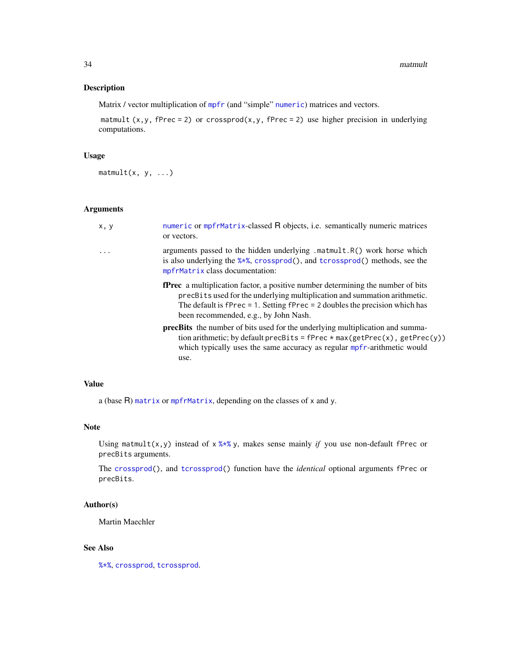# Description

Matrix / vector multiplication of [mpfr](#page-35-1) (and "simple" [numeric](#page-0-0)) matrices and vectors.

matmult  $(x, y, f$ Prec = 2) or crossprod $(x, y, f$ Prec = 2) use higher precision in underlying computations.

# Usage

 $mathrm{int}(\mathsf{x}, \mathsf{y}, \ldots)$ 

#### Arguments

| x, y     | numeric or mpfrMatrix-classed R objects, i.e. semantically numeric matrices<br>or vectors.                                                                                                                                                                                                       |
|----------|--------------------------------------------------------------------------------------------------------------------------------------------------------------------------------------------------------------------------------------------------------------------------------------------------|
| $\cdots$ | arguments passed to the hidden underlying .matmult.R() work horse which<br>is also underlying the $\frac{8 \times 8}{5}$ , crossprod(), and tcrossprod() methods, see the<br>mpfrMatrix class documentation:                                                                                     |
|          | <b>fPrec</b> a multiplication factor, a positive number determining the number of bits<br>precBits used for the underlying multiplication and summation arithmetic.<br>The default is $fPrec = 1$ . Setting $fPrec = 2$ doubles the precision which has<br>been recommended, e.g., by John Nash. |
|          | <b>precBits</b> the number of bits used for the underlying multiplication and summa-<br>tion arithmetic; by default precBits = $fPrec * max(getPrec(x), getPrec(y))$<br>which typically uses the same accuracy as regular mpfr-arithmetic would<br>use.                                          |
|          |                                                                                                                                                                                                                                                                                                  |

#### Value

a (base R) [matrix](#page-0-0) or [mpfrMatrix](#page-53-1), depending on the classes of x and y.

# Note

Using matmult(x,y) instead of  $x$  [%\\*%](#page-0-0) y, makes sense mainly *if* you use non-default fPrec or precBits arguments.

The [crossprod\(](#page-0-0)), and [tcrossprod\(](#page-0-0)) function have the *identical* optional arguments fPrec or precBits.

# Author(s)

Martin Maechler

# See Also

[%\\*%](#page-0-0), [crossprod](#page-0-0), [tcrossprod](#page-0-0).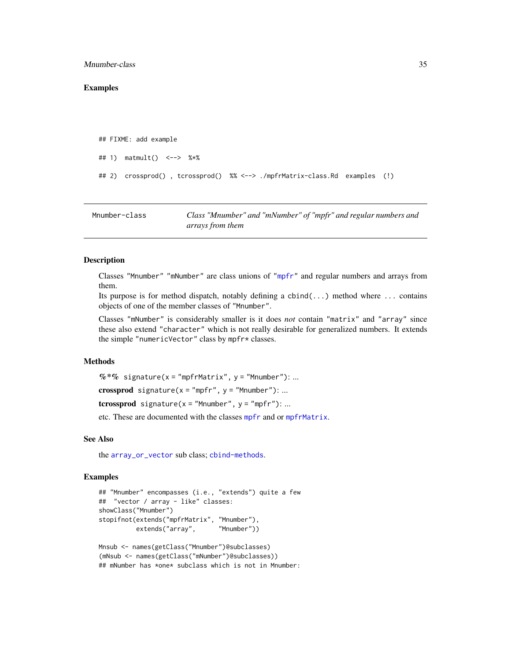#### <span id="page-34-0"></span>Mnumber-class 35

#### Examples

```
## FIXME: add example
## 1) matmult() <--> %*%
## 2) crossprod() , tcrossprod() %% <--> ./mpfrMatrix-class.Rd examples (!)
```
<span id="page-34-1"></span>Mnumber-class *Class "Mnumber" and "mNumber" of "mpfr" and regular numbers and arrays from them*

# **Description**

Classes "Mnumber" "mNumber" are class unions of ["mpfr"](#page-37-1) and regular numbers and arrays from them.

Its purpose is for method dispatch, notably defining a cbind(...) method where ... contains objects of one of the member classes of "Mnumber".

Classes "mNumber" is considerably smaller is it does *not* contain "matrix" and "array" since these also extend "character" which is not really desirable for generalized numbers. It extends the simple "numericVector" class by mpfr\* classes.

#### Methods

 $%$  \*% signature(x = "mpfrMatrix", y = "Mnumber"): ...

crossprod signature( $x = "mpfr", y = "Mnumber"$ ): ...

tcrossprod signature( $x =$  "Mnumber",  $y =$  "mpfr"): ...

etc. These are documented with the classes [mpfr](#page-37-1) and or [mpfrMatrix](#page-53-1).

# See Also

the [array\\_or\\_vector](#page-5-1) sub class; [cbind-methods](#page-10-1).

```
## "Mnumber" encompasses (i.e., "extends") quite a few
## "vector / array - like" classes:
showClass("Mnumber")
stopifnot(extends("mpfrMatrix", "Mnumber"),
         extends("array", "Mnumber"))
```

```
Mnsub <- names(getClass("Mnumber")@subclasses)
(mNsub <- names(getClass("mNumber")@subclasses))
## mNumber has *one* subclass which is not in Mnumber:
```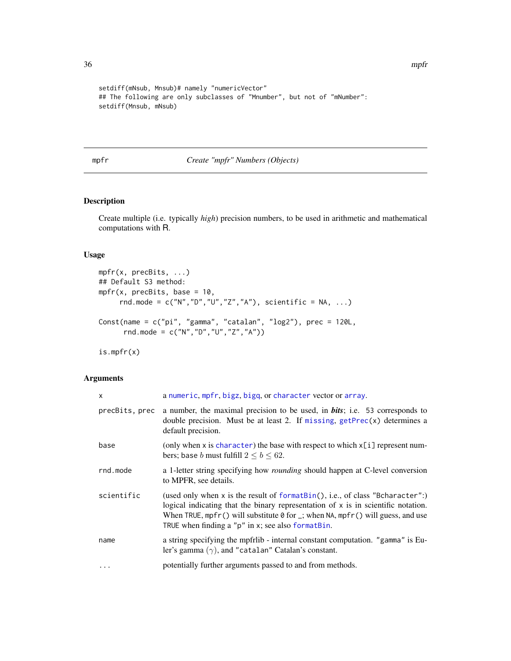```
setdiff(mNsub, Mnsub)# namely "numericVector"
## The following are only subclasses of "Mnumber", but not of "mNumber":
setdiff(Mnsub, mNsub)
```
# <span id="page-35-1"></span>mpfr *Create "mpfr" Numbers (Objects)*

# Description

Create multiple (i.e. typically *high*) precision numbers, to be used in arithmetic and mathematical computations with R.

# Usage

```
mpfr(x, precBits, ...)
## Default S3 method:
mpr(x, precBits, base = 10,rnd.mode = c("N","D","U","Z","A"), scientific = NA, ...)
Const(name = c("pi", "gamma", "catalan", "log2"), prec = 120L,
      rnd.mode = c("N","D","U","Z","A"))
```
is.mpfr(x)

#### Arguments

| $\times$       | a numeric, mpfr, bigz, bigq, or character vector or array.                                                                                                                                                                                                                                                                        |
|----------------|-----------------------------------------------------------------------------------------------------------------------------------------------------------------------------------------------------------------------------------------------------------------------------------------------------------------------------------|
| precBits, prec | a number, the maximal precision to be used, in <b>bits</b> ; i.e. 53 corresponds to<br>double precision. Must be at least 2. If missing, $getPrec(x)$ determines a<br>default precision.                                                                                                                                          |
| base           | (only when x is character) the base with respect to which $x[i]$ represent num-<br>bers; base <i>b</i> must fulfill $2 \le b \le 62$ .                                                                                                                                                                                            |
| rnd.mode       | a 1-letter string specifying how <i>rounding</i> should happen at C-level conversion<br>to MPFR, see details.                                                                                                                                                                                                                     |
| scientific     | (used only when x is the result of formatBin(), i.e., of class "Bcharacter":)<br>logical indicating that the binary representation of $x$ is in scientific notation.<br>When TRUE, mpfr() will substitute $\theta$ for $\overline{\ }$ ; when NA, mpfr() will guess, and use<br>TRUE when finding a "p" in x; see also formatBin. |
| name           | a string specifying the mpfrilib - internal constant computation. "gamma" is Eu-<br>ler's gamma $(\gamma)$ , and "catalan" Catalan's constant.                                                                                                                                                                                    |
| $\cdots$       | potentially further arguments passed to and from methods.                                                                                                                                                                                                                                                                         |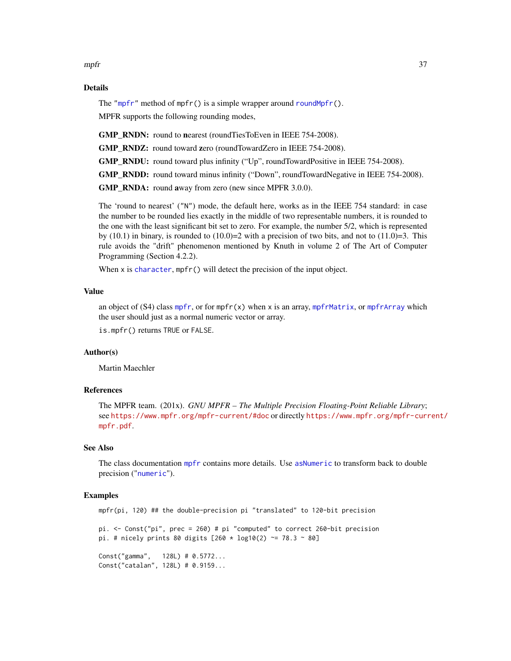mpfr 37

## Details

The ["mpfr"](#page-37-0) method of mpfr() is a simple wrapper around round Mpfr().

MPFR supports the following rounding modes,

GMP\_RNDN: round to nearest (roundTiesToEven in IEEE 754-2008).

GMP\_RNDZ: round toward zero (roundTowardZero in IEEE 754-2008).

GMP\_RNDU: round toward plus infinity ("Up", roundTowardPositive in IEEE 754-2008).

GMP\_RNDD: round toward minus infinity ("Down", roundTowardNegative in IEEE 754-2008).

GMP\_RNDA: round away from zero (new since MPFR 3.0.0).

The 'round to nearest' ("N") mode, the default here, works as in the IEEE 754 standard: in case the number to be rounded lies exactly in the middle of two representable numbers, it is rounded to the one with the least significant bit set to zero. For example, the number 5/2, which is represented by (10.1) in binary, is rounded to  $(10.0)=2$  with a precision of two bits, and not to  $(11.0)=3$ . This rule avoids the "drift" phenomenon mentioned by Knuth in volume 2 of The Art of Computer Programming (Section 4.2.2).

When x is [character](#page-0-0), mpfr() will detect the precision of the input object.

## Value

an object of  $(S4)$  class [mpfr](#page-37-0), or for mpfr $(x)$  when x is an array, [mpfrMatrix](#page-53-0), or [mpfrArray](#page-53-0) which the user should just as a normal numeric vector or array.

is.mpfr() returns TRUE or FALSE.

# Author(s)

Martin Maechler

# References

The MPFR team. (201x). *GNU MPFR – The Multiple Precision Floating-Point Reliable Library*; see <https://www.mpfr.org/mpfr-current/#doc> or directly [https://www.mpfr.org/mpfr-curr](https://www.mpfr.org/mpfr-current/mpfr.pdf)ent/ [mpfr.pdf](https://www.mpfr.org/mpfr-current/mpfr.pdf).

## See Also

The class documentation [mpfr](#page-37-0) contains more details. Use [asNumeric](#page-0-0) to transform back to double precision ("[numeric](#page-0-0)").

```
mpfr(pi, 120) ## the double-precision pi "translated" to 120-bit precision
pi. <- Const("pi", prec = 260) # pi "computed" to correct 260-bit precision
pi. # nicely prints 80 digits [260 * log10(2) \approx 78.3 \approx 80]Const("gamma", 128L) # 0.5772...
Const("catalan", 128L) # 0.9159...
```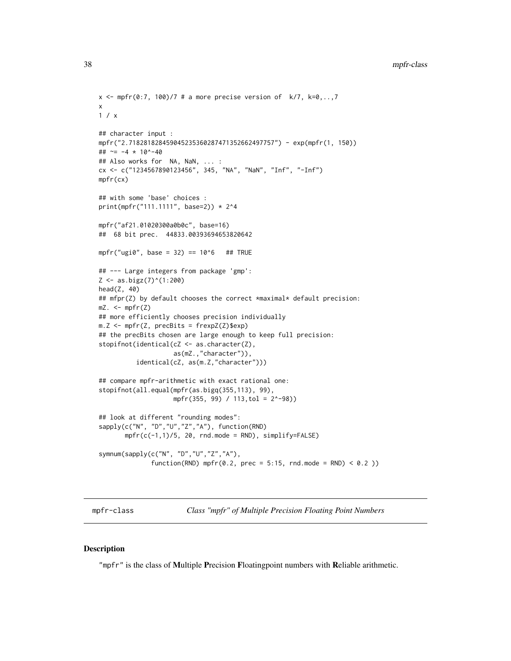```
x \le mpfr(0:7, 100)/7 # a more precise version of k/7, k=0,...,7x
1 / x
## character input :
mpfr("2.718281828459045235360287471352662497757") - exp(mpfr(1, 150))
## ~= -4 * 10^-40
## Also works for NA, NaN, ... :
cx <- c("1234567890123456", 345, "NA", "NaN", "Inf", "-Inf")
mpfr(cx)
## with some 'base' choices :
print(mpfr("111.1111", base=2)) * 2^4
mpfr("af21.01020300a0b0c", base=16)
## 68 bit prec. 44833.00393694653820642
mpr("ugi0", base = 32) == 10<sup>6</sup> # # TRUE## --- Large integers from package 'gmp':
Z \leftarrow \text{as}.\text{bigz}(7)^{(1:200)}head(Z, 40)
## mfpr(Z) by default chooses the correct *maximal* default precision:
mZ. < -mpfr(Z)## more efficiently chooses precision individually
m.Z \leftarrow mpfr(Z, precBits = frexpZ(Z)$exp)
## the precBits chosen are large enough to keep full precision:
stopifnot(identical(cZ <- as.character(Z),
                     as(mZ.,"character")),
          identical(cZ, as(m.Z,"character")))
## compare mpfr-arithmetic with exact rational one:
stopifnot(all.equal(mpfr(as.bigq(355,113), 99),
                    mpfr(355, 99) / 113,tol = 2^-98))
## look at different "rounding modes":
sapply(c("N", "D","U","Z","A"), function(RND)
       mpr(c(-1,1)/5, 20, rnd mode = RND), simplify=FALSE)symnum(sapply(c("N", "D","U","Z","A"),
              function(RND) mpfr(0.2, prec = 5:15, rnd.mode = RND) < 0.2 ))
```
<span id="page-37-0"></span>mpfr-class *Class "mpfr" of Multiple Precision Floating Point Numbers*

## <span id="page-37-1"></span>Description

"mpfr" is the class of Multiple Precision Floatingpoint numbers with Reliable arithmetic.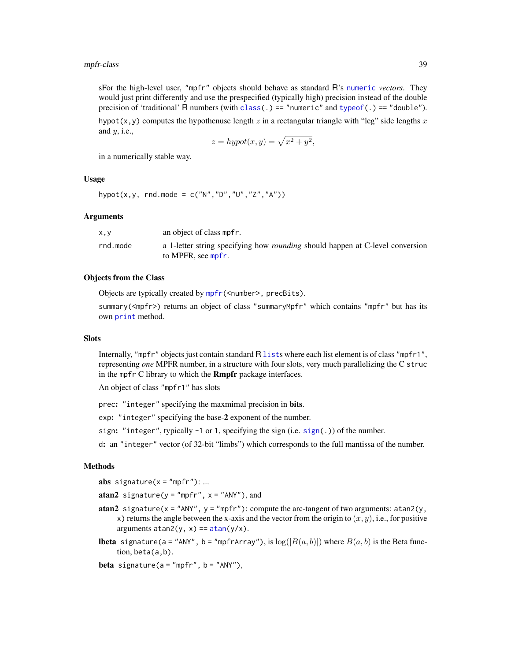#### mpfr-class 39

sFor the high-level user, "mpfr" objects should behave as standard R's [numeric](#page-0-0) *vectors*. They would just print differently and use the prespecified (typically high) precision instead of the double precision of 'traditional' R numbers (with [class\(](#page-0-0).) == "numeric" and [typeof\(](#page-0-0).) == "double").

hypot(x,y) computes the hypothenuse length z in a rectangular triangle with "leg" side lengths x and  $y$ , i.e.,

$$
z = hypot(x, y) = \sqrt{x^2 + y^2},
$$

in a numerically stable way.

## Usage

```
hypot(x,y, rnd.mode = c("N", "D", "U", "Z", "A"))
```
## Arguments

| X, V     | an object of class mpfr.                                                                                   |
|----------|------------------------------------------------------------------------------------------------------------|
| rnd.mode | a 1-letter string specifying how <i>rounding</i> should happen at C-level conversion<br>to MPFR, see mpfr. |

## Objects from the Class

Objects are typically created by [mpfr\(](#page-35-0)<number>, precBits).

summary(<mpfr>) returns an object of class "summaryMpfr" which contains "mpfr" but has its own [print](#page-0-0) method.

#### **Slots**

Internally, "mpfr" objects just contain standard R [list](#page-0-0)s where each list element is of class "mpfr1", representing *one* MPFR number, in a structure with four slots, very much parallelizing the C struc in the mpfr C library to which the Rmpfr package interfaces.

An object of class "mpfr1" has slots

prec: "integer" specifying the maxmimal precision in bits.

exp: "integer" specifying the base-2 exponent of the number.

sign: "integer", typically  $-1$  or 1, specifying the sign (i.e. [sign\(](#page-0-0).)) of the number.

d: an "integer" vector (of 32-bit "limbs") which corresponds to the full mantissa of the number.

## Methods

abs signature( $x = "mpfr"$ ): ...

atan2 signature( $y = "mpfr", x = "ANY"), and$ 

- atan2 signature( $x = "ANY"$ ,  $y = "mpfr")$ : compute the arc-tangent of two arguments: atan2( $y$ , x) returns the angle between the x-axis and the vector from the origin to  $(x, y)$ , i.e., for positive arguments  $atan2(y, x) ==  $atan(y/x)$ .$  $atan2(y, x) ==  $atan(y/x)$ .$  $atan2(y, x) ==  $atan(y/x)$ .$
- **lbeta** signature(a = "ANY", b = "mpfrArray"), is  $\log(|B(a, b)|)$  where  $B(a, b)$  is the Beta function, beta(a,b).

**beta** signature( $a = "mpfr", b = "ANY"),$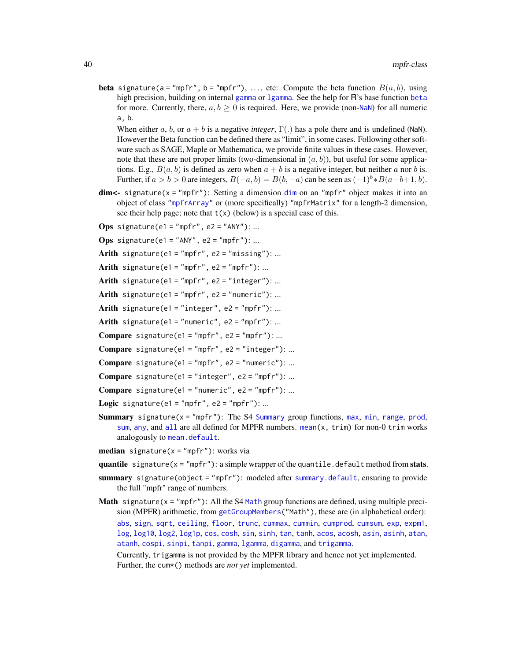**beta** signature(a = "mpfr", b = "mpfr"), ..., etc: Compute the beta function  $B(a, b)$ , using high precision, building on internal [gamma](#page-0-0) or 1 gamma. See the help for R's base function [beta](#page-0-0) for more. Currently, there,  $a, b \ge 0$  is required. Here, we provide (non-[NaN](#page-0-0)) for all numeric a, b.

When either a, b, or  $a + b$  is a negative *integer*,  $\Gamma(.)$  has a pole there and is undefined (NaN). However the Beta function can be defined there as "limit", in some cases. Following other software such as SAGE, Maple or Mathematica, we provide finite values in these cases. However, note that these are not proper limits (two-dimensional in  $(a, b)$ ), but useful for some applications. E.g.,  $B(a, b)$  is defined as zero when  $a + b$  is a negative integer, but neither a nor b is. Further, if  $a > b > 0$  are integers,  $B(-a, b) = B(b, -a)$  can be seen as  $(-1)^{b} * B(a-b+1, b)$ .

 $dim < dim < -$  signature(x = "mpfr"): Setting a dimension  $dim$  on an "mpfr" object makes it into an object of class ["mpfrArray"](#page-53-0) or (more specifically) "mpfrMatrix" for a length-2 dimension, see their help page; note that  $t(x)$  (below) is a special case of this.

Ops signature(e1 = "mpfr", e2 = "ANY"): ...

Ops signature(e1 = "ANY", e2 = "mpfr"): ...

Arith signature(e1 = "mpfr", e2 = "missing"): ...

Arith signature(e1 = "mpfr", e2 = "mpfr"): ...

Arith signature(e1 = "mpfr", e2 = "integer"): ...

Arith signature(e1 = "mpfr", e2 = "numeric"): ...

Arith signature(e1 = "integer", e2 = "mpfr"): ...

Arith signature(e1 = "numeric",  $e2 = "mpfr")$ : ...

Compare signature(e1 = "mpfr", e2 = "mpfr"): ...

Compare signature(e1 = "mpfr", e2 = "integer"): ...

Compare signature(e1 = "mpfr", e2 = "numeric"): ...

Compare signature(e1 = "integer", e2 = "mpfr"): ...

**Compare** signature(e1 = "numeric", e2 = "mpfr"): ...

Logic signature(e1 = "mpfr", e2 = "mpfr"): ...

**[Summary](#page-0-0)** signature( $x = "mpfr"$ ): The S4 Summary group functions, [max](#page-0-0), [min](#page-0-0), [range](#page-0-0), [prod](#page-0-0), [sum](#page-0-0), [any](#page-0-0), and [all](#page-0-0) are all defined for MPFR numbers. [mean\(](#page-0-0)x, trim) for non-0 trim works analogously to [mean.default](#page-0-0).

median signature( $x = "mpfr"$ ): works via

quantile signature( $x = "mpfr"$ ): a simple wrapper of the quantile.default method from stats.

- summary signature(object = "mpfr"): modeled after [summary.default](#page-0-0), ensuring to provide the full "mpfr" range of numbers.
- **[Math](#page-0-0)** signature( $x = "mpfr"$ ): All the S4 Math group functions are defined, using multiple precision (MPFR) arithmetic, from [getGroupMembers\(](#page-0-0)"Math"), these are (in alphabetical order): [abs](#page-0-0), [sign](#page-0-0), [sqrt](#page-0-0), [ceiling](#page-0-0), [floor](#page-0-0), [trunc](#page-0-0), [cummax](#page-0-0), [cummin](#page-0-0), [cumprod](#page-0-0), [cumsum](#page-0-0), [exp](#page-0-0), [expm1](#page-0-0), [log](#page-0-0), [log10](#page-0-0), [log2](#page-0-0), [log1p](#page-0-0), [cos](#page-0-0), [cosh](#page-0-0), [sin](#page-0-0), [sinh](#page-0-0), [tan](#page-0-0), [tanh](#page-0-0), [acos](#page-0-0), [acosh](#page-0-0), [asin](#page-0-0), [asinh](#page-0-0), [atan](#page-0-0), [atanh](#page-0-0), [cospi](#page-0-0), [sinpi](#page-0-0), [tanpi](#page-0-0), [gamma](#page-0-0), [lgamma](#page-0-0), [digamma](#page-0-0), and [trigamma](#page-0-0).

Currently, trigamma is not provided by the MPFR library and hence not yet implemented. Further, the cum\*() methods are *not yet* implemented.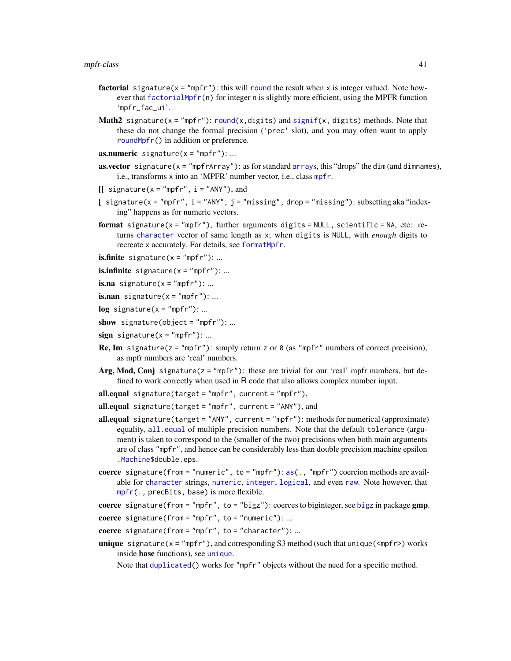#### mpfr-class 41

- factorial signature( $x = "mpfr"$ ): this will [round](#page-0-0) the result when x is integer valued. Note however that [factorialMpfr\(](#page-13-0)n) for integer n is slightly more efficient, using the MPFR function 'mpfr\_fac\_ui'.
- **Math2** signature(x = "mpfr"): [round\(](#page-0-0)x,digits) and [signif\(](#page-0-0)x, digits) methods. Note that these do not change the formal precision ('prec' slot), and you may often want to apply [roundMpfr\(](#page-64-0)) in addition or preference.

**as.numeric** signature( $x = "mpfr"$ ): ...

- **as.vector** signature( $x = "mpfrArrary"$ ): as for standard [array](#page-0-0)s, this "drops" the dim (and dimnames), i.e., transforms x into an 'MPFR' number vector, i.e., class [mpfr](#page-37-0).
- $[[$  signature(x = "mpfr", i = "ANY"), and
- [  $signature(x = "mpfr", i = "ANY", j = "missing", drop = "missing"); subsetting aka "index$ ing" happens as for numeric vectors.
- **format** signature( $x = "mpfr")$ , further arguments digits = NULL, scientific = NA, etc: returns [character](#page-0-0) vector of same length as x; when digits is NULL, with *enough* digits to recreate x accurately. For details, see [formatMpfr](#page-18-0).

**is.finite** signature( $x = "mpfr"$ ): ...

**is.infinite** signature( $x = "mpfr"$ ): ...

**is.na** signature( $x = "mpfr"$ ): ...

**is.nan** signature( $x = "mpfr"$ ): ...

- $log$  signature(x = "mpfr"): ...
- show signature(object = "mpfr"): ...
- $sign$  signature( $x = "mpr"$ ): ...
- **Re, Im** signature( $z = "mpfr"$ ): simply return z or  $\theta$  (as "mpfr" numbers of correct precision), as mpfr numbers are 'real' numbers.
- Arg, Mod, Conj signature( $z = "mpfr"$ ): these are trivial for our 'real' mpfr numbers, but defined to work correctly when used in R code that also allows complex number input.
- all.equal signature(target = "mpfr", current = "mpfr"),

all.equal signature(target = "mpfr", current = "ANY"), and

- all.equal signature(target = "ANY", current = "mpfr"): methods for numerical (approximate) equality, [all.equal](#page-0-0) of multiple precision numbers. Note that the default tolerance (argument) is taken to correspond to the (smaller of the two) precisions when both main arguments are of class "mpfr", and hence can be considerably less than double precision machine epsilon [.Machine\\$](#page-0-0)double.eps.
- coerce signature(from = "numeric", to = "mpfr"):  $as(., "mprr")$  $as(., "mprr")$  coercion methods are available for [character](#page-0-0) strings, [numeric](#page-0-0), [integer](#page-0-0), [logical](#page-0-0), and even [raw](#page-0-0). Note however, that [mpfr\(](#page-35-0)., precBits, base) is more flexible.

coerce signature(from = "mpfr", to = "[bigz](#page-0-0)"): coerces to biginteger, see bigz in package gmp.

coerce signature(from = "mpfr", to = "numeric"): ...

- coerce signature(from = "mpfr", to = "character"): ...
- **unique** signature( $x = "mpfr"$ ), and corresponding S3 method (such that unique( $\langle mpfr \rangle$ ) works inside base functions), see [unique](#page-0-0).

Note that [duplicated\(](#page-0-0)) works for "mpfr" objects without the need for a specific method.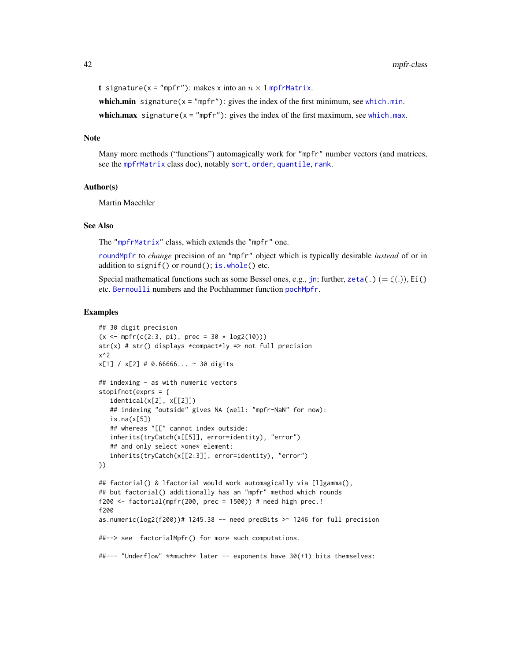```
t signature(x = "mpfr"): makes x into an n \times 1mpfrMatrix.
```
[which.min](#page-0-0) signature( $x = "mpfr"$ ): gives the index of the first minimum, see which.min. [which.max](#page-0-0) signature( $x = "mpfr"$ ): gives the index of the first maximum, see which.max.

## Note

Many more methods ("functions") automagically work for "mpfr" number vectors (and matrices, see the [mpfrMatrix](#page-53-0) class doc), notably [sort](#page-0-0), [order](#page-0-0), [quantile](#page-0-0), [rank](#page-0-0).

#### Author(s)

Martin Maechler

# See Also

The ["mpfrMatrix"](#page-53-0) class, which extends the "mpfr" one.

[roundMpfr](#page-64-0) to *change* precision of an "mpfr" object which is typically desirable *instead* of or in addition to signif() or round(); [is.whole\(](#page-29-0)) etc.

Special mathematical functions such as some Bessel ones, e.g., [jn](#page-9-0); further, [zeta\(](#page-44-0).) (= $\zeta(.)$ ), Ei() etc. [Bernoulli](#page-8-0) numbers and the Pochhammer function [pochMpfr](#page-11-0).

```
## 30 digit precision
(x \leq mpr(c(2:3, pi), prec = 30 * log2(10)))str(x) # str() displays *compact*ly => not full precision
x^2
x[1] / x[2] # 0.66666... ~ 30 digits## indexing - as with numeric vectors
stopifnot(exprs = {
   identical(x[2], x[[2]])
   ## indexing "outside" gives NA (well: "mpfr-NaN" for now):
   is.na(x[5])## whereas "[[" cannot index outside:
   inherits(tryCatch(x[[5]], error=identity), "error")
   ## and only select *one* element:
   inherits(tryCatch(x[[2:3]], error=identity), "error")
})
## factorial() & lfactorial would work automagically via [l]gamma(),
## but factorial() additionally has an "mpfr" method which rounds
f200 <- factorial(mpfr(200, prec = 1500)) # need high prec.!
f200
as.numeric(log2(f200))# 1245.38 -- need precBits > 1246 for full precision
##--> see factorialMpfr() for more such computations.
##--- "Underflow" **much** later -- exponents have 30(+1) bits themselves:
```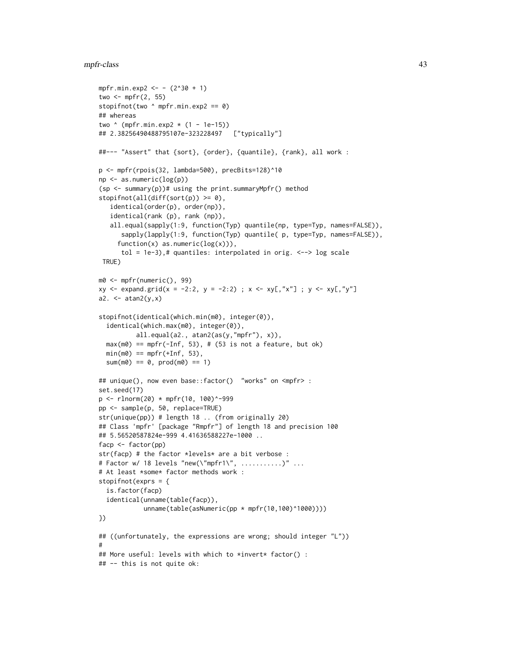#### mpfr-class 43

```
mpfr.min.exp2 <- - (2^30 + 1)two \leq mpfr(2, 55)
stopifnot(two ^ mpfr.min.exp2 == 0)
## whereas
two \land (mpfr.min.exp2 \star (1 - 1e-15))
## 2.38256490488795107e-323228497 ["typically"]
##--- "Assert" that {sort}, {order}, {quantile}, {rank}, all work :
p <- mpfr(rpois(32, lambda=500), precBits=128)^10
np <- as.numeric(log(p))
(sp <- summary(p))# using the print.summaryMpfr() method
stopifnot(all(diff(sort(p)) \ge 0),identical(order(p), order(np)),
   identical(rank (p), rank (np)),
   all.equal(sapply(1:9, function(Typ) quantile(np, type=Typ, names=FALSE)),
      sapply(lapply(1:9, function(Typ) quantile( p, type=Typ, names=FALSE)),
     function(x) as.numeric(log(x))),
      tol = 1e-3),# quantiles: interpolated in orig. \langle --> log scale
 TRUE)
m0 <- mpfr(numeric(), 99)
xy \le - expand.grid(x = -2:2, y = -2:2) ; x <- xy[,"x"] ; y <- xy[,"y"]
a2. \leftarrow atan2(y, x)stopifnot(identical(which.min(m0), integer(0)),
  identical(which.max(m0), integer(0)),
          all.equal(a2., atan2(as(y,"mpfr"), x)),
  max(m0) == mpr(-Inf, 53), # (53 is not a feature, but ok)min(m0) == mpr(+Inf, 53),sum(m0) == 0, prod(m0) == 1)## unique(), now even base::factor() "works" on <mpfr> :
set.seed(17)
p \le - rlnorm(20) * mpfr(10, 100)^-999
pp <- sample(p, 50, replace=TRUE)
str(unique(pp)) # length 18 .. (from originally 20)
## Class 'mpfr' [package "Rmpfr"] of length 18 and precision 100
## 5.56520587824e-999 4.41636588227e-1000 ..
facp <- factor(pp)
str(facp) # the factor *levels* are a bit verbose :
# Factor w/ 18 levels "new(\"mpfr1\", ...........)" ...
# At least *some* factor methods work :
stopifnot(exprs = {
  is.factor(facp)
  identical(unname(table(facp)),
            unname(table(asNumeric(pp * mpfr(10,100)^1000))))
})
## ((unfortunately, the expressions are wrong; should integer "L"))
#
## More useful: levels with which to *invert* factor() :
## -- this is not quite ok:
```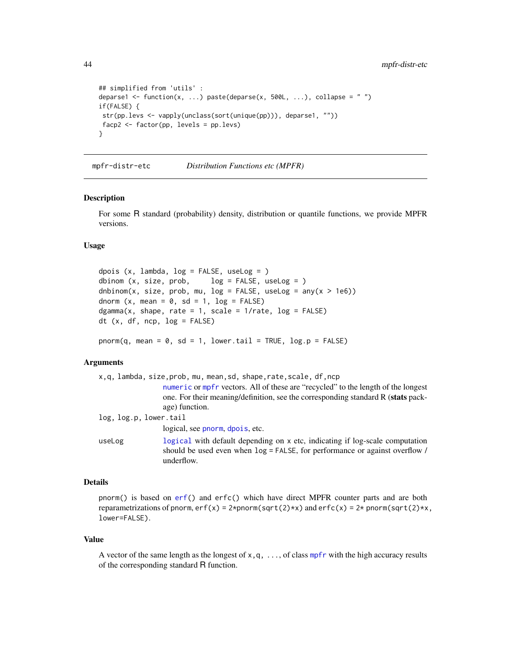```
## simplified from 'utils' :
deparse1 <- function(x, ...) paste(deparse(x, 500L, ...), collapse = " ")
if(FALSE) {
str(pp.levs <- vapply(unclass(sort(unique(pp))), deparse1, ""))
facp2 <- factor(pp, levels = pp.levs)
}
```
mpfr-distr-etc *Distribution Functions etc (MPFR)*

#### <span id="page-43-0"></span>Description

For some R standard (probability) density, distribution or quantile functions, we provide MPFR versions.

## Usage

```
dpois (x, \text{lambda}, \text{log} = \text{FALSE}, \text{useLog} = x)dbinom (x, size, prob, log = FALSE, useLog = )dnbinom(x, size, prob, mu, log = FALSE, useLog = any(x > 1e6))
dnorm (x, \text{mean} = 0, \text{ sd} = 1, \text{log} = \text{FALSE})dgamma(x, shape, rate = 1, scale = 1/rate, log = FALSE)dt (x, df, ncp, log = FALSE)
```
pnorm(q, mean =  $0$ , sd = 1, lower.tail = TRUE, log.p = FALSE)

## **Arguments**

|                        | x,q, lambda, size, prob, mu, mean, sd, shape, rate, scale, df, ncp                                                                                                                              |
|------------------------|-------------------------------------------------------------------------------------------------------------------------------------------------------------------------------------------------|
|                        | numeric or mpfr vectors. All of these are "recycled" to the length of the longest<br>one. For their meaning/definition, see the corresponding standard R ( <b>stats</b> pack-<br>age) function. |
| log, log.p, lower.tail |                                                                                                                                                                                                 |
|                        | logical, see pnorm, dpois, etc.                                                                                                                                                                 |
| useLog                 | logical with default depending on x etc, indicating if log-scale computation<br>should be used even when $log =$ FALSE, for performance or against overflow /<br>underflow.                     |

# Details

pnorm() is based on [erf\(](#page-44-0)) and erfc() which have direct MPFR counter parts and are both reparametrizations of pnorm,  $erf(x) = 2$ \*pnorm(sqrt(2)\*x) and  $erfc(x) = 2*$  pnorm(sqrt(2)\*x, lower=FALSE).

#### Value

A vector of the same length as the longest of  $x, q, \ldots$ , of class [mpfr](#page-37-0) with the high accuracy results of the corresponding standard R function.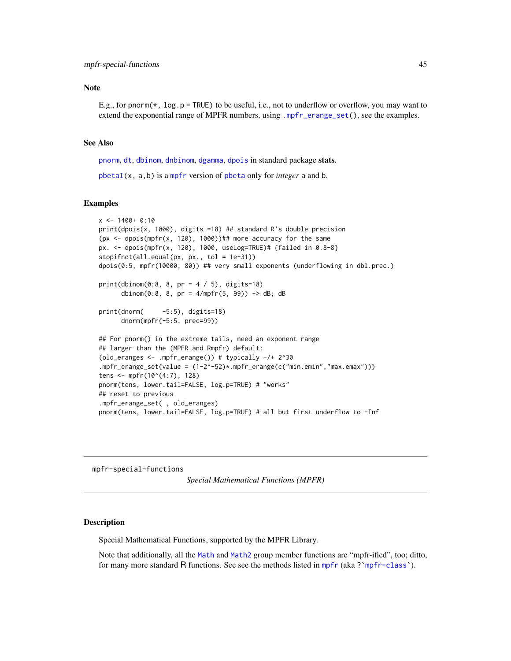## **Note**

E.g., for pnorm( $\star$ , log.p = TRUE) to be useful, i.e., not to underflow or overflow, you may want to extend the exponential range of MPFR numbers, using [.mpfr\\_erange\\_set\(](#page-46-0)), see the examples.

## See Also

[pnorm](#page-43-0), [dt](#page-43-0), [dbinom](#page-43-0), [dnbinom](#page-43-0), [dgamma](#page-43-0), [dpois](#page-43-0) in standard package stats.

[pbetaI\(](#page-60-0)x, a,b) is a [mpfr](#page-35-0) version of [pbeta](#page-0-0) only for *integer* a and b.

#### Examples

```
x <- 1400+ 0:10
print(dpois(x, 1000), digits =18) ## standard R's double precision
(px <- dpois(mpfr(x, 120), 1000))## more accuracy for the same
px. <- dpois(mpfr(x, 120), 1000, useLog=TRUE)# {failed in 0.8-8}
stopifnot(all.equal(px, px., tol = 1e-31))
dpois(0:5, mpfr(10000, 80)) ## very small exponents (underflowing in dbl.prec.)
print(dbinom(0:8, 8, pr = 4 / 5), digits=18)
      dbinom(0:8, 8, pr = 4/mpfr(5, 99)) -> dB; dB
print(dnorm( -5:5), digits=18)
      dnorm(mpfr(-5:5, prec=99))
## For pnorm() in the extreme tails, need an exponent range
## larger than the (MPFR and Rmpfr) default:
(old_eranges <- .mpfr_erange()) # typically -/+ 2^30
.mpfr_erange_set(value = (1-2^-52)*.mpfr_erange(c("min.emin","max.emax")))
tens <- mpfr(10^(4:7), 128)
pnorm(tens, lower.tail=FALSE, log.p=TRUE) # "works"
## reset to previous
.mpfr_erange_set( , old_eranges)
pnorm(tens, lower.tail=FALSE, log.p=TRUE) # all but first underflow to -Inf
```
mpfr-special-functions

*Special Mathematical Functions (MPFR)*

# <span id="page-44-0"></span>Description

Special Mathematical Functions, supported by the MPFR Library.

Note that additionally, all the [Math](#page-0-0) and [Math2](#page-0-0) group member functions are "mpfr-ified", too; ditto, for many more standard R functions. See see the methods listed in [mpfr](#page-37-0) (aka?[`mpfr-class`](#page-37-0)).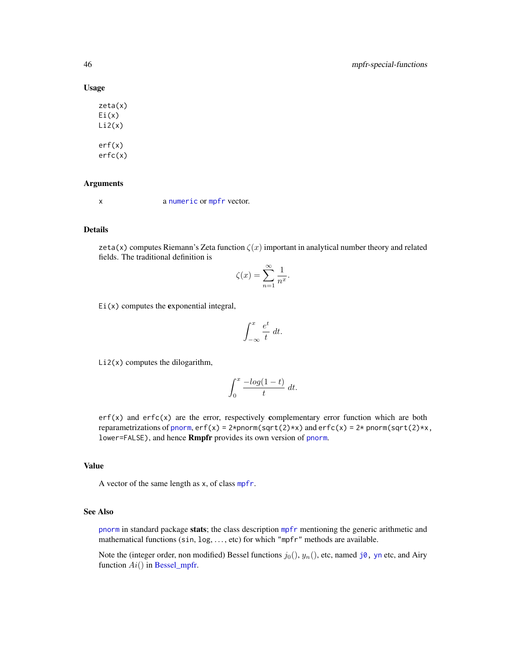#### Usage

zeta(x) Ei(x)  $Li2(x)$ erf(x) erfc(x)

# Arguments

x a [numeric](#page-0-0) or [mpfr](#page-37-0) vector.

# Details

zeta(x) computes Riemann's Zeta function  $\zeta(x)$  important in analytical number theory and related fields. The traditional definition is

$$
\zeta(x) = \sum_{n=1}^{\infty} \frac{1}{n^x}.
$$

 $Ei(x)$  computes the exponential integral,

$$
\int_{-\infty}^{x} \frac{e^t}{t} dt.
$$

 $Li2(x)$  computes the dilogarithm,

$$
\int_0^x \frac{-\log(1-t)}{t} \, dt.
$$

erf(x) and erfc(x) are the error, respectively complementary error function which are both reparametrizations of [pnorm](#page-43-0),  $erf(x) = 2*$ pnorm(sqrt(2)\*x) and  $erfc(x) = 2*$  pnorm(sqrt(2)\*x, lower=FALSE), and hence Rmpfr provides its own version of [pnorm](#page-43-0).

# Value

A vector of the same length as x, of class [mpfr](#page-37-0).

## See Also

[pnorm](#page-43-0) in standard package stats; the class description [mpfr](#page-37-0) mentioning the generic arithmetic and mathematical functions (sin, log, ..., etc) for which "mpfr" methods are available.

Note the (integer order, non modified) Bessel functions  $j_0(), y_n(),$  etc, named [j0,](#page-9-0) [yn](#page-9-0) etc, and Airy function  $Ai()$  in [Bessel\\_mpfr.](#page-9-1)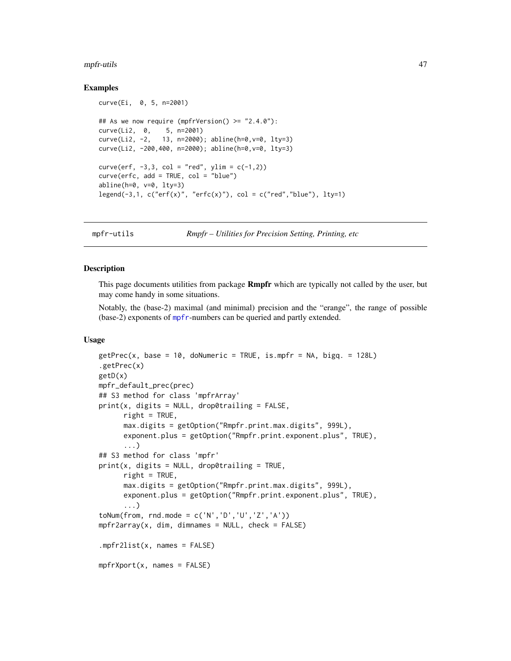#### mpfr-utils 47

## Examples

```
curve(Ei, 0, 5, n=2001)
## As we now require (mpfrVersion() > = "2.4.0"):
curve(Li2, 0, 5, n=2001)
curve(Li2, -2, 13, n=2000); abline(h=0,v=0, lty=3)
curve(Li2, -200,400, n=2000); abline(h=0,v=0, lty=3)
curve(erf, -3, 3, col = "red", ylim = c(-1, 2))curve(erfc, add = TRUE, col = "blue")abline(h=0, v=0, lty=3)
legend(-3,1, c("erf(x)", "erfc(x)", col = c("red", "blue"), lty=1)
```
mpfr-utils *Rmpfr – Utilities for Precision Setting, Printing, etc*

# <span id="page-46-0"></span>Description

This page documents utilities from package **Rmpfr** which are typically not called by the user, but may come handy in some situations.

Notably, the (base-2) maximal (and minimal) precision and the "erange", the range of possible (base-2) exponents of [mpfr](#page-35-0)-numbers can be queried and partly extended.

# Usage

```
getPrec(x, base = 10, dolumeric = TRUE, is.mpfr = NA, bigq. = 128L).getPrec(x)
getD(x)
mpfr_default_prec(prec)
## S3 method for class 'mpfrArray'
print(x, digits = NULL, drop0trailing = FALSE,right = TRUE,max.digits = getOption("Rmpfr.print.max.digits", 999L),
      exponent.plus = getOption("Rmpfr.print.exponent.plus", TRUE),
      ...)
## S3 method for class 'mpfr'
print(x, digits = NULL, drop0trailing = TRUE,right = TRUE,max.digits = getOption("Rmpfr.print.max.digits", 999L),
      exponent.plus = getOption("Rmpfr.print.exponent.plus", TRUE),
      ...)
toNum(from, rnd.mode = c('N', 'D', 'U', 'Z', 'A'))mpfr2array(x, dim, dimnames = NULL, check = FALSE).mpfr2list(x, names = FALSE)
mpfrXport(x, names = FALSE)
```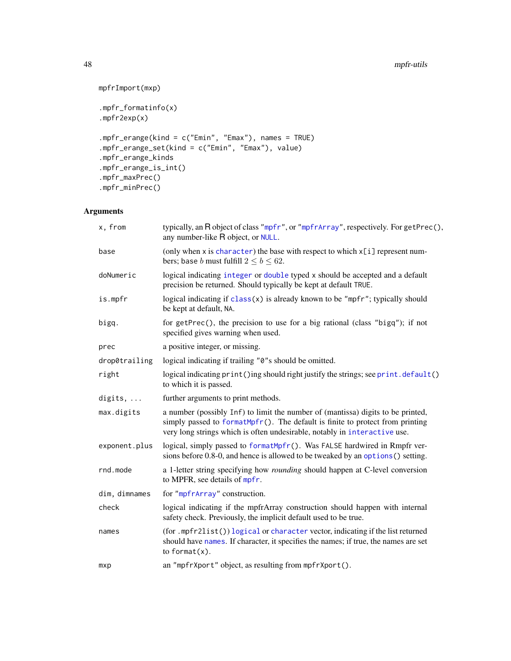# 48 mpfr-utils

```
mpfrImport(mxp)
.mpfr_formatinfo(x)
.mpfr2exp(x)
.mpfr_erange(kind = c("Emin", "Emax"), names = TRUE)
.mpfr_erange_set(kind = c("Emin", "Emax"), value)
.mpfr_erange_kinds
.mpfr_erange_is_int()
.mpfr_maxPrec()
.mpfr_minPrec()
```
# Arguments

| x, from         | typically, an R object of class "mpfr", or "mpfrArray", respectively. For getPrec(),<br>any number-like R object, or NULL.                                                                                                                    |
|-----------------|-----------------------------------------------------------------------------------------------------------------------------------------------------------------------------------------------------------------------------------------------|
| base            | (only when x is character) the base with respect to which $x[i]$ represent num-<br>bers; base <i>b</i> must fulfill $2 \le b \le 62$ .                                                                                                        |
| doNumeric       | logical indicating integer or double typed x should be accepted and a default<br>precision be returned. Should typically be kept at default TRUE.                                                                                             |
| is.mpfr         | logical indicating if $class(x)$ is already known to be "mpfr"; typically should<br>be kept at default, NA.                                                                                                                                   |
| bigq.           | for getPrec(), the precision to use for a big rational (class "bigq"); if not<br>specified gives warning when used.                                                                                                                           |
| prec            | a positive integer, or missing.                                                                                                                                                                                                               |
| drop0trailing   | logical indicating if trailing "0"s should be omitted.                                                                                                                                                                                        |
| right           | logical indicating print()ing should right justify the strings; see print.default()<br>to which it is passed.                                                                                                                                 |
| digits, $\dots$ | further arguments to print methods.                                                                                                                                                                                                           |
| max.digits      | a number (possibly Inf) to limit the number of (mantissa) digits to be printed,<br>simply passed to formatMpfr(). The default is finite to protect from printing<br>very long strings which is often undesirable, notably in interactive use. |
| exponent.plus   | logical, simply passed to formatMpfr(). Was FALSE hardwired in Rmpfr ver-<br>sions before 0.8-0, and hence is allowed to be tweaked by an options () setting.                                                                                 |
| rnd.mode        | a 1-letter string specifying how <i>rounding</i> should happen at C-level conversion<br>to MPFR, see details of mpfr.                                                                                                                         |
| dim, dimnames   | for "mpfrArray" construction.                                                                                                                                                                                                                 |
| check           | logical indicating if the mpfrArray construction should happen with internal<br>safety check. Previously, the implicit default used to be true.                                                                                               |
| names           | (for .mpfr2list()) logical or character vector, indicating if the list returned<br>should have names. If character, it specifies the names; if true, the names are set<br>to format $(x)$ .                                                   |
| mxp             | an "mpfrXport" object, as resulting from mpfrXport().                                                                                                                                                                                         |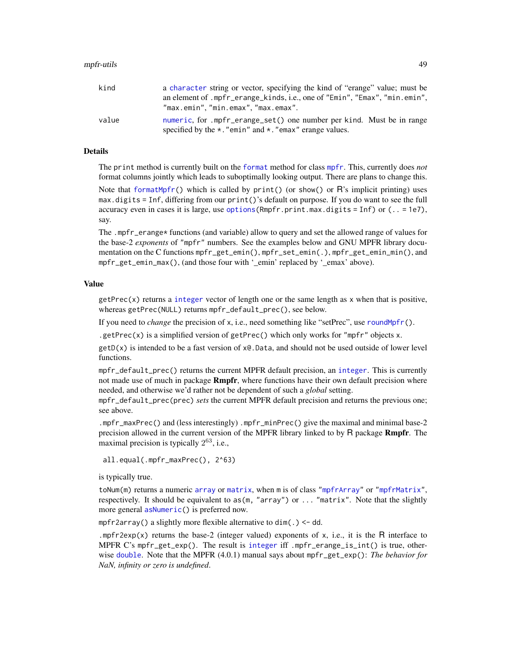| kind  | a character string or vector, specifying the kind of "erange" value; must be |
|-------|------------------------------------------------------------------------------|
|       | an element of .mpfr_erange_kinds, i.e., one of "Emin", "Emax", "min.emin",   |
|       | "max.emin","min.emax","max.emax".                                            |
| value | numeric, for .mpfr_erange_set() one number per kind. Must be in range        |
|       | specified by the $\star$ . "emin" and $\star$ . "emax" erange values.        |

# Details

The print method is currently built on the [format](#page-0-0) method for class [mpfr](#page-37-0). This, currently does *not* format columns jointly which leads to suboptimally looking output. There are plans to change this.

Note that [formatMpfr\(](#page-18-0)) which is called by  $print()$  (or show() or R's implicit printing) uses max.digits = Inf, differing from our print()'s default on purpose. If you do want to see the full accuracy even in cases it is large, use [options\(](#page-0-0)Rmpfr.print.max.digits = Inf) or (.. = 1e7), say.

The .mpfr\_erange\* functions (and variable) allow to query and set the allowed range of values for the base-2 *exponents* of "mpfr" numbers. See the examples below and GNU MPFR library documentation on the C functions mpfr\_get\_emin(), mpfr\_set\_emin(.), mpfr\_get\_emin\_min(), and mpfr\_get\_emin\_max(), (and those four with '\_emin' replaced by '\_emax' above).

#### Value

 $getPrec(x)$  returns a [integer](#page-0-0) vector of length one or the same length as x when that is positive, whereas getPrec(NULL) returns mpfr\_default\_prec(), see below.

If you need to *change* the precision of x, i.e., need something like "setPrec", use [roundMpfr\(](#page-64-0)).

.getPrec(x) is a simplified version of getPrec() which only works for "mpfr" objects x.

 $getD(x)$  is intended to be a fast version of  $x \in D$ . Data, and should not be used outside of lower level functions.

mpfr\_default\_prec() returns the current MPFR default precision, an [integer](#page-0-0). This is currently not made use of much in package **Rmpfr**, where functions have their own default precision where needed, and otherwise we'd rather not be dependent of such a *global* setting.

mpfr\_default\_prec(prec) *sets* the current MPFR default precision and returns the previous one; see above.

.mpfr\_maxPrec() and (less interestingly) .mpfr\_minPrec() give the maximal and minimal base-2 precision allowed in the current version of the MPFR library linked to by R package **Rmpfr**. The maximal precision is typically  $2^{63}$ , i.e.,

```
all.equal(.mpfr_maxPrec(), 2^63)
```
is typically true.

toNum(m) returns a numeric [array](#page-0-0) or [matrix](#page-0-0), when m is of class ["mpfrArray"](#page-53-0) or ["mpfrMatrix"](#page-53-0), respectively. It should be equivalent to as(m, "array") or ... "matrix". Note that the slightly more general [asNumeric\(](#page-0-0)) is preferred now.

mpfr2array() a slightly more flexible alternative to  $dim(.) \leq -dd$ .

.mpfr2exp(x) returns the base-2 (integer valued) exponents of x, i.e., it is the R interface to MPFR C's mpfr\_get\_exp(). The result is [integer](#page-0-0) iff .mpfr\_erange\_is\_int() is true, otherwise [double](#page-0-0). Note that the MPFR (4.0.1) manual says about mpfr\_get\_exp(): *The behavior for NaN, infinity or zero is undefined*.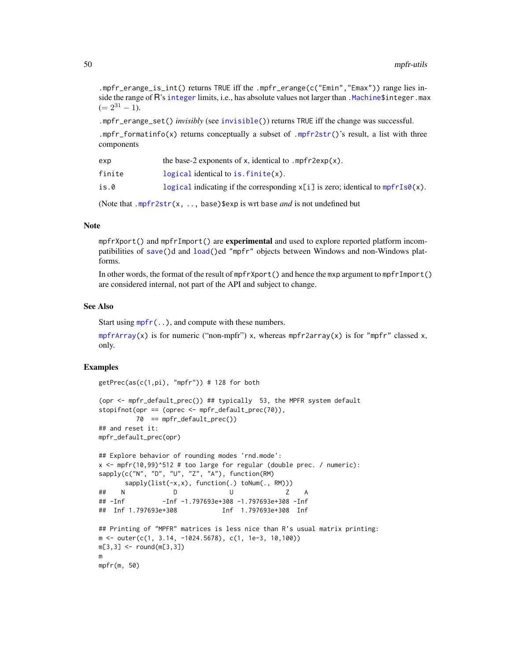.mpfr\_erange\_is\_int() returns TRUE iff the .mpfr\_erange(c("Emin","Emax")) range lies inside the range of R's [integer](#page-0-0) limits, i.e., has absolute values not larger than . Machine \$integer. max  $(= 2^{31} - 1).$ 

.mpfr\_erange\_set() *invisibly* (see [invisible\(](#page-0-0))) returns TRUE iff the change was successful.

.mpfr\_formatinfo(x) returns conceptually a subset of [.mpfr2str\(](#page-18-1))'s result, a list with three components

| exp    | the base-2 exponents of x, identical to $.mpfr2exp(x)$ .                                    |
|--------|---------------------------------------------------------------------------------------------|
| finite | logical identical to is $finite(x)$ .                                                       |
| is.0   | logical indicating if the corresponding $x[i]$ is zero; identical to $mpfrIs\emptyset(x)$ . |
|        |                                                                                             |

(Note that [.mpfr2str\(](#page-18-1)x, .., base)\$exp is wrt base *and* is not undefined but

## Note

mpfrXport() and mpfrImport() are **experimental** and used to explore reported platform incompatibilities of [save\(](#page-0-0))d and [load\(](#page-0-0))ed "mpfr" objects between Windows and non-Windows platforms.

In other words, the format of the result of mpfrXport() and hence the mxp argument to mpfrImport() are considered internal, not part of the API and subject to change.

## See Also

Start using  $mpr(c)$ , and compute with these numbers.

[mpfrArray\(](#page-52-0)x) is for numeric ("non-mpfr") x, whereas mpfr2array(x) is for "mpfr" classed x, only.

## Examples

m

```
getPrec(as(c(1,pi), "mpfr")) # 128 for both
```

```
(opr <- mpfr_default_prec()) ## typically 53, the MPFR system default
stopifnot(opr == (oprec <- mpfr_default_prec(70)),
         70 == mpfr_default_prec())
## and reset it:
mpfr_default_prec(opr)
## Explore behavior of rounding modes 'rnd.mode':
x \le mpfr(10,99)^512 # too large for regular (double prec. / numeric):
sapply(c("N", "D", "U", "Z", "A"), function(RM)
     sapply(list(-x,x), function(.) toNum(., RM)))
## N D U Z A
## -Inf -Inf -1.797693e+308 -1.797693e+308 -Inf
## Inf 1.797693e+308 Inf 1.797693e+308 Inf
## Printing of "MPFR" matrices is less nice than R's usual matrix printing:
m \le - outer(c(1, 3.14, -1024.5678), c(1, 1e-3, 10,100))
m[3,3] <- round(m[3,3])
```
mpfr(m, 50)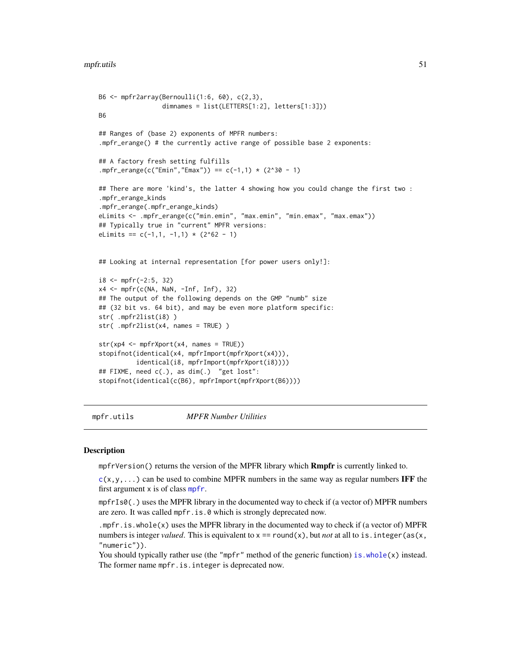```
B6 \leq mpfr2array(Bernoulli(1:6, 60), c(2,3),
                 dimnames = list(LETTERS[1:2], letters[1:3]))
B6
## Ranges of (base 2) exponents of MPFR numbers:
.mpfr_erange() # the currently active range of possible base 2 exponents:
## A factory fresh setting fulfills
.mpfr_erange(c("Emin","Emax")) == c(-1,1) * (2^30 - 1)
## There are more 'kind's, the latter 4 showing how you could change the first two :
.mpfr_erange_kinds
.mpfr_erange(.mpfr_erange_kinds)
eLimits <- .mpfr_erange(c("min.emin", "max.emin", "min.emax", "max.emax"))
## Typically true in "current" MPFR versions:
eLimits == c(-1,1,-1,1) * (2^62 - 1)
## Looking at internal representation [for power users only!]:
i8 < - mpfr(-2:5, 32)
x4 <- mpfr(c(NA, NaN, -Inf, Inf), 32)
## The output of the following depends on the GMP "numb" size
## (32 bit vs. 64 bit), and may be even more platform specific:
str( .mpfr2list(i8) )
str( .mpfr2list(x4, names = TRUE) )
str(xp4 <- mpfrXport(x4, names = TRUE))
stopifnot(identical(x4, mpfrImport(mpfrXport(x4))),
          identical(i8, mpfrImport(mpfrXport(i8))))
## FIXME, need c(.), as dim(.) "get lost":
stopifnot(identical(c(B6), mpfrImport(mpfrXport(B6))))
```
mpfr.utils *MPFR Number Utilities*

#### <span id="page-50-0"></span>Description

mpfrVersion() returns the version of the MPFR library which **Rmpfr** is currently linked to.

 $c(x,y,...)$  $c(x,y,...)$  can be used to combine MPFR numbers in the same way as regular numbers IFF the first argument  $x$  is of class [mpfr](#page-37-0).

mpfrIs $\theta$ (.) uses the MPFR library in the documented way to check if (a vector of) MPFR numbers are zero. It was called mpfr.is.0 which is strongly deprecated now.

.mpfr.is.whole(x) uses the MPFR library in the documented way to check if (a vector of) MPFR numbers is integer *valued*. This is equivalent to  $x = \text{round}(x)$ , but *not* at all to is. integer(as(x, "numeric")).

You should typically rather use (the "mpfr" method of the generic function) is. whole(x) instead. The former name mpfr.is.integer is deprecated now.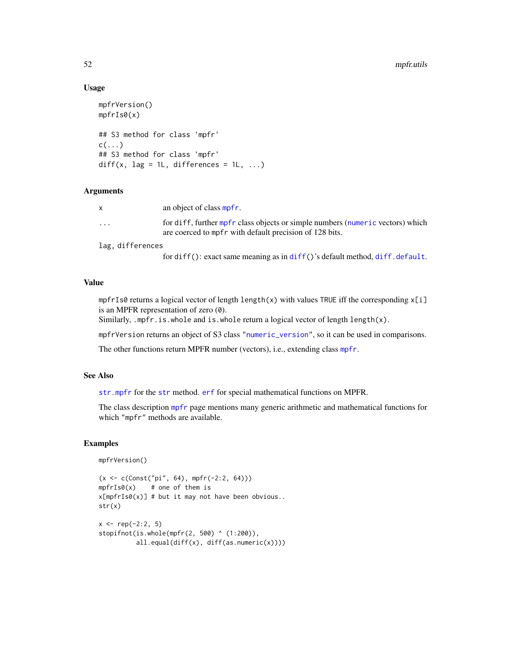## Usage

```
mpfrVersion()
mpfrIs0(x)
## S3 method for class 'mpfr'
c(\ldots)## S3 method for class 'mpfr'
diff(x, \text{lag} = 1L, differences = 1L, ...)
```
## Arguments

| $\mathsf{X}$            | an object of class mpfr.                                                                                                                  |
|-------------------------|-------------------------------------------------------------------------------------------------------------------------------------------|
| $\cdot$ $\cdot$ $\cdot$ | for diff, further mpfr class objects or simple numbers (numeric vectors) which<br>are coerced to mpfr with default precision of 128 bits. |
|                         |                                                                                                                                           |

lag, differences

for diff(): exact same meaning as in [diff\(](#page-0-0))'s default method, [diff.default](#page-0-0).

# Value

mpfrIs0 returns a logical vector of length length(x) with values TRUE iff the corresponding  $x[i]$ is an MPFR representation of zero  $(0)$ .

Similarly, .mpfr.is.whole and is.whole return a logical vector of length length(x).

mpfrVersion returns an object of S3 class ["numeric\\_version"](#page-0-0), so it can be used in comparisons.

The other functions return MPFR number (vectors), i.e., extending class [mpfr](#page-37-0).

# See Also

[str.mpfr](#page-67-0) for the [str](#page-0-0) method. [erf](#page-44-0) for special mathematical functions on MPFR.

The class description [mpfr](#page-37-0) page mentions many generic arithmetic and mathematical functions for which "mpfr" methods are available.

```
mpfrVersion()
```

```
(x \le c(Const("pi", 64), mpr(-2:2, 64)))mpfrIs0(x) # one of them is
x[mpfrIs0(x)] # but it may not have been obvious..
str(x)
x \leq -rep(-2:2, 5)stopifnot(is.whole(mpfr(2, 500) ^ (1:200)),
          all.equal(diff(x), diff(as.numeric(x))))
```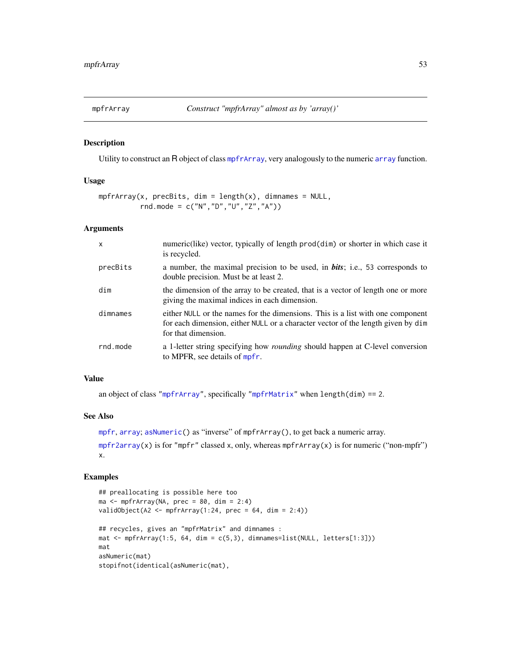<span id="page-52-0"></span>

## Description

Utility to construct an R object of class [mpfrArray](#page-53-0), very analogously to the numeric [array](#page-0-0) function.

## Usage

```
mpfrArray(x, precBits, dim = length(x), dimmans = NULL,rnd.mode = c("N","D","U","Z","A"))
```
## Arguments

| $\mathsf{x}$ | numeric(like) vector, typically of length prod(dim) or shorter in which case it<br>is recycled.                                                                                           |
|--------------|-------------------------------------------------------------------------------------------------------------------------------------------------------------------------------------------|
| precBits     | a number, the maximal precision to be used, in <b>bits</b> ; i.e., 53 corresponds to<br>double precision. Must be at least 2.                                                             |
| dim          | the dimension of the array to be created, that is a vector of length one or more<br>giving the maximal indices in each dimension.                                                         |
| dimnames     | either NULL or the names for the dimensions. This is a list with one component<br>for each dimension, either NULL or a character vector of the length given by dim<br>for that dimension. |
| rnd.mode     | a 1-letter string specifying how <i>rounding</i> should happen at C-level conversion<br>to MPFR, see details of mpfr.                                                                     |

# Value

an object of class ["mpfrArray"](#page-53-0), specifically ["mpfrMatrix"](#page-53-0) when length(dim) == 2.

#### See Also

[mpfr](#page-35-0), [array](#page-0-0); [asNumeric\(](#page-0-0)) as "inverse" of mpfrArray(), to get back a numeric array. [mpfr2array\(](#page-46-0)x) is for "mpfr" classed x, only, whereas mpfrArray(x) is for numeric ("non-mpfr")

```
x.
```

```
## preallocating is possible here too
ma \leq mpfrArray(NA, prec = 80, dim = 2:4)
validObject(A2 <- mpfrArray(1:24, prec = 64, dim = 2:4))
## recycles, gives an "mpfrMatrix" and dimnames :
mat \leq mpfrArray(1:5, 64, dim = c(5,3), dimnames=list(NULL, letters[1:3]))
mat
asNumeric(mat)
stopifnot(identical(asNumeric(mat),
```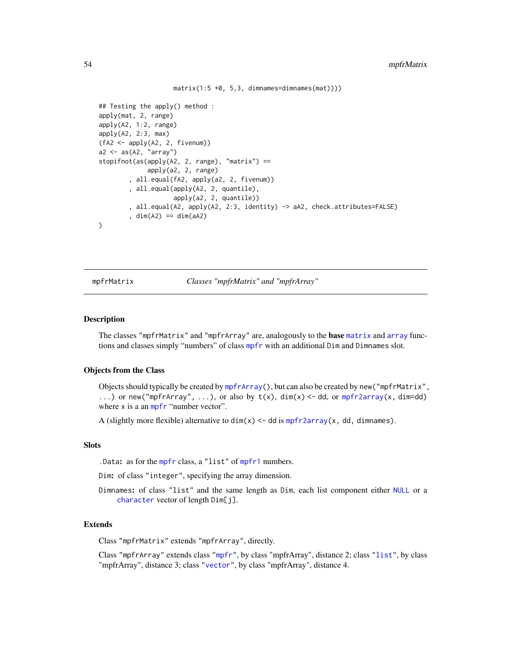$matrix(1:5 +0, 5, 3, dimension 5)$ 

```
## Testing the apply() method :
apply(mat, 2, range)
apply(A2, 1:2, range)
apply(A2, 2:3, max)
(fA2 <- apply(A2, 2, fivenum))
a2 \leftarrow as(A2, 'array')stopifnot(as(apply(A2, 2, range), "matrix") ==
             apply(a2, 2, range)
        , all.equal(fA2, apply(a2, 2, fivenum))
        , all.equal(apply(A2, 2, quantile),
                    apply(a2, 2, quantile))
        , all.equal(A2, apply(A2, 2:3, identity) -> aA2, check.attributes=FALSE)
        , dim(A2) == dim(aA2))
```
mpfrMatrix *Classes "mpfrMatrix" and "mpfrArray"*

#### <span id="page-53-0"></span>Description

The classes "mpfrMatrix" and "mpfrArray" are, analogously to the **base** [matrix](#page-0-0) and [array](#page-0-0) functions and classes simply "numbers" of class [mpfr](#page-37-0) with an additional Dim and Dimnames slot.

## Objects from the Class

Objects should typically be created by [mpfrArray\(](#page-52-0)), but can also be created by new("mpfrMatrix", ...) or new("mpfrArray", ...), or also by t(x), dim(x) <- dd, or [mpfr2array\(](#page-46-0)x, dim=dd) where x is a an [mpfr](#page-37-0) "number vector".

A (slightly more flexible) alternative to  $dim(x) < -$  dd is [mpfr2array\(](#page-46-0)x, dd, dimnames).

# **Slots**

.Data: as for the [mpfr](#page-37-0) class, a "list" of [mpfr1](#page-37-1) numbers.

Dim: of class "integer", specifying the array dimension.

Dimnames: of class "list" and the same length as Dim, each list component either [NULL](#page-0-0) or a [character](#page-0-0) vector of length Dim[j].

#### Extends

Class "mpfrMatrix" extends "mpfrArray", directly.

Class "mpfrArray" extends class ["mpfr"](#page-37-0), by class "mpfrArray", distance 2; class ["list"](#page-0-0), by class "mpfrArray", distance 3; class ["vector"](#page-0-0), by class "mpfrArray", distance 4.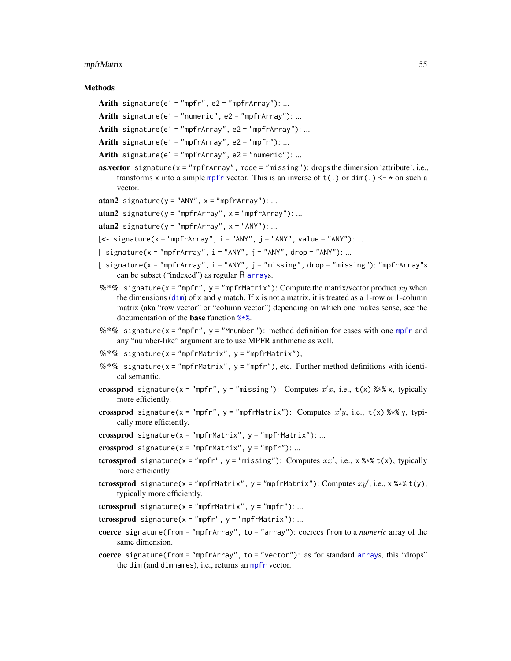#### mpfrMatrix 55

## **Methods**

- Arith signature(e1 = "mpfr", e2 = "mpfrArray"): ...
- Arith signature(e1 = "numeric",  $e2 =$  "mpfrArray"): ...
- Arith signature(e1 = "mpfrArray", e2 = "mpfrArray"): ...
- Arith signature(e1 = "mpfrArray", e2 = "mpfr"): ...
- Arith signature(e1 = "mpfrArray", e2 = "numeric"): ...
- **as.vector** signature( $x =$ "mpfrArray", mode = "missing"): drops the dimension 'attribute', i.e., transforms x into a simple [mpfr](#page-37-0) vector. This is an inverse of  $t(.)$  or  $\dim(.)$   $\leq \in \ast$  on such a vector.
- $atan2$  signature( $y = "ANY", x = "mpfrArray")$ : ...
- $atan2$  signature(y = "mpfrArray",  $x =$  "mpfrArray"): ...
- atan2 signature( $y = "mpfrArray"$ ,  $x = "ANY"$ ): ...
- $\left[ \left\langle -\right\rangle$  signature(x = "mpfrArray", i = "ANY", j = "ANY", value = "ANY"): ...
- $[$  signature(x = "mpfrArray", i = "ANY", j = "ANY", drop = "ANY"): ...
- $[$  signature(x = "mpfrArray",  $i =$  "ANY",  $j =$  "missing", drop = "missing"): "mpfrArray"s can be subset ("indexed") as regular R [array](#page-0-0)s.
- $%$ \*% signature(x = "mpfr", y = "mpfrMatrix"): Compute the matrix/vector product xy when the [dim](#page-0-0)ensions (dim) of x and y match. If x is not a matrix, it is treated as a 1-row or 1-column matrix (aka "row vector" or "column vector") depending on which one makes sense, see the documentation of the base function [%\\*%](#page-0-0).
- $%$  \*% signature(x = "[mpfr](#page-37-0)", y = "Mnumber"): method definition for cases with one mpfr and any "number-like" argument are to use MPFR arithmetic as well.
- $%$  \*% signature(x = "mpfrMatrix", y = "mpfrMatrix"),
- $%$  \*% signature(x = "mpfrMatrix", y = "mpfr"), etc. Further method definitions with identical semantic.
- crossprod signature(x = "mpfr", y = "missing"): Computes  $x'x$ , i.e.,  $t(x)$  %\*% x, typically more efficiently.
- crossprod signature(x = "mpfr", y = "mpfrMatrix"): Computes  $x'y$ , i.e., t(x) %\*% y, typically more efficiently.
- crossprod signature( $x = "mpfrMatrix", y = "mpfrMatrix"); ...$
- crossprod signature( $x =$ "mpfrMatrix",  $y =$ "mpfr"): ...
- **tcrossprod** signature(x = "mpfr", y = "missing"): Computes  $xx'$ , i.e., x %\*% t(x), typically more efficiently.
- **tcrossprod** signature(x = "mpfrMatrix", y = "mpfrMatrix"): Computes  $xy'$ , i.e., x %\*% t(y), typically more efficiently.
- tcrossprod signature( $x =$ "mpfrMatrix",  $y =$ "mpfr"): ...

tcrossprod signature( $x = "mpfr", y = "mpfrMatrix")$ : ...

- coerce signature(from = "mpfrArray", to = "array"): coerces from to a *numeric* array of the same dimension.
- coerce signature(from = "mpfrArray", to = "vector"): as for standard [array](#page-0-0)s, this "drops" the dim (and dimnames), i.e., returns an [mpfr](#page-37-0) vector.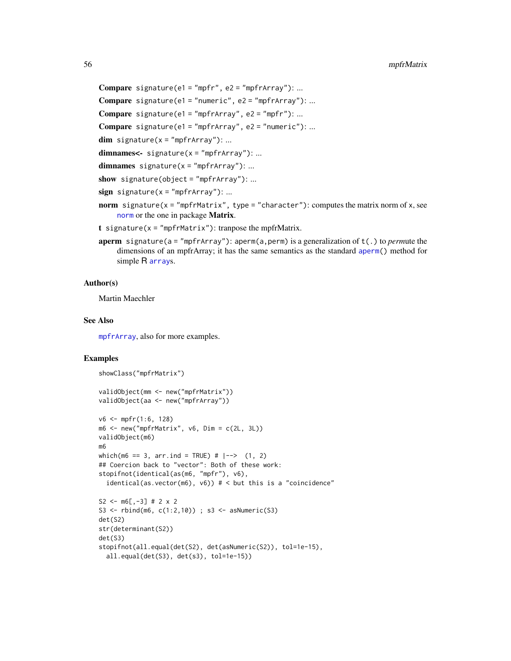```
Compare signature(e1 = "mpfr", e2 = "mpfrArray"): ...
```
**Compare** signature(e1 = "numeric", e2 = "mpfrArray"): ...

```
Compare signature(e1 = "mpfrArray", e2 = "mpfr"): ...
```
**Compare** signature(e1 = "mpfrArray", e2 = "numeric"): ...

 $dim$  signature( $x = "mpfrArray")$ : ...

 $dimnames < -signature(x = "mpfrArray")$ : ...

```
dimnames signature(x = "mpfrArray"): ...
```

```
show signature(object = "mpfrArray"): ...
```
- sign signature( $x = "mpfrArray")$ : ...
- norm signature( $x = "mpfrMatrix"$ , type = "character"): computes the matrix norm of x, see [norm](#page-0-0) or the one in package Matrix.
- t signature( $x = "mpfrMatrix"$ ): tranpose the mpfrMatrix.
- aperm signature(a = "mpfrArray"): aperm(a,perm) is a generalization of t(.) to *perm*ute the dimensions of an mpfrArray; it has the same semantics as the standard [aperm\(](#page-0-0)) method for simple R [array](#page-0-0)s.

## Author(s)

Martin Maechler

# See Also

[mpfrArray](#page-52-0), also for more examples.

```
showClass("mpfrMatrix")
validObject(mm <- new("mpfrMatrix"))
validObject(aa <- new("mpfrArray"))
v6 \le mpr(1:6, 128)m6 \le mew("mpfrMatrix", v6, Dim = c(2L, 3L))validObject(m6)
m6
which(m6 == 3, arr.ind = TRUE) # |--> (1, 2)
## Coercion back to "vector": Both of these work:
stopifnot(identical(as(m6, "mpfr"), v6),
  identical(as.vector(m6), v6)) # < but this is a "coincidence"
S2 <- m6[,-3] # 2 x 2
S3 <- rbind(m6, c(1:2,10)); s3 <- asNumeric(S3)det(S2)
str(determinant(S2))
det(S3)
stopifnot(all.equal(det(S2), det(asNumeric(S2)), tol=1e-15),
  all.equal(det(S3), det(s3), tol=1e-15))
```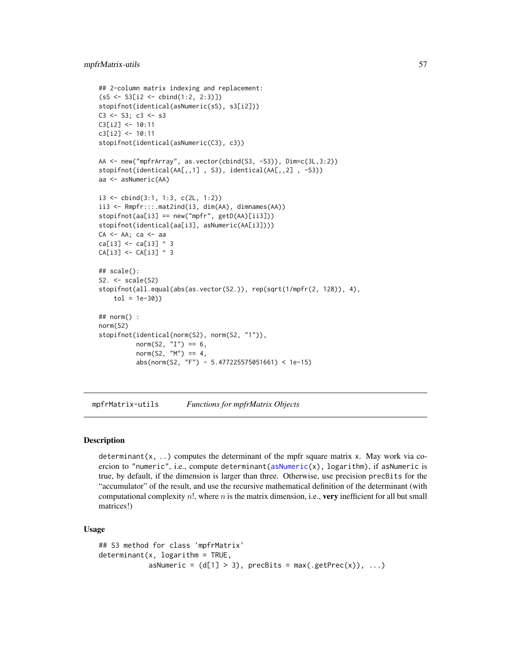## mpfrMatrix-utils 57

```
## 2-column matrix indexing and replacement:
(sS <- S3[i2 <- cbind(1:2, 2:3)])
stopifnot(identical(asNumeric(sS), s3[i2]))
C3 \le - S3; C3 \le - S3C3[i2] <- 10:11
c3[i2] <- 10:11
stopifnot(identical(asNumeric(C3), c3))
AA <- new("mpfrArray", as.vector(cbind(S3, -S3)), Dim=c(3L,3:2))
stopifnot(identical(AA[,,1] , S3), identical(AA[,,2] , -S3))
aa <- asNumeric(AA)
i3 <- cbind(3:1, 1:3, c(2L, 1:2))
ii3 <- Rmpfr:::.mat2ind(i3, dim(AA), dimnames(AA))
stopifnot(aa[i3] == new("mpfr", getD(AA)[ii3]))
stopifnot(identical(aa[i3], asNumeric(AA[i3])))
CA <- AA; ca <- aa
ca[i3] <- ca[i3] ^ 3
CA[i3] <- CA[i3] ^ 3
## scale():
S2. \leftarrow scale(S2)
stopifnot(all.equal(abs(as.vector(S2.)), rep(sqrt(1/mpfr(2, 128)), 4),
    tol = 1e-30)## norm() :
norm(S2)
stopifnot(identical(norm(S2), norm(S2, "1")),
          norm(S2, "I") == 6,norm(S2, "M") == 4,
          abs(norm(S2, "F") - 5.477225575051661) < 1e-15)
```
mpfrMatrix-utils *Functions for mpfrMatrix Objects*

## Description

determinant(x, ..) computes the determinant of the mpfr square matrix x. May work via coercion to "numeric", i.e., compute determinant[\(asNumeric\(](#page-0-0)x), logarithm), if asNumeric is true, by default, if the dimension is larger than three. Otherwise, use precision precBits for the "accumulator" of the result, and use the recursive mathematical definition of the determinant (with computational complexity  $n!$ , where n is the matrix dimension, i.e., very inefficient for all but small matrices!)

#### Usage

```
## S3 method for class 'mpfrMatrix'
determinant(x, logarithm = TRUE,asNumeric = (d[1] > 3), precBits = max(.getPrec(x)), ...)
```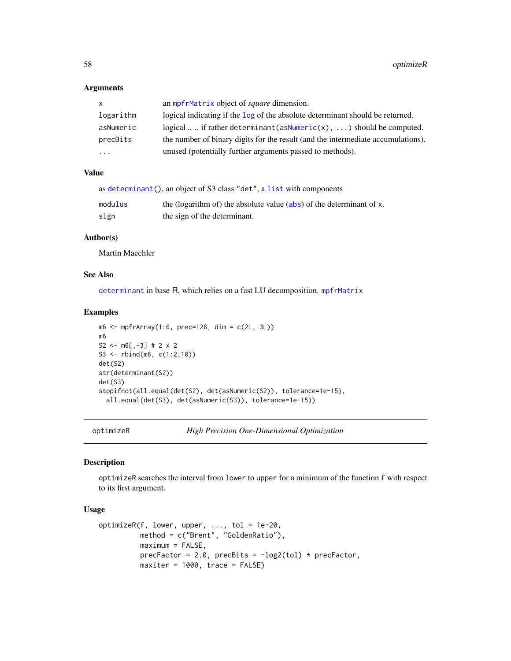## Arguments

| X.        | an mpfrMatrix object of <i>square</i> dimension.                                 |
|-----------|----------------------------------------------------------------------------------|
| logarithm | logical indicating if the log of the absolute determinant should be returned.    |
| asNumeric | logical  if rather determinant (as Numeric(x),  ) should be computed.            |
| precBits  | the number of binary digits for the result (and the intermediate accumulations). |
| $\ddotsc$ | unused (potentially further arguments passed to methods).                        |

# Value

|         | as determinant(), an object of S3 class "det", a list with components |
|---------|-----------------------------------------------------------------------|
| modulus | the (logarithm of) the absolute value (abs) of the determinant of x.  |
| sign    | the sign of the determinant.                                          |

## Author(s)

Martin Maechler

# See Also

[determinant](#page-0-0) in base R, which relies on a fast LU decomposition. [mpfrMatrix](#page-53-0)

#### Examples

```
m6 \le m6 frarray(1:6, prec=128, dim = c(2L, 3L))
m6
S2 <- m6[,-3] # 2 x 2
S3 <- rbind(m6, c(1:2,10))
det(S2)
str(determinant(S2))
det(S3)
stopifnot(all.equal(det(S2), det(asNumeric(S2)), tolerance=1e-15),
  all.equal(det(S3), det(asNumeric(S3)), tolerance=1e-15))
```
optimizeR *High Precision One-Dimensional Optimization*

#### Description

optimizeR searches the interval from lower to upper for a minimum of the function f with respect to its first argument.

# Usage

```
optimizeR(f, lower, upper, ..., tol = 1e-20,
         method = c("Brent", "GoldenRatio"),
         maximum = FALSE,precFactor = 2.0, precBits = -log2(tol) * precFactor,
         maxiter = 1000, trace = FALSE)
```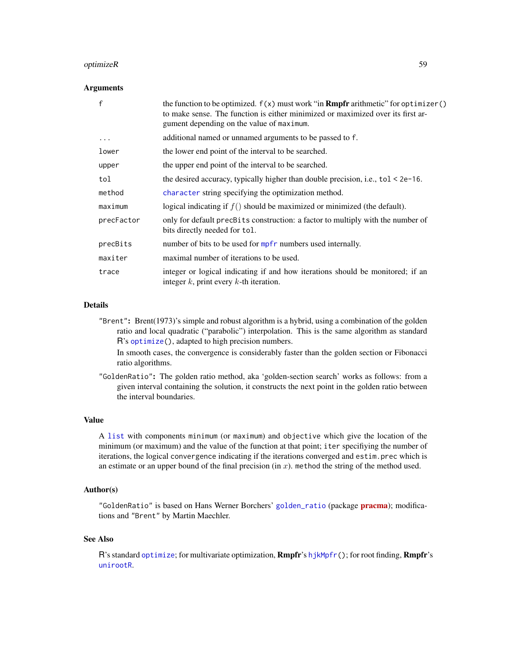#### optimizeR 59

#### **Arguments**

| $\mathsf{f}$ | the function to be optimized. $f(x)$ must work "in <b>Rmpfr</b> arithmetic" for optimizer()<br>to make sense. The function is either minimized or maximized over its first ar-<br>gument depending on the value of maximum. |
|--------------|-----------------------------------------------------------------------------------------------------------------------------------------------------------------------------------------------------------------------------|
| $\cdots$     | additional named or unnamed arguments to be passed to f.                                                                                                                                                                    |
| lower        | the lower end point of the interval to be searched.                                                                                                                                                                         |
| upper        | the upper end point of the interval to be searched.                                                                                                                                                                         |
| tol          | the desired accuracy, typically higher than double precision, i.e., $tol < 2e-16$ .                                                                                                                                         |
| method       | character string specifying the optimization method.                                                                                                                                                                        |
| maximum      | logical indicating if $f()$ should be maximized or minimized (the default).                                                                                                                                                 |
| precFactor   | only for default precBits construction: a factor to multiply with the number of<br>bits directly needed for tol.                                                                                                            |
| precBits     | number of bits to be used for mpfr numbers used internally.                                                                                                                                                                 |
| maxiter      | maximal number of iterations to be used.                                                                                                                                                                                    |
| trace        | integer or logical indicating if and how iterations should be monitored; if an<br>integer $k$ , print every $k$ -th iteration.                                                                                              |

# Details

"Brent": Brent(1973)'s simple and robust algorithm is a hybrid, using a combination of the golden ratio and local quadratic ("parabolic") interpolation. This is the same algorithm as standard R's [optimize\(](#page-0-0)), adapted to high precision numbers.

In smooth cases, the convergence is considerably faster than the golden section or Fibonacci ratio algorithms.

"GoldenRatio": The golden ratio method, aka 'golden-section search' works as follows: from a given interval containing the solution, it constructs the next point in the golden ratio between the interval boundaries.

## Value

A [list](#page-0-0) with components minimum (or maximum) and objective which give the location of the minimum (or maximum) and the value of the function at that point; iter specifiying the number of iterations, the logical convergence indicating if the iterations converged and estim.prec which is an estimate or an upper bound of the final precision (in  $x$ ). method the string of the method used.

## Author(s)

"GoldenRatio" is based on Hans Werner Borchers' [golden\\_ratio](#page-0-0) (package [pracma](https://CRAN.R-project.org/package=pracma)); modifications and "Brent" by Martin Maechler.

#### See Also

R's standard [optimize](#page-0-0); for multivariate optimization, Rmpfr's [hjkMpfr\(](#page-23-0)); for root finding, Rmpfr's [unirootR](#page-70-0).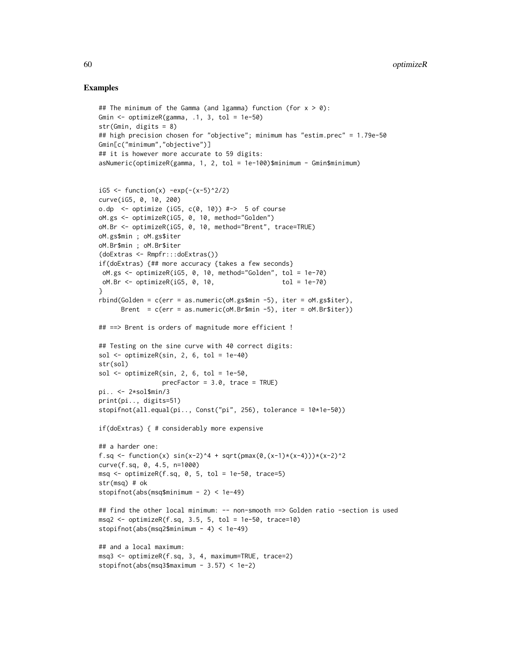```
## The minimum of the Gamma (and lgamma) function (for x > 0):
Gmin <- optimizeR(gamma, .1, 3, tol = 1e-50)
str(Gmin, digits = 8)
## high precision chosen for "objective"; minimum has "estim.prec" = 1.79e-50
Gmin[c("minimum","objective")]
## it is however more accurate to 59 digits:
asNumeric(optimizeR(gamma, 1, 2, tol = 1e-100)$minimum - Gmin$minimum)
iG5 <- function(x) -exp(-(x-5)^2/2)curve(iG5, 0, 10, 200)
o.dp \le optimize (iG5, c(0, 10)) #-> 5 of course
oM.gs <- optimizeR(iG5, 0, 10, method="Golden")
oM.Br <- optimizeR(iG5, 0, 10, method="Brent", trace=TRUE)
oM.gs$min ; oM.gs$iter
oM.Br$min ; oM.Br$iter
(doExtras <- Rmpfr:::doExtras())
if(doExtras) {## more accuracy {takes a few seconds}
oM.gs <- optimizeR(iG5, 0, 10, method="Golden", tol = 1e-70)
oM.Br <- optimizeR(iG5, 0, 10, tol = 1e-70)
}
rbind(Golden = c(err = as.numeric(OM.gssmin -5), iter = oM.gssiter),Brent = c(err = as.numeric(OM.Br$min -5), iter = oM.Br$iter))## ==> Brent is orders of magnitude more efficient !
## Testing on the sine curve with 40 correct digits:
sol \le optimizeR(sin, 2, 6, tol = 1e-40)
str(sol)
sol \le optimizeR(sin, 2, 6, tol = 1e-50,
                 precFactor = 3.0, trace = TRUE)
pi.. <- 2*sol$min/3
print(pi.., digits=51)
stopifnot(all.equal(pi.., Const("pi", 256), tolerance = 10*1e-50))
if(doExtras) { # considerably more expensive
## a harder one:
f.sq <- function(x) sin(x-2)^4 + sqrt(pmax(0,(x-1)*(x-4)))*(x-2)^2
curve(f.sq, 0, 4.5, n=1000)
msg \leftarrow optimizeR(f.sq, 0, 5, tol = 1e-50, trace=5)str(msq) # ok
stopifnot(abs(msq$minimum - 2) < 1e-49)
## find the other local minimum: -- non-smooth ==> Golden ratio -section is used
msg2 \leq optimizeR(f.sq, 3.5, 5, tol = 1e-50, trace=10)stopifnot(abs(msq2$minimum - 4) < 1e-49)
## and a local maximum:
msq3 <- optimizeR(f.sq, 3, 4, maximum=TRUE, trace=2)
stopifnot(abs(msq3$maximum - 3.57) < 1e-2)
```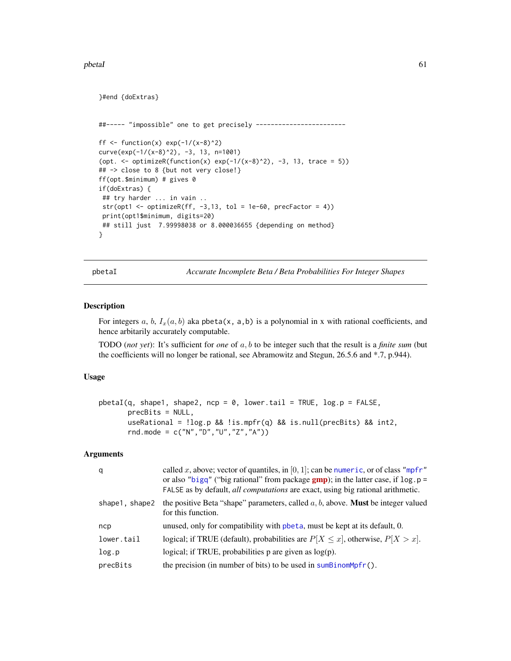#### pbetaI 61

}#end {doExtras}

```
##----- "impossible" one to get precisely ------------------------
ff \le function(x) exp(-1/(x-8)^2)
curve(exp(-1/(x-8)^2), -3, 13, n=1001)
(opt. \le optimizeR(function(x) exp(-1/(x-8)^2), -3, 13, trace = 5))
## -> close to 8 {but not very close!}
ff(opt.$minimum) # gives 0
if(doExtras) {
## try harder ... in vain ..
str(opt1 <- optimizeR(ff, -3,13, tol = 1e-60, precFactor = 4))
print(opt1$minimum, digits=20)
## still just 7.99998038 or 8.000036655 {depending on method}
}
```
<span id="page-60-0"></span>pbetaI *Accurate Incomplete Beta / Beta Probabilities For Integer Shapes*

## Description

For integers a, b,  $I_x(a, b)$  aka pbeta(x, a,b) is a polynomial in x with rational coefficients, and hence arbitarily accurately computable.

TODO (*not yet*): It's sufficient for *one* of a, b to be integer such that the result is a *finite sum* (but the coefficients will no longer be rational, see Abramowitz and Stegun, 26.5.6 and \*.7, p.944).

## Usage

```
pbetaI(q, shape1, shape2, ncp = 0, lower.tail = TRUE, log.p = FALSE,precBits = NULL,
      useRational = !log.p && !is.mpfr(q) && is.null(precBits) && int2,
      rnd.mode = c("N","D","U","Z","A"))
```
# Arguments

| q              | called x, above; vector of quantiles, in [0, 1]; can be numeric, or of class "mpfr"<br>or also "bigq" ("big rational" from package $gmp$ ); in the latter case, if $log.p =$<br>FALSE as by default, all computations are exact, using big rational arithmetic. |
|----------------|-----------------------------------------------------------------------------------------------------------------------------------------------------------------------------------------------------------------------------------------------------------------|
| shape1, shape2 | the positive Beta "shape" parameters, called $a, b$ , above. <b>Must</b> be integer valued<br>for this function.                                                                                                                                                |
| ncp            | unused, only for compatibility with pheta, must be kept at its default, 0.                                                                                                                                                                                      |
| lower.tail     | logical; if TRUE (default), probabilities are $P[X \le x]$ , otherwise, $P[X > x]$ .                                                                                                                                                                            |
| log.p          | logical; if TRUE, probabilities $p$ are given as $log(p)$ .                                                                                                                                                                                                     |
| precBits       | the precision (in number of bits) to be used in $sumBinomMpfr()$ .                                                                                                                                                                                              |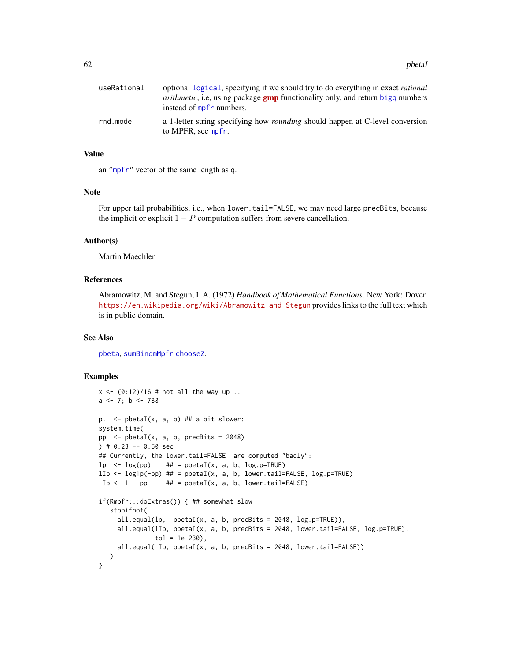| useRational | optional logical, specifying if we should try to do everything in exact rational<br><i>arithmetic</i> , i.e., using package <b>gmp</b> functionality only, and return bigq numbers |
|-------------|------------------------------------------------------------------------------------------------------------------------------------------------------------------------------------|
|             | instead of mpfr numbers.                                                                                                                                                           |
| rnd.mode    | a 1-letter string specifying how <i>rounding</i> should happen at C-level conversion<br>to MPFR, see mpfr.                                                                         |

## Value

an ["mpfr"](#page-37-0) vector of the same length as q.

## Note

For upper tail probabilities, i.e., when lower.tail=FALSE, we may need large precBits, because the implicit or explicit  $1 - P$  computation suffers from severe cancellation.

#### Author(s)

Martin Maechler

## References

Abramowitz, M. and Stegun, I. A. (1972) *Handbook of Mathematical Functions*. New York: Dover. [https://en.wikipedia.org/wiki/Abramowitz\\_and\\_Stegun](https://en.wikipedia.org/wiki/Abramowitz_and_Stegun) provides links to the full text which is in public domain.

#### See Also

[pbeta](#page-0-0), [sumBinomMpfr](#page-68-0) [chooseZ](#page-0-0).

```
x \le -(0.12)/16 # not all the way up ..
a \leftarrow 7; b \leftarrow 788p. \leq pbetaI(x, a, b) ## a bit slower:
system.time(
pp \leq pbetaI(x, a, b, precBits = 2048)
) # 0.23 - 0.50 sec
## Currently, the lower.tail=FALSE are computed "badly":
lp \leq log(pp) ## = pbetaI(x, a, b, log.p=TRUE)
llp \leftarrow log1p(-pp) # = pbetaI(x, a, b, lowert) = FALSE, log.p = TRUE)Ip \leftarrow 1 - pp ## = pbetaI(x, a, b, lower.tail=FALSE)
if(Rmpfr:::doExtras()) { ## somewhat slow
   stopifnot(
     all.equal(lp, pbetaI(x, a, b, precBits = 2048, log.p=TRUE)),
     all.equal(lIp, pbetaI(x, a, b, precBits = 2048, lower.tail=FALSE, log.p=TRUE),
               tol = 1e-230),
     all.equal( Ip, pbetaI(x, a, b, precBits = 2048, lower.tail=FALSE))
   )
}
```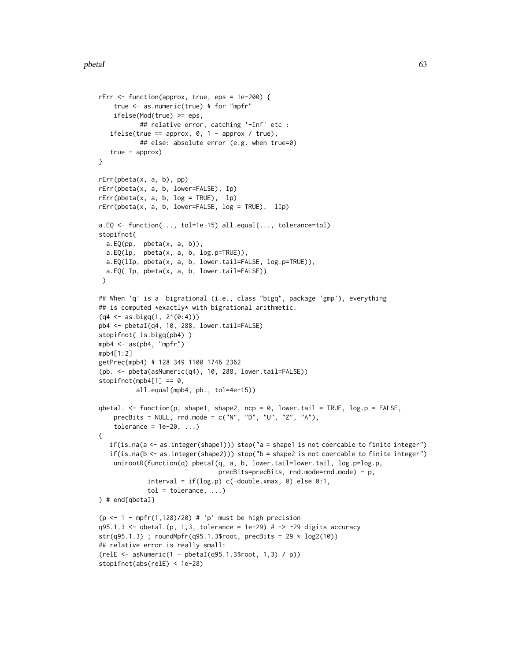```
rErr <- function(approx, true, eps = 1e-200) {
    true <- as.numeric(true) # for "mpfr"
   ifelse(Mod(true) >= eps,
           ## relative error, catching '-Inf' etc :
   ifelse(true == approx, 0, 1 - approx / true),## else: absolute error (e.g. when true=0)
   true - approx)
}
rErr(pbeta(x, a, b), pp)
rErr(pbeta(x, a, b, lower=FALSE), Ip)
rErr(pbeta(x, a, b, log = TRUE), lp)rErr(\text{pbeta}(x, a, b, lower=False, log = TRUE), llp)a.EQ <- function(..., tol=1e-15) all.equal(..., tolerance=tol)
stopifnot(
 a.EQ(pp, pbeta(x, a, b)),
 a.EQ(lp, pbeta(x, a, b, log.p=TRUE)),
 a.EQ(lIp, pbeta(x, a, b, lower.tail=FALSE, log.p=TRUE)),
 a.EQ( Ip, pbeta(x, a, b, lower.tail=FALSE))
\lambda## When 'q' is a bigrational (i.e., class "bigq", package 'gmp'), everything
## is computed *exactly* with bigrational arithmetic:
(q4 \leq a s \cdot bigq(1, 2^(0:4)))pb4 <- pbetaI(q4, 10, 288, lower.tail=FALSE)
stopifnot( is.bigq(pb4) )
mpb4 \leq as(ph4, "mpfr")mpb4[1:2]
getPrec(mpb4) # 128 349 1100 1746 2362
(pb. <- pbeta(asNumeric(q4), 10, 288, lower.tail=FALSE))
stopifnot(mpb4[1] == 0,all.equal(mpb4, pb., tol=4e-15))
qbetaI. <- function(p, shape1, shape2, ncp = 0, lower.tail = TRUE, log.p = FALSE,
   precBits = NULL, rnd.mode = c("N", "D", "U", "Z", "A"),tolerance = 1e-20, ...{
   if(is.na(a <- as.integer(shape1))) stop("a = shape1 is not coercable to finite integer")
  if(is.na(b <- as.integer(shape2))) stop("b = shape2 is not coercable to finite integer")
   unirootR(function(q) pbetaI(q, a, b, lower.tail=lower.tail, log.p=log.p,
                                precBits=precBits, rnd.mode=rnd.mode) - p,
             interval = if(log.p) c(-double.xmax, 0) else 0:1,tol = tolerance, ...} # end{qbetaI}
(p <- 1 - mpfr(1,128)/20) # 'p' must be high precision
q95.1.3 \leq qbetaI.(p, 1,3, tolerance = 1e-29) # -> ~29 digits accuracy
str(q95.1.3); roundMpfr(q95.1.3$root, precBits = 29 * log2(10))
## relative error is really small:
(relE <- asNumeric(1 - pbetaI(q95.1.3$root, 1,3) / p))
stopifnot(abs(relE) < 1e-28)
```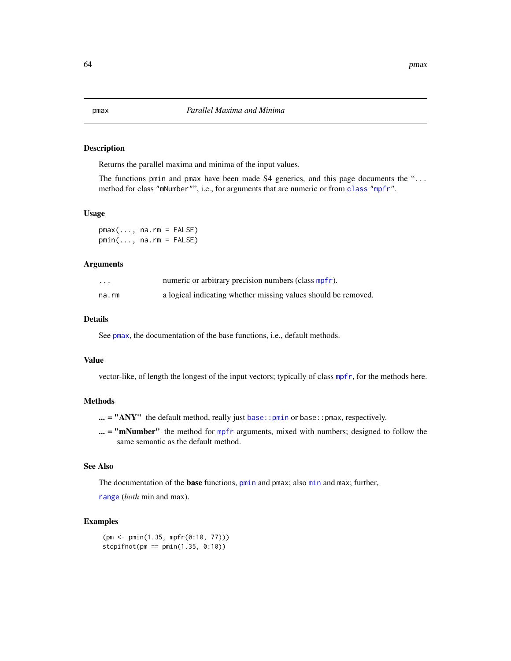## <span id="page-63-1"></span><span id="page-63-0"></span>Description

Returns the parallel maxima and minima of the input values.

The functions pmin and pmax have been made S4 generics, and this page documents the "... method for class "mNumber"", i.e., for arguments that are numeric or from [class](#page-0-0) ["mpfr"](#page-37-0).

#### Usage

 $pmax(..., na.rm = FALSE)$  $pmin(..., na.rm = FALSE)$ 

## **Arguments**

| .     | numeric or arbitrary precision numbers (class mpfr).           |
|-------|----------------------------------------------------------------|
| na.rm | a logical indicating whether missing values should be removed. |

## Details

See [pmax](#page-63-0), the documentation of the base functions, i.e., default methods.

## Value

vector-like, of length the longest of the input vectors; typically of class [mpfr](#page-37-0), for the methods here.

#### Methods

 $\ldots$  = "ANY" the default method, really just base:: pmin or base:: pmax, respectively.

 $\ldots$  = "mNumber" the method for [mpfr](#page-37-0) arguments, mixed with numbers; designed to follow the same semantic as the default method.

# See Also

The documentation of the **base** functions, [pmin](#page-63-1) and pmax; also [min](#page-0-0) and max; further,

[range](#page-0-0) (*both* min and max).

## Examples

(pm <- pmin(1.35, mpfr(0:10, 77)))  $stopifnot(pm == pmin(1.35, 0:10))$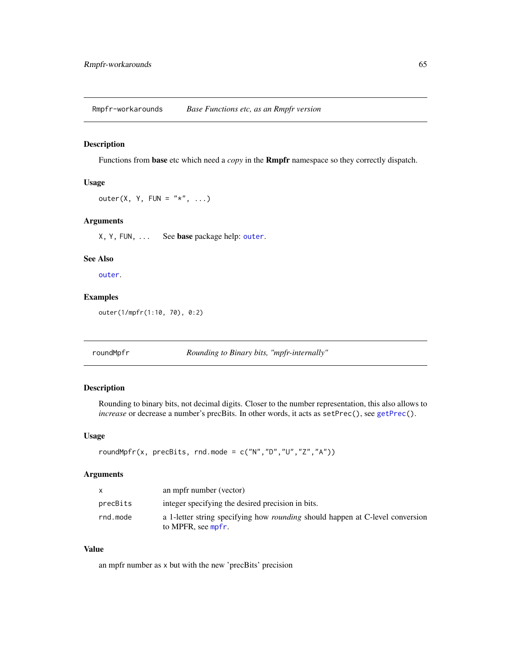Rmpfr-workarounds *Base Functions etc, as an Rmpfr version*

#### <span id="page-64-1"></span>Description

Functions from base etc which need a *copy* in the Rmpfr namespace so they correctly dispatch.

## Usage

outer(X, Y, FUN =  $"*", \ldots)$ 

# Arguments

X, Y, FUN, ... See base package help: [outer](#page-64-1).

# See Also

[outer](#page-64-1).

## Examples

outer(1/mpfr(1:10, 70), 0:2)

<span id="page-64-0"></span>roundMpfr *Rounding to Binary bits, "mpfr-internally"*

## Description

Rounding to binary bits, not decimal digits. Closer to the number representation, this also allows to *increase* or decrease a number's precBits. In other words, it acts as setPrec(), see [getPrec\(](#page-46-0)).

## Usage

```
roundMpfr(x, precBits, rnd.mode = c("N", "D", "U", "Z", "A"))
```
## Arguments

| X        | an mpfr number (vector)                                                                                    |
|----------|------------------------------------------------------------------------------------------------------------|
| precBits | integer specifying the desired precision in bits.                                                          |
| rnd.mode | a 1-letter string specifying how <i>rounding</i> should happen at C-level conversion<br>to MPFR, see mpfr. |

# Value

an mpfr number as x but with the new 'precBits' precision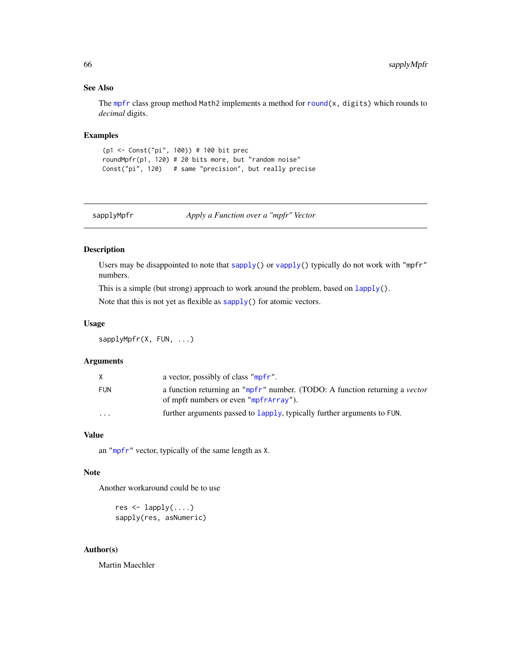# See Also

The [mpfr](#page-37-0) class group method Math2 implements a method for round $(x,$  digits) which rounds to *decimal* digits.

# Examples

```
(p1 <- Const("pi", 100)) # 100 bit prec
roundMpfr(p1, 120) # 20 bits more, but "random noise"
Const("pi", 120) # same "precision", but really precise
```
sapplyMpfr *Apply a Function over a "mpfr" Vector*

# Description

Users may be disappointed to note that [sapply\(](#page-0-0)) or [vapply\(](#page-0-0)) typically do not work with "mpfr" numbers.

This is a simple (but strong) approach to work around the problem, based on [lapply\(](#page-0-0)).

Note that this is not yet as flexible as [sapply\(](#page-0-0)) for atomic vectors.

#### Usage

sapplyMpfr(X, FUN, ...)

## Arguments

|                         | a vector, possibly of class "mpfr".                                                                                         |
|-------------------------|-----------------------------------------------------------------------------------------------------------------------------|
| FUN                     | a function returning an "mpfr" number. (TODO: A function returning a <i>vector</i><br>of mpfr numbers or even "mpfrArray"). |
| $\cdot$ $\cdot$ $\cdot$ | further arguments passed to lapply, typically further arguments to FUN.                                                     |

## Value

an ["mpfr"](#page-37-0) vector, typically of the same length as X.

## Note

Another workaround could be to use

```
res \leq lapply(\ldots)sapply(res, asNumeric)
```
# Author(s)

Martin Maechler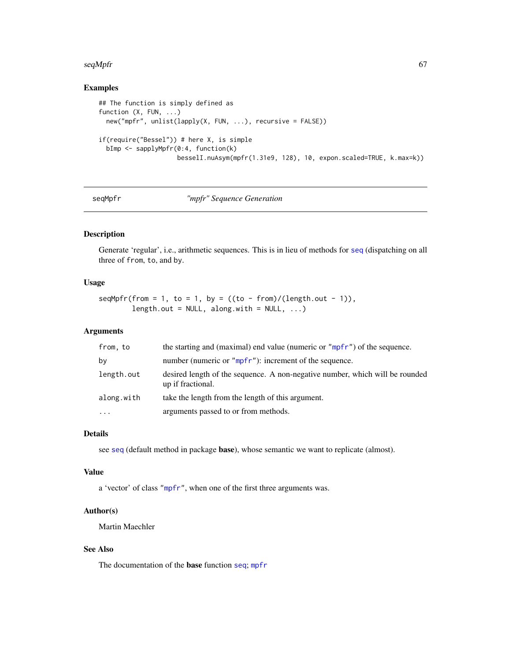#### $seqMpfr$  67

# Examples

```
## The function is simply defined as
function (X, FUN, ...)
 new("mpfr", unlist(lapply(X, FUN, ...), recursive = FALSE))
if(require("Bessel")) # here X, is simple
 bImp <- sapplyMpfr(0:4, function(k)
                    besselI.nuAsym(mpfr(1.31e9, 128), 10, expon.scaled=TRUE, k.max=k))
```
## seqMpfr *"mpfr" Sequence Generation*

# Description

Generate 'regular', i.e., arithmetic sequences. This is in lieu of methods for [seq](#page-0-0) (dispatching on all three of from, to, and by.

## Usage

 $seqMpfr(from = 1, to = 1, by = ((to - from)/(length.out - 1)),$ length.out =  $NULL$ , along.with =  $NULL$ , ...)

## Arguments

| from, to   | the starting and (maximal) end value (numeric or "mpfr") of the sequence.                         |
|------------|---------------------------------------------------------------------------------------------------|
| by         | number (numeric or "mpfr"): increment of the sequence.                                            |
| length.out | desired length of the sequence. A non-negative number, which will be rounded<br>up if fractional. |
| along.with | take the length from the length of this argument.                                                 |
| $\cdots$   | arguments passed to or from methods.                                                              |

## Details

see [seq](#page-0-0) (default method in package base), whose semantic we want to replicate (almost).

# Value

a 'vector' of class ["mpfr"](#page-37-0), when one of the first three arguments was.

## Author(s)

Martin Maechler

# See Also

The documentation of the base function [seq](#page-0-0); [mpfr](#page-35-0)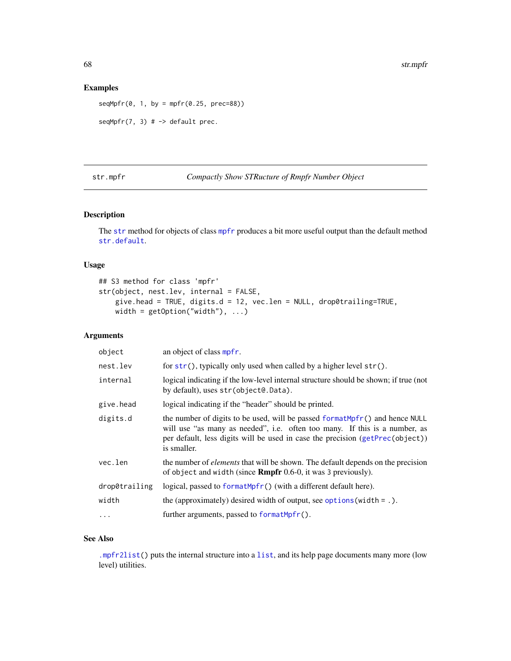## Examples

 $seqMpfr(0, 1, by = mpfr(0.25, prec=88))$ 

 $seqMpfr(7, 3)$  # -> default prec.

<span id="page-67-0"></span>str.mpfr *Compactly Show STRucture of Rmpfr Number Object*

| Compactly Show STRucture of Rmpfr Number Object |  |  |  |
|-------------------------------------------------|--|--|--|
|-------------------------------------------------|--|--|--|

# Description

The [str](#page-0-0) method for objects of class [mpfr](#page-37-0) produces a bit more useful output than the default method [str.default](#page-0-0).

# Usage

```
## S3 method for class 'mpfr'
str(object, nest.lev, internal = FALSE,
   give.head = TRUE, digits.d = 12, vec.len = NULL, drop0trailing=TRUE,
   width = getOption("width"), ...)
```
# Arguments

| object        | an object of class mpfr.                                                                                                                                                                                                                                   |
|---------------|------------------------------------------------------------------------------------------------------------------------------------------------------------------------------------------------------------------------------------------------------------|
| nest.lev      | for $str()$ , typically only used when called by a higher level $str()$ .                                                                                                                                                                                  |
| internal      | logical indicating if the low-level internal structure should be shown; if true (not<br>by default), uses str(object@.Data).                                                                                                                               |
| give.head     | logical indicating if the "header" should be printed.                                                                                                                                                                                                      |
| digits.d      | the number of digits to be used, will be passed format Mpfr() and hence NULL<br>will use "as many as needed", i.e. often too many. If this is a number, as<br>per default, less digits will be used in case the precision (getPrec(object))<br>is smaller. |
| vec.len       | the number of <i>elements</i> that will be shown. The default depends on the precision<br>of object and width (since <b>Rmpfr</b> 0.6-0, it was 3 previously).                                                                                             |
| drop0trailing | logical, passed to formatMpfr() (with a different default here).                                                                                                                                                                                           |
| width         | the (approximately) desired width of output, see options (width = $.$ ).                                                                                                                                                                                   |
| .             | further arguments, passed to formatMpfr().                                                                                                                                                                                                                 |
|               |                                                                                                                                                                                                                                                            |

## See Also

[.mpfr2list\(](#page-46-0)) puts the internal structure into a [list](#page-0-0), and its help page documents many more (low level) utilities.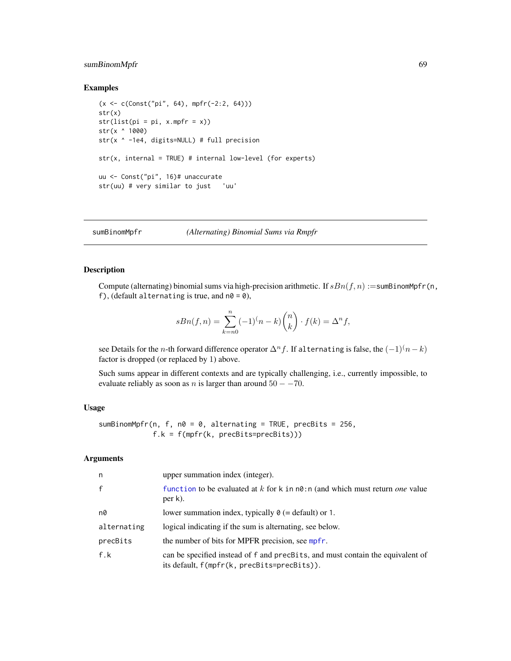# sumBinomMpfr 69

## Examples

```
(x <- c(Const("pi", 64), mpfr(-2:2, 64)))
str(x)
str(list(pi = pi, x.mpfr = x))str(x ^ 1000)
str(x ^ -1e4, digits=NULL) # full precision
str(x, internal = TRUE) # internal low-level (for experts)
uu <- Const("pi", 16)# unaccurate
str(uu) # very similar to just 'uu'
```
<span id="page-68-0"></span>sumBinomMpfr *(Alternating) Binomial Sums via Rmpfr*

## Description

Compute (alternating) binomial sums via high-precision arithmetic. If  $sBn(f, n)$  :=sumBinomMpfr(n, f), (default alternating is true, and  $n\theta = \theta$ ),

$$
sBn(f,n) = \sum_{k=n0}^{n} (-1)^{(n-k)} {n \choose k} \cdot f(k) = \Delta^n f,
$$

see Details for the n-th forward difference operator  $\Delta^n f$ . If alternating is false, the  $(-1)^n(n-k)$ factor is dropped (or replaced by 1) above.

Such sums appear in different contexts and are typically challenging, i.e., currently impossible, to evaluate reliably as soon as *n* is larger than around  $50 - -70$ .

# Usage

```
sumBinomMpfr(n, f, n0 = 0, alternating = TRUE, precBits = 256,
            f.k = f(mpfr(k, precBits=precBits)))
```
# Arguments

| n            | upper summation index (integer).                                                                                              |
|--------------|-------------------------------------------------------------------------------------------------------------------------------|
| $\mathsf{f}$ | function to be evaluated at k for k in $n\theta$ : n (and which must return <i>one</i> value<br>per k).                       |
| n0           | lower summation index, typically $\theta$ (= default) or 1.                                                                   |
| alternating  | logical indicating if the sum is alternating, see below.                                                                      |
| precBits     | the number of bits for MPFR precision, see mpfr.                                                                              |
| f.k          | can be specified instead of f and precBits, and must contain the equivalent of<br>its default, f(mpfr(k, precBits=precBits)). |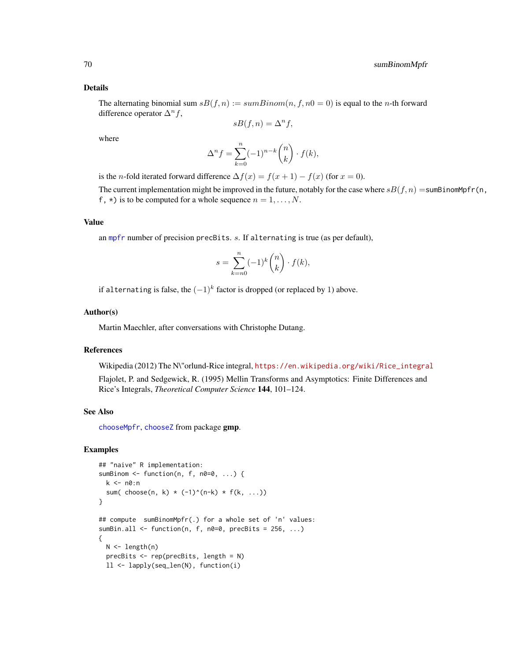#### Details

The alternating binomial sum  $sB(f, n) := sumBinom(n, f, n) = 0$  is equal to the *n*-th forward difference operator  $\Delta^n f$ ,

$$
sB(f, n) = \Delta^n f,
$$

where

$$
\Delta^n f = \sum_{k=0}^n (-1)^{n-k} \binom{n}{k} \cdot f(k),
$$

is the *n*-fold iterated forward difference  $\Delta f(x) = f(x+1) - f(x)$  (for  $x = 0$ ).

The current implementation might be improved in the future, notably for the case where  $sB(f, n) = \text{sumBinomMpfr}(n,$ f,  $\star$ ) is to be computed for a whole sequence  $n = 1, \ldots, N$ .

#### Value

an [mpfr](#page-37-0) number of precision precBits. s. If alternating is true (as per default),

$$
s = \sum_{k=n0}^{n} (-1)^k \binom{n}{k} \cdot f(k),
$$

if alternating is false, the  $(-1)^k$  factor is dropped (or replaced by 1) above.

#### Author(s)

Martin Maechler, after conversations with Christophe Dutang.

## References

Wikipedia (2012) The N\"orlund-Rice integral, [https://en.wikipedia.org/wiki/Rice\\_integral](https://en.wikipedia.org/wiki/Rice_integral)

Flajolet, P. and Sedgewick, R. (1995) Mellin Transforms and Asymptotics: Finite Differences and Rice's Integrals, *Theoretical Computer Science* 144, 101–124.

## See Also

[chooseMpfr](#page-11-1), [chooseZ](#page-0-0) from package gmp.

```
## "naive" R implementation:
sumBinom \leq function(n, f, n0=0, ...) {
  k <- n0:n
  sum( choose(n, k) * (-1)^{(n-k)} * f(k, ...)}
## compute sumBinomMpfr(.) for a whole set of 'n' values:
sumBin.all \leq function(n, f, n0=0, precBits = 256, ...)
{
 N <- length(n)
  precBits <- rep(precBits, length = N)
  ll <- lapply(seq_len(N), function(i)
```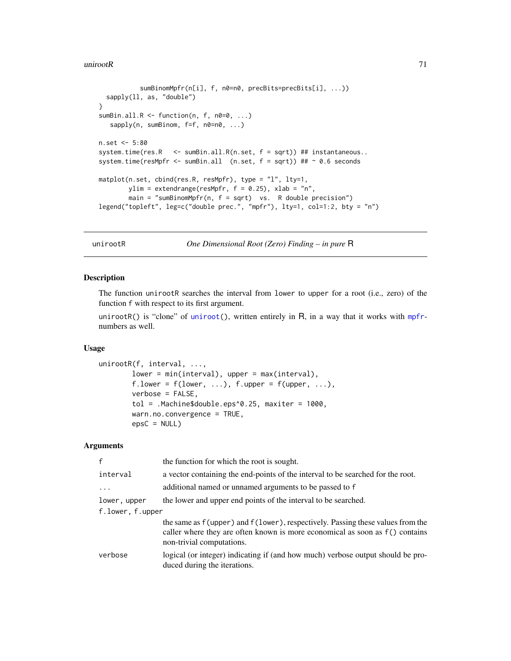#### uniroot $R$  71

```
sumBinomMpfr(n[i], f, n0=n0, precBits=precBits[i], ...))
 sapply(ll, as, "double")
}
sumBin.all.R \leq function(n, f, n0=0, ...)
  sapply(n, sumBinom, f=f, n0=n0, ...)n.set <- 5:80
system.time(res.R <- sumBin.all.R(n.set, f = sqrt)) ## instantaneous..
system.time(resMpfr <- sumBin.all (n.set, f = sqrt)) ## ~ 0.6 seconds
matplot(n.set, cbind(res.R, resMpfr), type = "l", lty=1,
       ylim = extendrange(resMpfr, f = 0.25), xlab = "n",
       main = "sumBinomMpr(n, f = sqrt) vs. R double precision")
legend("topleft", leg=c("double prec.", "mpfr"), lty=1, col=1:2, bty = "n")
```
<span id="page-70-0"></span>unirootR *One Dimensional Root (Zero) Finding – in pure* R

## Description

The function unirootR searches the interval from lower to upper for a root (i.e., zero) of the function f with respect to its first argument.

unirootR() is "clone" of [uniroot\(](#page-0-0)), written entirely in R, in a way that it works with [mpfr](#page-37-0)numbers as well.

# Usage

```
unirootR(f, interval, ...,
       lower = min(interval), upper = max(interval),
       f.lower = f(lower, ...), f.upper = f(upper, ...),verbose = FALSE,
       tol = .Machine$double.eps^0.25, maxiter = 1000,
       warn.no.convergence = TRUE,
       epsC = NULL
```
# Arguments

| $\mathsf{f}$     | the function for which the root is sought.                                                                                                                                                  |
|------------------|---------------------------------------------------------------------------------------------------------------------------------------------------------------------------------------------|
| interval         | a vector containing the end-points of the interval to be searched for the root.                                                                                                             |
| .                | additional named or unnamed arguments to be passed to f                                                                                                                                     |
| lower, upper     | the lower and upper end points of the interval to be searched.                                                                                                                              |
| f.lower, f.upper |                                                                                                                                                                                             |
|                  | the same as f(upper) and f(lower), respectively. Passing these values from the<br>caller where they are often known is more economical as soon as f() contains<br>non-trivial computations. |
| verbose          | logical (or integer) indicating if (and how much) verbose output should be pro-<br>duced during the iterations.                                                                             |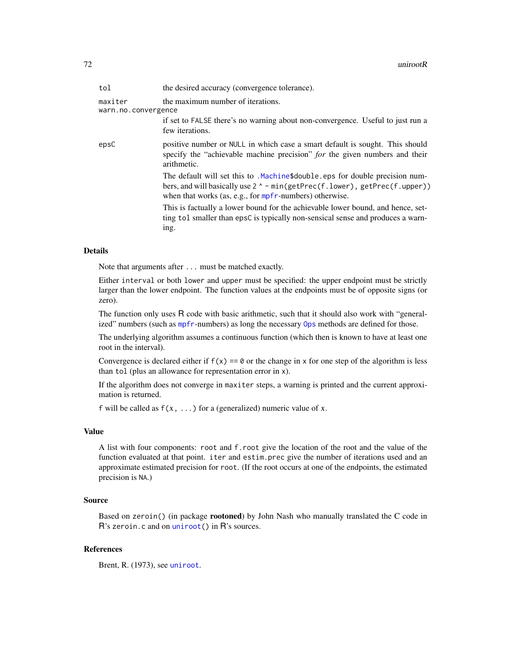| tol                            | the desired accuracy (convergence tolerance).                                                                                                                                                                                    |
|--------------------------------|----------------------------------------------------------------------------------------------------------------------------------------------------------------------------------------------------------------------------------|
| maxiter<br>warn.no.convergence | the maximum number of iterations.                                                                                                                                                                                                |
|                                | if set to FALSE there's no warning about non-convergence. Useful to just run a<br>few iterations.                                                                                                                                |
| epsC                           | positive number or NULL in which case a smart default is sought. This should<br>specify the "achievable machine precision" for the given numbers and their<br>arithmetic.                                                        |
|                                | The default will set this to .Machine\$double.eps for double precision num-<br>bers, and will basically use $2^{\wedge}$ - min(getPrec(f.lower), getPrec(f.upper))<br>when that works (as, e.g., for $mpfr$ -numbers) otherwise. |
|                                | This is factually a lower bound for the achievable lower bound, and hence, set-<br>ting tol smaller than epsC is typically non-sensical sense and produces a warn-<br>ing.                                                       |

#### Details

Note that arguments after ... must be matched exactly.

Either interval or both lower and upper must be specified: the upper endpoint must be strictly larger than the lower endpoint. The function values at the endpoints must be of opposite signs (or zero).

The function only uses R code with basic arithmetic, such that it should also work with "generalized" numbers (such as [mpfr](#page-37-0)-numbers) as long the necessary [Ops](#page-0-0) methods are defined for those.

The underlying algorithm assumes a continuous function (which then is known to have at least one root in the interval).

Convergence is declared either if  $f(x) = 0$  or the change in x for one step of the algorithm is less than tol (plus an allowance for representation error in x).

If the algorithm does not converge in maxiter steps, a warning is printed and the current approximation is returned.

f will be called as  $f(x, \ldots)$  for a (generalized) numeric value of x.

# Value

A list with four components: root and f.root give the location of the root and the value of the function evaluated at that point. iter and estim.prec give the number of iterations used and an approximate estimated precision for root. (If the root occurs at one of the endpoints, the estimated precision is NA.)

# Source

Based on zeroin() (in package rootoned) by John Nash who manually translated the C code in R's zeroin.c and on [uniroot\(](#page-0-0)) in R's sources.

## **References**

Brent, R. (1973), see [uniroot](#page-0-0).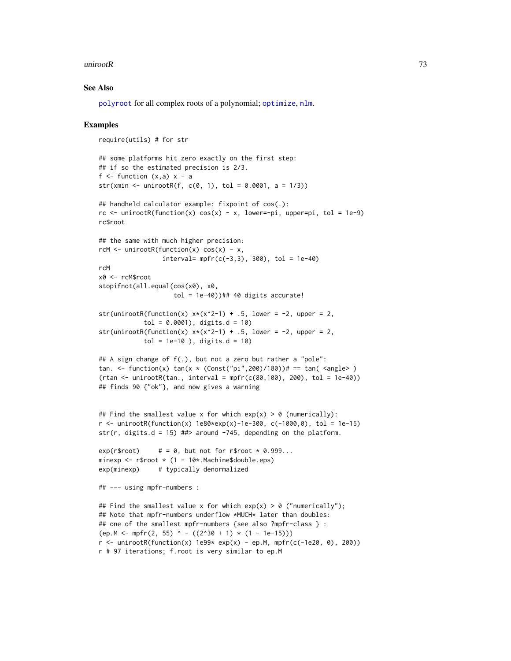### <span id="page-72-0"></span>uniroot $R$  73

## See Also

[polyroot](#page-0-0) for all complex roots of a polynomial; [optimize](#page-0-0), [nlm](#page-0-0).

#### Examples

```
require(utils) # for str
## some platforms hit zero exactly on the first step:
## if so the estimated precision is 2/3.
f \le function (x, a) x - astr(xmin <- unirootR(f, c(0, 1), tol = 0.0001, a = 1/3))
## handheld calculator example: fixpoint of cos(.):
rc \le unirootR(function(x) cos(x) - x, lower=-pi, upper=pi, tol = 1e-9)
rc$root
## the same with much higher precision:
rcM \le unirootR(function(x) cos(x) - x,
                 interval= mpfr(c(-3,3), 300), tol = 1e-40)rcM
x0 <- rcM$root
stopifnot(all.equal(cos(x0), x0,
                    tol = 1e-40))## 40 digits accurate!
str(unirootR(function(x) x*(x^2-1) + .5, lower = -2, upper = 2,
            tol = 0.0001), digits.d = 10)
str(unirootR(function(x) x*(x^2-1) + .5, lower = -2, upper = 2,
            tol = 1e-10), digits.d = 10)
## A sign change of f(.), but not a zero but rather a "pole":
tan. <- function(x) tan(x * (Const("pi", 200)/180))# == tan( <angle>)
(rtan <- unirootR(tan., interval = mpfr(c(80, 100), 200), tol = 1e-40))## finds 90 {"ok"}, and now gives a warning
## Find the smallest value x for which exp(x) > 0 (numerically):
r <- unirootR(function(x) 1e80*exp(x)-1e-300, c(-1000,0), tol = 1e-15)
str(r, digits.d = 15) ##> around -745, depending on the platform.
exp(r\text{\$root}) # = 0, but not for r$root * 0.999...
minexp \leq r$root \star (1 - 10*. Machine$double.eps)
exp(minexp) # typically denormalized
## --- using mpfr-numbers :
## Find the smallest value x for which exp(x) > 0 ("numerically");
## Note that mpfr-numbers underflow *MUCH* later than doubles:
## one of the smallest mpfr-numbers {see also ?mpfr-class } :
(ep.M \le mpr(2, 55) ^ - ((2^30 + 1) * (1 - 1e-15)))r <- unirootR(function(x) 1e99* exp(x) - ep.M, mpfr(c(-1e20, 0), 200))
r # 97 iterations; f.root is very similar to ep.M
```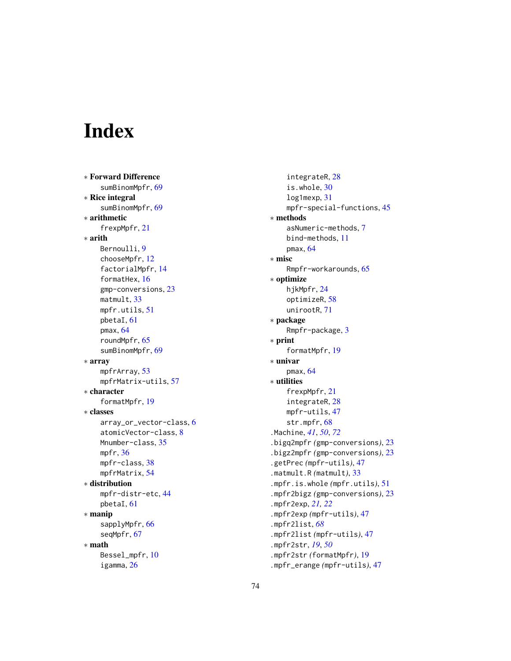# Index

∗ Forward Difference sumBinomMpfr, [69](#page-68-0) ∗ Rice integral sumBinomMpfr, [69](#page-68-0) ∗ arithmetic frexpMpfr, [21](#page-20-0) ∗ arith Bernoulli, [9](#page-8-0) chooseMpfr, [12](#page-11-0) factorialMpfr, [14](#page-13-0) formatHex, [16](#page-15-0) gmp-conversions, [23](#page-22-0) matmult, [33](#page-32-0) mpfr.utils, [51](#page-50-0) pbetaI, [61](#page-60-0) pmax, [64](#page-63-0) roundMpfr, [65](#page-64-0) sumBinomMpfr, [69](#page-68-0) ∗ array mpfrArray, [53](#page-52-0) mpfrMatrix-utils, [57](#page-56-0) ∗ character formatMpfr, [19](#page-18-0) ∗ classes array\_or\_vector-class, [6](#page-5-0) atomicVector-class, [8](#page-7-0) Mnumber-class, [35](#page-34-0) mpfr, [36](#page-35-0) mpfr-class, [38](#page-37-0) mpfrMatrix, [54](#page-53-0) ∗ distribution mpfr-distr-etc, [44](#page-43-0) pbetaI, [61](#page-60-0) ∗ manip sapplyMpfr, [66](#page-65-0) seqMpfr, [67](#page-66-0) ∗ math Bessel\_mpfr, [10](#page-9-0) igamma, [26](#page-25-0)

integrateR, [28](#page-27-0) is.whole, [30](#page-29-0) log1mexp, [31](#page-30-0) mpfr-special-functions, [45](#page-44-0) ∗ methods asNumeric-methods, [7](#page-6-0) bind-methods, [11](#page-10-0) pmax, [64](#page-63-0) ∗ misc Rmpfr-workarounds, [65](#page-64-0) ∗ optimize hjkMpfr, [24](#page-23-0) optimizeR, [58](#page-57-0) unirootR, [71](#page-70-0) ∗ package Rmpfr-package, [3](#page-2-0) ∗ print formatMpfr, [19](#page-18-0) ∗ univar pmax, [64](#page-63-0) ∗ utilities frexpMpfr, [21](#page-20-0) integrateR, [28](#page-27-0) mpfr-utils, [47](#page-46-0) str.mpfr, [68](#page-67-0) .Machine, *[41](#page-40-0)*, *[50](#page-49-0)*, *[72](#page-71-0)* .bigq2mpfr *(*gmp-conversions*)*, [23](#page-22-0) .bigz2mpfr *(*gmp-conversions*)*, [23](#page-22-0) .getPrec *(*mpfr-utils*)*, [47](#page-46-0) .matmult.R *(*matmult*)*, [33](#page-32-0) .mpfr.is.whole *(*mpfr.utils*)*, [51](#page-50-0) .mpfr2bigz *(*gmp-conversions*)*, [23](#page-22-0) .mpfr2exp, *[21,](#page-20-0) [22](#page-21-0)* .mpfr2exp *(*mpfr-utils*)*, [47](#page-46-0) .mpfr2list, *[68](#page-67-0)* .mpfr2list *(*mpfr-utils*)*, [47](#page-46-0) .mpfr2str, *[19](#page-18-0)*, *[50](#page-49-0)* .mpfr2str *(*formatMpfr*)*, [19](#page-18-0) .mpfr\_erange *(*mpfr-utils*)*, [47](#page-46-0)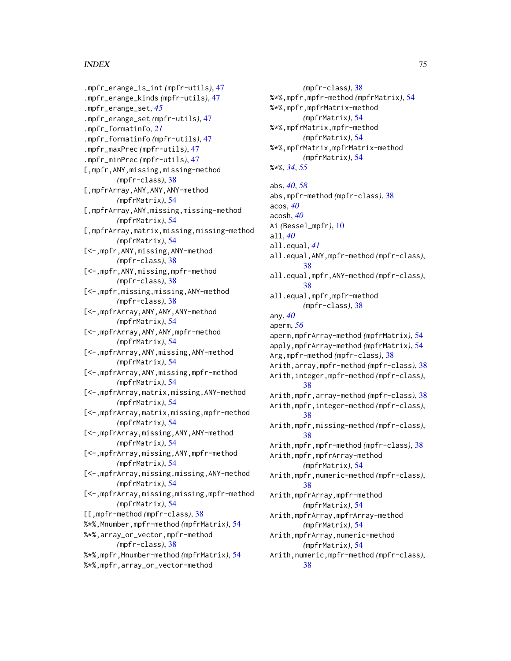.mpfr\_erange\_is\_int *(*mpfr-utils*)*, [47](#page-46-0) .mpfr\_erange\_kinds *(*mpfr-utils*)*, [47](#page-46-0) .mpfr\_erange\_set, *[45](#page-44-0)* .mpfr\_erange\_set *(*mpfr-utils*)*, [47](#page-46-0) .mpfr\_formatinfo, *[21](#page-20-0)* .mpfr\_formatinfo *(*mpfr-utils*)*, [47](#page-46-0) .mpfr\_maxPrec *(*mpfr-utils*)*, [47](#page-46-0) .mpfr\_minPrec *(*mpfr-utils*)*, [47](#page-46-0) [,mpfr,ANY,missing,missing-method *(*mpfr-class*)*, [38](#page-37-0) [,mpfrArray,ANY,ANY,ANY-method *(*mpfrMatrix*)*, [54](#page-53-0) [,mpfrArray,ANY,missing,missing-method *(*mpfrMatrix*)*, [54](#page-53-0) [,mpfrArray,matrix,missing,missing-method *(*mpfrMatrix*)*, [54](#page-53-0) [<-,mpfr,ANY,missing,ANY-method *(*mpfr-class*)*, [38](#page-37-0) [<-,mpfr,ANY,missing,mpfr-method *(*mpfr-class*)*, [38](#page-37-0) [<-,mpfr,missing,missing,ANY-method *(*mpfr-class*)*, [38](#page-37-0) [<-,mpfrArray,ANY,ANY,ANY-method *(*mpfrMatrix*)*, [54](#page-53-0) [<-,mpfrArray,ANY,ANY,mpfr-method *(*mpfrMatrix*)*, [54](#page-53-0) [<-,mpfrArray,ANY,missing,ANY-method *(*mpfrMatrix*)*, [54](#page-53-0) [<-,mpfrArray,ANY,missing,mpfr-method *(*mpfrMatrix*)*, [54](#page-53-0) [<-,mpfrArray,matrix,missing,ANY-method *(*mpfrMatrix*)*, [54](#page-53-0) [<-,mpfrArray,matrix,missing,mpfr-method *(*mpfrMatrix*)*, [54](#page-53-0) [<-,mpfrArray,missing,ANY,ANY-method *(*mpfrMatrix*)*, [54](#page-53-0) [<-,mpfrArray,missing,ANY,mpfr-method *(*mpfrMatrix*)*, [54](#page-53-0) [<-,mpfrArray,missing,missing,ANY-method *(*mpfrMatrix*)*, [54](#page-53-0) [<-,mpfrArray,missing,missing,mpfr-method *(*mpfrMatrix*)*, [54](#page-53-0) [[,mpfr-method *(*mpfr-class*)*, [38](#page-37-0) %\*%,Mnumber,mpfr-method *(*mpfrMatrix*)*, [54](#page-53-0) %\*%,array\_or\_vector,mpfr-method *(*mpfr-class*)*, [38](#page-37-0) %\*%,mpfr,Mnumber-method *(*mpfrMatrix*)*, [54](#page-53-0) %\*%,mpfr,array\_or\_vector-method

*(*mpfr-class*)*, [38](#page-37-0) %\*%,mpfr,mpfr-method *(*mpfrMatrix*)*, [54](#page-53-0) %\*%,mpfr,mpfrMatrix-method *(*mpfrMatrix*)*, [54](#page-53-0) %\*%,mpfrMatrix,mpfr-method *(*mpfrMatrix*)*, [54](#page-53-0) %\*%,mpfrMatrix,mpfrMatrix-method *(*mpfrMatrix*)*, [54](#page-53-0) %\*%, *[34](#page-33-0)*, *[55](#page-54-0)* abs, *[40](#page-39-0)*, *[58](#page-57-0)* abs,mpfr-method *(*mpfr-class*)*, [38](#page-37-0) acos, *[40](#page-39-0)* acosh, *[40](#page-39-0)* Ai *(*Bessel\_mpfr*)*, [10](#page-9-0) all, *[40](#page-39-0)* all.equal, *[41](#page-40-0)* all.equal,ANY,mpfr-method *(*mpfr-class*)*, [38](#page-37-0) all.equal,mpfr,ANY-method *(*mpfr-class*)*, [38](#page-37-0) all.equal,mpfr,mpfr-method *(*mpfr-class*)*, [38](#page-37-0) any, *[40](#page-39-0)* aperm, *[56](#page-55-0)* aperm,mpfrArray-method *(*mpfrMatrix*)*, [54](#page-53-0) apply,mpfrArray-method *(*mpfrMatrix*)*, [54](#page-53-0) Arg,mpfr-method *(*mpfr-class*)*, [38](#page-37-0) Arith,array,mpfr-method *(*mpfr-class*)*, [38](#page-37-0) Arith,integer,mpfr-method *(*mpfr-class*)*, [38](#page-37-0) Arith,mpfr,array-method *(*mpfr-class*)*, [38](#page-37-0) Arith,mpfr,integer-method *(*mpfr-class*)*, [38](#page-37-0) Arith,mpfr,missing-method *(*mpfr-class*)*, [38](#page-37-0) Arith,mpfr,mpfr-method *(*mpfr-class*)*, [38](#page-37-0) Arith,mpfr,mpfrArray-method *(*mpfrMatrix*)*, [54](#page-53-0) Arith,mpfr,numeric-method *(*mpfr-class*)*, [38](#page-37-0) Arith,mpfrArray,mpfr-method *(*mpfrMatrix*)*, [54](#page-53-0) Arith,mpfrArray,mpfrArray-method *(*mpfrMatrix*)*, [54](#page-53-0) Arith,mpfrArray,numeric-method *(*mpfrMatrix*)*, [54](#page-53-0) Arith,numeric,mpfr-method *(*mpfr-class*)*, [38](#page-37-0)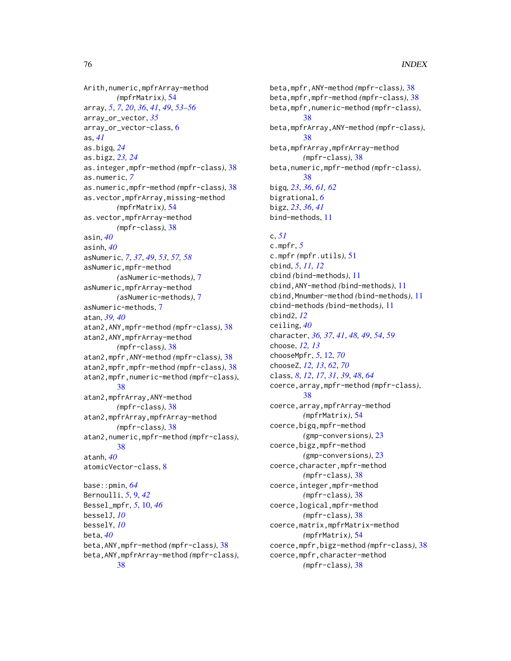Arith,numeric,mpfrArray-method *(*mpfrMatrix*)*, [54](#page-53-0) array, *[5](#page-4-0)*, *[7](#page-6-0)*, *[20](#page-19-0)*, *[36](#page-35-0)*, *[41](#page-40-0)*, *[49](#page-48-0)*, *[53–](#page-52-0)[56](#page-55-0)* array\_or\_vector, *[35](#page-34-0)* array\_or\_vector-class, [6](#page-5-0) as, *[41](#page-40-0)* as.bigq, *[24](#page-23-0)* as.bigz, *[23,](#page-22-0) [24](#page-23-0)* as.integer,mpfr-method *(*mpfr-class*)*, [38](#page-37-0) as.numeric, *[7](#page-6-0)* as.numeric,mpfr-method *(*mpfr-class*)*, [38](#page-37-0) as.vector,mpfrArray,missing-method *(*mpfrMatrix*)*, [54](#page-53-0) as.vector,mpfrArray-method *(*mpfr-class*)*, [38](#page-37-0) asin, *[40](#page-39-0)* asinh, *[40](#page-39-0)* asNumeric, *[7](#page-6-0)*, *[37](#page-36-0)*, *[49](#page-48-0)*, *[53](#page-52-0)*, *[57,](#page-56-0) [58](#page-57-0)* asNumeric,mpfr-method *(*asNumeric-methods*)*, [7](#page-6-0) asNumeric,mpfrArray-method *(*asNumeric-methods*)*, [7](#page-6-0) asNumeric-methods, [7](#page-6-0) atan, *[39,](#page-38-0) [40](#page-39-0)* atan2,ANY,mpfr-method *(*mpfr-class*)*, [38](#page-37-0) atan2,ANY,mpfrArray-method *(*mpfr-class*)*, [38](#page-37-0) atan2,mpfr,ANY-method *(*mpfr-class*)*, [38](#page-37-0) atan2,mpfr,mpfr-method *(*mpfr-class*)*, [38](#page-37-0) atan2,mpfr,numeric-method *(*mpfr-class*)*, [38](#page-37-0) atan2,mpfrArray,ANY-method *(*mpfr-class*)*, [38](#page-37-0) atan2,mpfrArray,mpfrArray-method *(*mpfr-class*)*, [38](#page-37-0) atan2,numeric,mpfr-method *(*mpfr-class*)*, [38](#page-37-0) atanh, *[40](#page-39-0)* atomicVector-class, [8](#page-7-0) base::pmin, *[64](#page-63-0)* Bernoulli, *[5](#page-4-0)*, [9,](#page-8-0) *[42](#page-41-0)* Bessel\_mpfr, *[5](#page-4-0)*, [10,](#page-9-0) *[46](#page-45-0)* besselJ, *[10](#page-9-0)* besselY, *[10](#page-9-0)* beta, *[40](#page-39-0)* beta,ANY,mpfr-method *(*mpfr-class*)*, [38](#page-37-0) beta,ANY,mpfrArray-method *(*mpfr-class*)*, [38](#page-37-0)

beta,mpfr,ANY-method *(*mpfr-class*)*, [38](#page-37-0) beta,mpfr,mpfr-method *(*mpfr-class*)*, [38](#page-37-0) beta,mpfr,numeric-method *(*mpfr-class*)*, [38](#page-37-0) beta,mpfrArray,ANY-method *(*mpfr-class*)*, [38](#page-37-0) beta,mpfrArray,mpfrArray-method *(*mpfr-class*)*, [38](#page-37-0) beta,numeric,mpfr-method *(*mpfr-class*)*, [38](#page-37-0) bigq, *[23](#page-22-0)*, *[36](#page-35-0)*, *[61,](#page-60-0) [62](#page-61-0)* bigrational, *[6](#page-5-0)* bigz, *[23](#page-22-0)*, *[36](#page-35-0)*, *[41](#page-40-0)* bind-methods, [11](#page-10-0)

# c, *[51](#page-50-0)*

c.mpfr, *[5](#page-4-0)* c.mpfr *(*mpfr.utils*)*, [51](#page-50-0) cbind, *[5](#page-4-0)*, *[11,](#page-10-0) [12](#page-11-0)* cbind *(*bind-methods*)*, [11](#page-10-0) cbind,ANY-method *(*bind-methods*)*, [11](#page-10-0) cbind,Mnumber-method *(*bind-methods*)*, [11](#page-10-0) cbind-methods *(*bind-methods*)*, [11](#page-10-0) cbind2, *[12](#page-11-0)* ceiling, *[40](#page-39-0)* character, *[36,](#page-35-0) [37](#page-36-0)*, *[41](#page-40-0)*, *[48,](#page-47-0) [49](#page-48-0)*, *[54](#page-53-0)*, *[59](#page-58-0)* choose, *[12,](#page-11-0) [13](#page-12-0)* chooseMpfr, *[5](#page-4-0)*, [12,](#page-11-0) *[70](#page-69-0)* chooseZ, *[12,](#page-11-0) [13](#page-12-0)*, *[62](#page-61-0)*, *[70](#page-69-0)* class, *[8](#page-7-0)*, *[12](#page-11-0)*, *[17](#page-16-0)*, *[31](#page-30-0)*, *[39](#page-38-0)*, *[48](#page-47-0)*, *[64](#page-63-0)* coerce,array,mpfr-method *(*mpfr-class*)*, [38](#page-37-0) coerce,array,mpfrArray-method *(*mpfrMatrix*)*, [54](#page-53-0) coerce,bigq,mpfr-method *(*gmp-conversions*)*, [23](#page-22-0) coerce,bigz,mpfr-method *(*gmp-conversions*)*, [23](#page-22-0) coerce, character, mpfr-method *(*mpfr-class*)*, [38](#page-37-0) coerce,integer,mpfr-method *(*mpfr-class*)*, [38](#page-37-0) coerce,logical,mpfr-method *(*mpfr-class*)*, [38](#page-37-0) coerce,matrix,mpfrMatrix-method *(*mpfrMatrix*)*, [54](#page-53-0) coerce,mpfr,bigz-method *(*mpfr-class*)*, [38](#page-37-0) coerce,mpfr,character-method *(*mpfr-class*)*, [38](#page-37-0)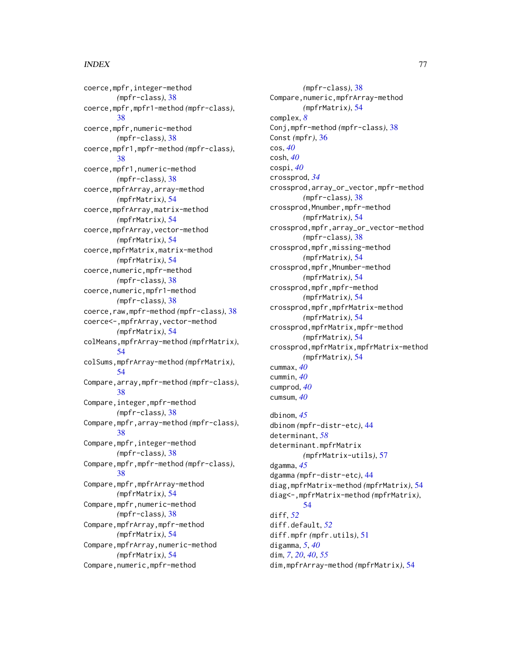coerce,mpfr,integer-method *(*mpfr-class*)*, [38](#page-37-0) coerce,mpfr,mpfr1-method *(*mpfr-class*)*, [38](#page-37-0) coerce,mpfr,numeric-method *(*mpfr-class*)*, [38](#page-37-0) coerce,mpfr1,mpfr-method *(*mpfr-class*)*, [38](#page-37-0) coerce,mpfr1,numeric-method *(*mpfr-class*)*, [38](#page-37-0) coerce,mpfrArray,array-method *(*mpfrMatrix*)*, [54](#page-53-0) coerce,mpfrArray,matrix-method *(*mpfrMatrix*)*, [54](#page-53-0) coerce,mpfrArray,vector-method *(*mpfrMatrix*)*, [54](#page-53-0) coerce,mpfrMatrix,matrix-method *(*mpfrMatrix*)*, [54](#page-53-0) coerce,numeric,mpfr-method *(*mpfr-class*)*, [38](#page-37-0) coerce,numeric,mpfr1-method *(*mpfr-class*)*, [38](#page-37-0) coerce,raw,mpfr-method *(*mpfr-class*)*, [38](#page-37-0) coerce<-,mpfrArray,vector-method *(*mpfrMatrix*)*, [54](#page-53-0) colMeans,mpfrArray-method *(*mpfrMatrix*)*, [54](#page-53-0) colSums,mpfrArray-method *(*mpfrMatrix*)*, [54](#page-53-0) Compare,array,mpfr-method *(*mpfr-class*)*, [38](#page-37-0) Compare,integer,mpfr-method *(*mpfr-class*)*, [38](#page-37-0) Compare,mpfr,array-method *(*mpfr-class*)*, [38](#page-37-0) Compare,mpfr,integer-method *(*mpfr-class*)*, [38](#page-37-0) Compare,mpfr,mpfr-method *(*mpfr-class*)*, [38](#page-37-0) Compare,mpfr,mpfrArray-method *(*mpfrMatrix*)*, [54](#page-53-0) Compare,mpfr,numeric-method *(*mpfr-class*)*, [38](#page-37-0) Compare,mpfrArray,mpfr-method *(*mpfrMatrix*)*, [54](#page-53-0) Compare,mpfrArray,numeric-method *(*mpfrMatrix*)*, [54](#page-53-0) Compare, numeric, mpfr-method

*(*mpfr-class*)*, [38](#page-37-0) Compare, numeric, mpfrArray-method *(*mpfrMatrix*)*, [54](#page-53-0) complex, *[8](#page-7-0)* Conj,mpfr-method *(*mpfr-class*)*, [38](#page-37-0) Const *(*mpfr*)*, [36](#page-35-0) cos, *[40](#page-39-0)* cosh, *[40](#page-39-0)* cospi, *[40](#page-39-0)* crossprod, *[34](#page-33-0)* crossprod,array\_or\_vector,mpfr-method *(*mpfr-class*)*, [38](#page-37-0) crossprod,Mnumber,mpfr-method *(*mpfrMatrix*)*, [54](#page-53-0) crossprod,mpfr,array\_or\_vector-method *(*mpfr-class*)*, [38](#page-37-0) crossprod,mpfr,missing-method *(*mpfrMatrix*)*, [54](#page-53-0) crossprod,mpfr,Mnumber-method *(*mpfrMatrix*)*, [54](#page-53-0) crossprod,mpfr,mpfr-method *(*mpfrMatrix*)*, [54](#page-53-0) crossprod,mpfr,mpfrMatrix-method *(*mpfrMatrix*)*, [54](#page-53-0) crossprod,mpfrMatrix,mpfr-method *(*mpfrMatrix*)*, [54](#page-53-0) crossprod,mpfrMatrix,mpfrMatrix-method *(*mpfrMatrix*)*, [54](#page-53-0) cummax, *[40](#page-39-0)* cummin, *[40](#page-39-0)* cumprod, *[40](#page-39-0)* cumsum, *[40](#page-39-0)*

dbinom, *[45](#page-44-0)* dbinom *(*mpfr-distr-etc*)*, [44](#page-43-0) determinant, *[58](#page-57-0)* determinant.mpfrMatrix *(*mpfrMatrix-utils*)*, [57](#page-56-0) dgamma, *[45](#page-44-0)* dgamma *(*mpfr-distr-etc*)*, [44](#page-43-0) diag,mpfrMatrix-method *(*mpfrMatrix*)*, [54](#page-53-0) diag<-,mpfrMatrix-method *(*mpfrMatrix*)*, [54](#page-53-0) diff, *[52](#page-51-0)* diff.default, *[52](#page-51-0)* diff.mpfr *(*mpfr.utils*)*, [51](#page-50-0) digamma, *[5](#page-4-0)*, *[40](#page-39-0)* dim, *[7](#page-6-0)*, *[20](#page-19-0)*, *[40](#page-39-0)*, *[55](#page-54-0)* dim,mpfrArray-method *(*mpfrMatrix*)*, [54](#page-53-0)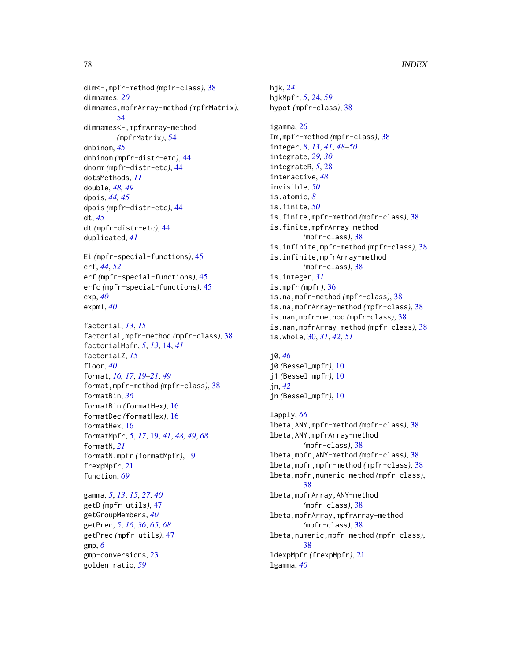dim<-,mpfr-method *(*mpfr-class*)*, [38](#page-37-0) dimnames, *[20](#page-19-0)* dimnames,mpfrArray-method *(*mpfrMatrix*)*, [54](#page-53-0) dimnames<-,mpfrArray-method *(*mpfrMatrix*)*, [54](#page-53-0) dnbinom, *[45](#page-44-0)* dnbinom *(*mpfr-distr-etc*)*, [44](#page-43-0) dnorm *(*mpfr-distr-etc*)*, [44](#page-43-0) dotsMethods, *[11](#page-10-0)* double, *[48,](#page-47-0) [49](#page-48-0)* dpois, *[44,](#page-43-0) [45](#page-44-0)* dpois *(*mpfr-distr-etc*)*, [44](#page-43-0) dt, *[45](#page-44-0)* dt *(*mpfr-distr-etc*)*, [44](#page-43-0) duplicated, *[41](#page-40-0)* Ei *(*mpfr-special-functions*)*, [45](#page-44-0) erf, *[44](#page-43-0)*, *[52](#page-51-0)* erf *(*mpfr-special-functions*)*, [45](#page-44-0) erfc *(*mpfr-special-functions*)*, [45](#page-44-0) exp, *[40](#page-39-0)* expm1, *[40](#page-39-0)* factorial, *[13](#page-12-0)*, *[15](#page-14-0)* factorial,mpfr-method *(*mpfr-class*)*, [38](#page-37-0) factorialMpfr, *[5](#page-4-0)*, *[13](#page-12-0)*, [14,](#page-13-0) *[41](#page-40-0)* factorialZ, *[15](#page-14-0)* floor, *[40](#page-39-0)* format, *[16,](#page-15-0) [17](#page-16-0)*, *[19](#page-18-0)[–21](#page-20-0)*, *[49](#page-48-0)* format,mpfr-method *(*mpfr-class*)*, [38](#page-37-0) formatBin, *[36](#page-35-0)* formatBin *(*formatHex*)*, [16](#page-15-0) formatDec *(*formatHex*)*, [16](#page-15-0) formatHex, [16](#page-15-0) formatMpfr, *[5](#page-4-0)*, *[17](#page-16-0)*, [19,](#page-18-0) *[41](#page-40-0)*, *[48,](#page-47-0) [49](#page-48-0)*, *[68](#page-67-0)* formatN, *[21](#page-20-0)* formatN.mpfr *(*formatMpfr*)*, [19](#page-18-0) frexpMpfr, [21](#page-20-0) function, *[69](#page-68-0)*

gamma, *[5](#page-4-0)*, *[13](#page-12-0)*, *[15](#page-14-0)*, *[27](#page-26-0)*, *[40](#page-39-0)* getD *(*mpfr-utils*)*, [47](#page-46-0) getGroupMembers, *[40](#page-39-0)* getPrec, *[5](#page-4-0)*, *[16](#page-15-0)*, *[36](#page-35-0)*, *[65](#page-64-0)*, *[68](#page-67-0)* getPrec *(*mpfr-utils*)*, [47](#page-46-0) gmp, *[6](#page-5-0)* gmp-conversions, [23](#page-22-0) golden\_ratio, *[59](#page-58-0)*

hjk, *[24](#page-23-0)* hjkMpfr, *[5](#page-4-0)*, [24,](#page-23-0) *[59](#page-58-0)* hypot *(*mpfr-class*)*, [38](#page-37-0)

igamma, [26](#page-25-0) Im,mpfr-method *(*mpfr-class*)*, [38](#page-37-0) integer, *[8](#page-7-0)*, *[13](#page-12-0)*, *[41](#page-40-0)*, *[48](#page-47-0)[–50](#page-49-0)* integrate, *[29,](#page-28-0) [30](#page-29-0)* integrateR, *[5](#page-4-0)*, [28](#page-27-0) interactive, *[48](#page-47-0)* invisible, *[50](#page-49-0)* is.atomic, *[8](#page-7-0)* is.finite, *[50](#page-49-0)* is.finite,mpfr-method *(*mpfr-class*)*, [38](#page-37-0) is.finite,mpfrArray-method *(*mpfr-class*)*, [38](#page-37-0) is.infinite,mpfr-method *(*mpfr-class*)*, [38](#page-37-0) is.infinite,mpfrArray-method *(*mpfr-class*)*, [38](#page-37-0) is.integer, *[31](#page-30-0)* is.mpfr *(*mpfr*)*, [36](#page-35-0) is.na,mpfr-method *(*mpfr-class*)*, [38](#page-37-0) is.na,mpfrArray-method *(*mpfr-class*)*, [38](#page-37-0) is.nan,mpfr-method *(*mpfr-class*)*, [38](#page-37-0) is.nan,mpfrArray-method *(*mpfr-class*)*, [38](#page-37-0) is.whole, [30,](#page-29-0) *[31](#page-30-0)*, *[42](#page-41-0)*, *[51](#page-50-0)*

j0, *[46](#page-45-0)* j0 *(*Bessel\_mpfr*)*, [10](#page-9-0) j1 *(*Bessel\_mpfr*)*, [10](#page-9-0) jn, *[42](#page-41-0)* jn *(*Bessel\_mpfr*)*, [10](#page-9-0)

```
lapply, 66
lbeta,ANY,mpfr-method (mpfr-class), 38
lbeta,ANY,mpfrArray-method
        (mpfr-class), 38
lbeta,mpfr,ANY-method (mpfr-class), 38
lbeta,mpfr,mpfr-method (mpfr-class), 38
lbeta,mpfr,numeric-method (mpfr-class),
        38
lbeta,mpfrArray,ANY-method
        (mpfr-class), 38
lbeta,mpfrArray,mpfrArray-method
        (mpfr-class), 38
lbeta,numeric,mpfr-method (mpfr-class),
        38
ldexpMpfr (frexpMpfr), 21
lgamma, 40
```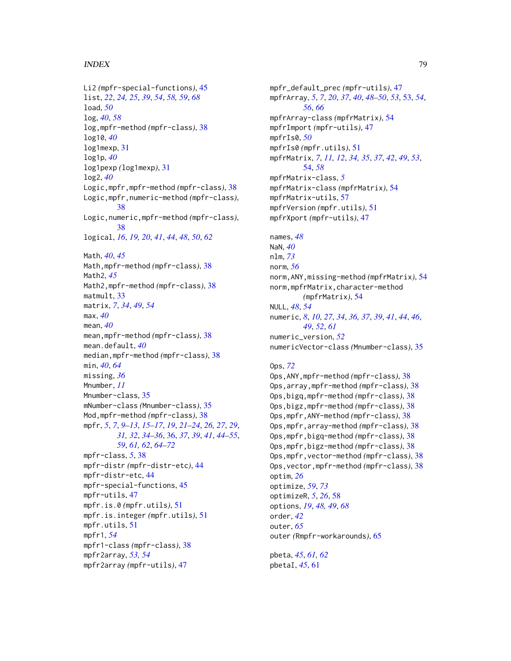```
Li2 (mpfr-special-functions), 45
list, 22, 24, 25, 39, 54, 58, 59, 68
load, 50
log, 40, 58
log,mpfr-method (mpfr-class), 38
log10, 40
log1mexp, 31
log1p, 40
log1pexp (log1mexp), 31
log2, 40
Logic,mpfr,mpfr-method (mpfr-class), 38
Logic,mpfr,numeric-method (mpfr-class),
         38
Logic,numeric,mpfr-method (mpfr-class),
         38
logical, 16, 19, 20, 41, 44, 48, 50, 62
Math, 40, 45
Math,mpfr-method (mpfr-class), 38
Math2, 45
Math2,mpfr-method (mpfr-class), 38
matmult, 33
matrix, 7, 34, 49, 54
max, 40
mean, 40
mean,mpfr-method (mpfr-class), 38
mean.default, 40
median,mpfr-method (mpfr-class), 38
min, 40, 64
missing, 36
Mnumber, 11
Mnumber-class, 35
mNumber-class (Mnumber-class), 35
Mod,mpfr-method (mpfr-class), 38
mpfr, 5, 7, 9–13, 15–17, 19, 21–24, 26, 27, 29,
         31, 32, 34–36, 36, 37, 39, 41, 44–55,
         59, 61, 62, 64–72
mpfr-class, 5, 38
mpfr-distr (mpfr-distr-etc), 44
mpfr-distr-etc, 44
mpfr-special-functions, 45
mpfr-utils, 47
mpfr.is.0 (mpfr.utils), 51
mpfr.is.integer (mpfr.utils), 51
mpfr.utils, 51
mpfr1, 54
mpfr1-class (mpfr-class), 38
mpfr2array, 53, 54
mpfr2array (mpfr-utils), 47
```
mpfr\_default\_prec *(*mpfr-utils*)*, [47](#page-46-0) mpfrArray, *[5](#page-4-0)*, *[7](#page-6-0)*, *[20](#page-19-0)*, *[37](#page-36-0)*, *[40](#page-39-0)*, *[48](#page-47-0)[–50](#page-49-0)*, *[53](#page-52-0)*, [53,](#page-52-0) *[54](#page-53-0)*, *[56](#page-55-0)*, *[66](#page-65-0)* mpfrArray-class *(*mpfrMatrix*)*, [54](#page-53-0) mpfrImport *(*mpfr-utils*)*, [47](#page-46-0) mpfrIs0, *[50](#page-49-0)* mpfrIs0 *(*mpfr.utils*)*, [51](#page-50-0) mpfrMatrix, *[7](#page-6-0)*, *[11,](#page-10-0) [12](#page-11-0)*, *[34,](#page-33-0) [35](#page-34-0)*, *[37](#page-36-0)*, *[42](#page-41-0)*, *[49](#page-48-0)*, *[53](#page-52-0)*, [54,](#page-53-0) *[58](#page-57-0)* mpfrMatrix-class, *[5](#page-4-0)* mpfrMatrix-class *(*mpfrMatrix*)*, [54](#page-53-0) mpfrMatrix-utils, [57](#page-56-0) mpfrVersion *(*mpfr.utils*)*, [51](#page-50-0) mpfrXport *(*mpfr-utils*)*, [47](#page-46-0) names, *[48](#page-47-0)* NaN, *[40](#page-39-0)* nlm, *[73](#page-72-0)*

norm, *[56](#page-55-0)* norm,ANY,missing-method *(*mpfrMatrix*)*, [54](#page-53-0) norm,mpfrMatrix,character-method *(*mpfrMatrix*)*, [54](#page-53-0) NULL, *[48](#page-47-0)*, *[54](#page-53-0)* numeric, *[8](#page-7-0)*, *[10](#page-9-0)*, *[27](#page-26-0)*, *[34](#page-33-0)*, *[36,](#page-35-0) [37](#page-36-0)*, *[39](#page-38-0)*, *[41](#page-40-0)*, *[44](#page-43-0)*, *[46](#page-45-0)*, *[49](#page-48-0)*, *[52](#page-51-0)*, *[61](#page-60-0)* numeric\_version, *[52](#page-51-0)* numericVector-class *(*Mnumber-class*)*, [35](#page-34-0)

## Ops, *[72](#page-71-0)*

```
Ops,ANY,mpfr-method (mpfr-class), 38
Ops,array,mpfr-method (mpfr-class), 38
Ops,bigq,mpfr-method (mpfr-class), 38
Ops,bigz,mpfr-method (mpfr-class), 38
Ops,mpfr,ANY-method (mpfr-class), 38
Ops,mpfr,array-method (mpfr-class), 38
Ops,mpfr,bigq-method (mpfr-class), 38
Ops,mpfr,bigz-method (mpfr-class), 38
Ops,mpfr,vector-method (mpfr-class), 38
Ops,vector,mpfr-method (mpfr-class), 38
optim, 26
optimize, 59, 73
optimizeR, 5, 26, 58
options, 19, 48, 49, 68
order, 42
outer, 65
outer (Rmpfr-workarounds), 65
```
pbeta, *[45](#page-44-0)*, *[61,](#page-60-0) [62](#page-61-0)* pbetaI, *[45](#page-44-0)*, [61](#page-60-0)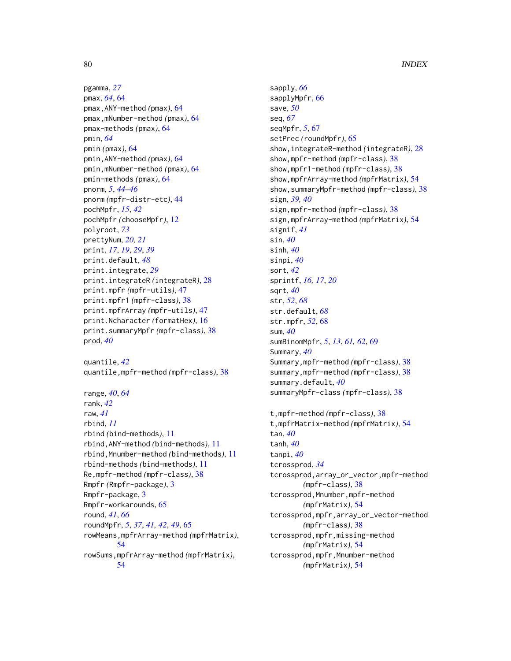pgamma, *[27](#page-26-0)* pmax, *[64](#page-63-0)*, [64](#page-63-0) pmax,ANY-method *(*pmax*)*, [64](#page-63-0) pmax,mNumber-method *(*pmax*)*, [64](#page-63-0) pmax-methods *(*pmax*)*, [64](#page-63-0) pmin, *[64](#page-63-0)* pmin *(*pmax*)*, [64](#page-63-0) pmin,ANY-method *(*pmax*)*, [64](#page-63-0) pmin,mNumber-method *(*pmax*)*, [64](#page-63-0) pmin-methods *(*pmax*)*, [64](#page-63-0) pnorm, *[5](#page-4-0)*, *[44](#page-43-0)[–46](#page-45-0)* pnorm *(*mpfr-distr-etc*)*, [44](#page-43-0) pochMpfr, *[15](#page-14-0)*, *[42](#page-41-0)* pochMpfr *(*chooseMpfr*)*, [12](#page-11-0) polyroot, *[73](#page-72-0)* prettyNum, *[20,](#page-19-0) [21](#page-20-0)* print, *[17](#page-16-0)*, *[19](#page-18-0)*, *[29](#page-28-0)*, *[39](#page-38-0)* print.default, *[48](#page-47-0)* print.integrate, *[29](#page-28-0)* print.integrateR *(*integrateR*)*, [28](#page-27-0) print.mpfr *(*mpfr-utils*)*, [47](#page-46-0) print.mpfr1 *(*mpfr-class*)*, [38](#page-37-0) print.mpfrArray *(*mpfr-utils*)*, [47](#page-46-0) print.Ncharacter *(*formatHex*)*, [16](#page-15-0) print.summaryMpfr *(*mpfr-class*)*, [38](#page-37-0) prod, *[40](#page-39-0)*

quantile, *[42](#page-41-0)* quantile,mpfr-method *(*mpfr-class*)*, [38](#page-37-0)

range, *[40](#page-39-0)*, *[64](#page-63-0)* rank, *[42](#page-41-0)* raw, *[41](#page-40-0)* rbind, *[11](#page-10-0)* rbind *(*bind-methods*)*, [11](#page-10-0) rbind,ANY-method *(*bind-methods*)*, [11](#page-10-0) rbind,Mnumber-method *(*bind-methods*)*, [11](#page-10-0) rbind-methods *(*bind-methods*)*, [11](#page-10-0) Re,mpfr-method *(*mpfr-class*)*, [38](#page-37-0) Rmpfr *(*Rmpfr-package*)*, [3](#page-2-0) Rmpfr-package, [3](#page-2-0) Rmpfr-workarounds, [65](#page-64-0) round, *[41](#page-40-0)*, *[66](#page-65-0)* roundMpfr, *[5](#page-4-0)*, *[37](#page-36-0)*, *[41,](#page-40-0) [42](#page-41-0)*, *[49](#page-48-0)*, [65](#page-64-0) rowMeans,mpfrArray-method *(*mpfrMatrix*)*, [54](#page-53-0) rowSums,mpfrArray-method *(*mpfrMatrix*)*, [54](#page-53-0)

sapply, *[66](#page-65-0)* sapplyMpfr, [66](#page-65-0) save, *[50](#page-49-0)* seq, *[67](#page-66-0)* seqMpfr, *[5](#page-4-0)*, [67](#page-66-0) setPrec *(*roundMpfr*)*, [65](#page-64-0) show,integrateR-method *(*integrateR*)*, [28](#page-27-0) show,mpfr-method *(*mpfr-class*)*, [38](#page-37-0) show,mpfr1-method *(*mpfr-class*)*, [38](#page-37-0) show,mpfrArray-method *(*mpfrMatrix*)*, [54](#page-53-0) show,summaryMpfr-method *(*mpfr-class*)*, [38](#page-37-0) sign, *[39,](#page-38-0) [40](#page-39-0)* sign,mpfr-method *(*mpfr-class*)*, [38](#page-37-0) sign,mpfrArray-method *(*mpfrMatrix*)*, [54](#page-53-0) signif, *[41](#page-40-0)* sin, *[40](#page-39-0)* sinh, *[40](#page-39-0)* sinpi, *[40](#page-39-0)* sort, *[42](#page-41-0)* sprintf, *[16,](#page-15-0) [17](#page-16-0)*, *[20](#page-19-0)* sqrt, *[40](#page-39-0)* str, *[52](#page-51-0)*, *[68](#page-67-0)* str.default, *[68](#page-67-0)* str.mpfr, *[52](#page-51-0)*, [68](#page-67-0) sum, *[40](#page-39-0)* sumBinomMpfr, *[5](#page-4-0)*, *[13](#page-12-0)*, *[61,](#page-60-0) [62](#page-61-0)*, [69](#page-68-0) Summary, *[40](#page-39-0)* Summary,mpfr-method *(*mpfr-class*)*, [38](#page-37-0) summary,mpfr-method *(*mpfr-class*)*, [38](#page-37-0) summary.default, *[40](#page-39-0)* summaryMpfr-class *(*mpfr-class*)*, [38](#page-37-0) t,mpfr-method *(*mpfr-class*)*, [38](#page-37-0) t,mpfrMatrix-method *(*mpfrMatrix*)*, [54](#page-53-0) tan, *[40](#page-39-0)* tanh, *[40](#page-39-0)* tanpi, *[40](#page-39-0)* tcrossprod, *[34](#page-33-0)* tcrossprod,array\_or\_vector,mpfr-method *(*mpfr-class*)*, [38](#page-37-0) tcrossprod,Mnumber,mpfr-method *(*mpfrMatrix*)*, [54](#page-53-0) tcrossprod,mpfr,array\_or\_vector-method *(*mpfr-class*)*, [38](#page-37-0) tcrossprod,mpfr,missing-method *(*mpfrMatrix*)*, [54](#page-53-0) tcrossprod,mpfr,Mnumber-method *(*mpfrMatrix*)*, [54](#page-53-0)